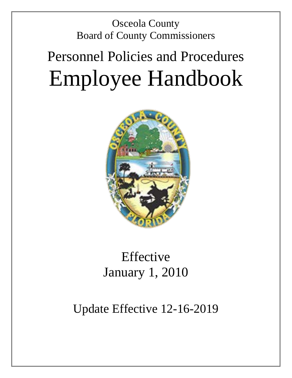Osceola County Board of County Commissioners

# Personnel Policies and Procedures Employee Handbook



# Effective January 1, 2010

# Update Effective 12-16-2019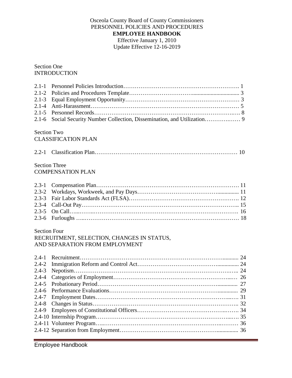# Osceola County Board of County Commissioners PERSONNEL POLICIES AND PROCEDURES **EMPLOYEE HANDBOOK** Effective January 1, 2010 Update Effective 12-16-2019

# Section One INTRODUCTION

| $2.1 - 1$<br>$2.1 - 2$<br>$2.1 - 3$<br>$2.1 - 4$<br>$2.1 - 5$<br>$2.1 - 6$ |                                            |  |
|----------------------------------------------------------------------------|--------------------------------------------|--|
| <b>Section Two</b>                                                         |                                            |  |
|                                                                            | <b>CLASSIFICATION PLAN</b>                 |  |
|                                                                            |                                            |  |
|                                                                            | <b>Section Three</b>                       |  |
|                                                                            | <b>COMPENSATION PLAN</b>                   |  |
| $2.3 - 1$                                                                  |                                            |  |
| $2.3 - 2$                                                                  |                                            |  |
| $2.3 - 3$                                                                  |                                            |  |
| $2.3 - 4$                                                                  |                                            |  |
| $2.3 - 5$                                                                  |                                            |  |
| $2.3 - 6$                                                                  |                                            |  |
| <b>Section Four</b>                                                        |                                            |  |
|                                                                            | RECRUITMENT, SELECTION, CHANGES IN STATUS, |  |
|                                                                            | AND SEPARATION FROM EMPLOYMENT             |  |
| $2.4 - 1$                                                                  |                                            |  |
| $2.4 - 2$                                                                  |                                            |  |
| $2.4 - 3$                                                                  |                                            |  |
| $2.4 - 4$                                                                  |                                            |  |
| $2.4 - 5$                                                                  |                                            |  |
|                                                                            |                                            |  |
| 2.4-7                                                                      |                                            |  |
| $2.4 - 8$                                                                  |                                            |  |
| $2.4 - 9$                                                                  |                                            |  |
|                                                                            |                                            |  |
|                                                                            |                                            |  |
|                                                                            |                                            |  |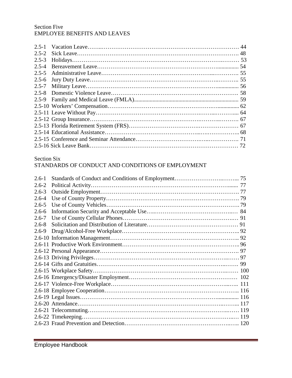# Section Five EMPLOYEE BENEFITS AND LEAVES

| $2.5 - 2$ |  |
|-----------|--|
| $2.5 - 3$ |  |
| $2.5 - 4$ |  |
| $2.5 - 5$ |  |
|           |  |
| $2.5 - 7$ |  |
|           |  |
|           |  |
|           |  |
|           |  |
|           |  |
|           |  |
|           |  |
|           |  |
|           |  |

# Section Six

# STANDARDS OF CONDUCT AND CONDITIONS OF EMPLOYMENT

| $2.6 - 1$ |  |
|-----------|--|
| $2.6 - 2$ |  |
| $2.6 - 3$ |  |
| $2.6 - 4$ |  |
| $2.6 - 5$ |  |
| $2.6 - 6$ |  |
| $2.6 - 7$ |  |
| $2.6 - 8$ |  |
| $2.6 - 9$ |  |
|           |  |
|           |  |
|           |  |
|           |  |
|           |  |
|           |  |
|           |  |
|           |  |
|           |  |
|           |  |
|           |  |
|           |  |
|           |  |
|           |  |
|           |  |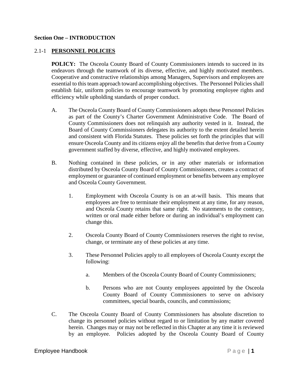#### **Section One – INTRODUCTION**

### 2.1-1 **PERSONNEL POLICIES**

**POLICY:** The Osceola County Board of County Commissioners intends to succeed in its endeavors through the teamwork of its diverse, effective, and highly motivated members. Cooperative and constructive relationships among Managers, Supervisors and employees are essential to this team approach toward accomplishing objectives. The Personnel Policies shall establish fair, uniform policies to encourage teamwork by promoting employee rights and efficiency while upholding standards of proper conduct.

- A. The Osceola County Board of County Commissioners adopts these Personnel Policies as part of the County's Charter Government Administrative Code. The Board of County Commissioners does not relinquish any authority vested in it. Instead, the Board of County Commissioners delegates its authority to the extent detailed herein and consistent with Florida Statutes. These policies set forth the principles that will ensure Osceola County and its citizens enjoy all the benefits that derive from a County government staffed by diverse, effective, and highly motivated employees.
- B. Nothing contained in these policies, or in any other materials or information distributed by Osceola County Board of County Commissioners, creates a contract of employment or guarantee of continued employment or benefits between any employee and Osceola County Government.
	- 1. Employment with Osceola County is on an at-will basis. This means that employees are free to terminate their employment at any time, for any reason, and Osceola County retains that same right. No statements to the contrary, written or oral made either before or during an individual's employment can change this.
	- 2. Osceola County Board of County Commissioners reserves the right to revise, change, or terminate any of these policies at any time.
	- 3. These Personnel Policies apply to all employees of Osceola County except the following:
		- a. Members of the Osceola County Board of County Commissioners;
		- b. Persons who are not County employees appointed by the Osceola County Board of County Commissioners to serve on advisory committees, special boards, councils, and commissions;
- C. The Osceola County Board of County Commissioners has absolute discretion to change its personnel policies without regard to or limitation by any matter covered herein. Changes may or may not be reflected in this Chapter at any time it is reviewed by an employee. Policies adopted by the Osceola County Board of County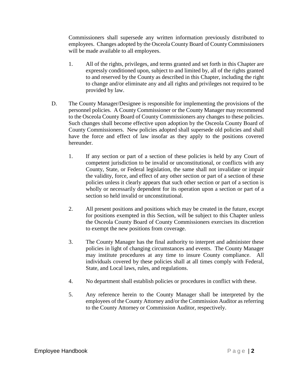Commissioners shall supersede any written information previously distributed to employees. Changes adopted by the Osceola County Board of County Commissioners will be made available to all employees.

- 1. All of the rights, privileges, and terms granted and set forth in this Chapter are expressly conditioned upon, subject to and limited by, all of the rights granted to and reserved by the County as described in this Chapter, including the right to change and/or eliminate any and all rights and privileges not required to be provided by law.
- D. The County Manager/Designee is responsible for implementing the provisions of the personnel policies. A County Commissioner or the County Manager may recommend to the Osceola County Board of County Commissioners any changes to these policies. Such changes shall become effective upon adoption by the Osceola County Board of County Commissioners. New policies adopted shall supersede old policies and shall have the force and effect of law insofar as they apply to the positions covered hereunder.
	- 1. If any section or part of a section of these policies is held by any Court of competent jurisdiction to be invalid or unconstitutional, or conflicts with any County, State, or Federal legislation, the same shall not invalidate or impair the validity, force, and effect of any other section or part of a section of these policies unless it clearly appears that such other section or part of a section is wholly or necessarily dependent for its operation upon a section or part of a section so held invalid or unconstitutional.
	- 2. All present positions and positions which may be created in the future, except for positions exempted in this Section, will be subject to this Chapter unless the Osceola County Board of County Commissioners exercises its discretion to exempt the new positions from coverage.
	- 3. The County Manager has the final authority to interpret and administer these policies in light of changing circumstances and events. The County Manager may institute procedures at any time to insure County compliance. All individuals covered by these policies shall at all times comply with Federal, State, and Local laws, rules, and regulations.
	- 4. No department shall establish policies or procedures in conflict with these.
	- 5. Any reference herein to the County Manager shall be interpreted by the employees of the County Attorney and/or the Commission Auditor as referring to the County Attorney or Commission Auditor, respectively.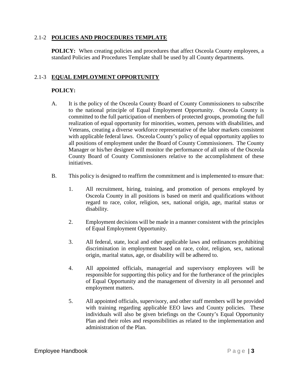### 2.1-2 **POLICIES AND PROCEDURES TEMPLATE**

**POLICY:** When creating policies and procedures that affect Osceola County employees, a standard Policies and Procedures Template shall be used by all County departments.

# 2.1-3 **EQUAL EMPLOYMENT OPPORTUNITY**

# **POLICY:**

- A. It is the policy of the Osceola County Board of County Commissioners to subscribe to the national principle of Equal Employment Opportunity. Osceola County is committed to the full participation of members of protected groups, promoting the full realization of equal opportunity for minorities, women, persons with disabilities, and Veterans, creating a diverse workforce representative of the labor markets consistent with applicable federal laws. Osceola County's policy of equal opportunity applies to all positions of employment under the Board of County Commissioners. The County Manager or his/her designee will monitor the performance of all units of the Osceola County Board of County Commissioners relative to the accomplishment of these initiatives.
- B. This policy is designed to reaffirm the commitment and is implemented to ensure that:
	- 1. All recruitment, hiring, training, and promotion of persons employed by Osceola County in all positions is based on merit and qualifications without regard to race, color, religion, sex, national origin, age, marital status or disability.
	- 2. Employment decisions will be made in a manner consistent with the principles of Equal Employment Opportunity.
	- 3. All federal, state, local and other applicable laws and ordinances prohibiting discrimination in employment based on race, color, religion, sex, national origin, marital status, age, or disability will be adhered to.
	- 4. All appointed officials, managerial and supervisory employees will be responsible for supporting this policy and for the furtherance of the principles of Equal Opportunity and the management of diversity in all personnel and employment matters.
	- 5. All appointed officials, supervisory, and other staff members will be provided with training regarding applicable EEO laws and County policies. These individuals will also be given briefings on the County's Equal Opportunity Plan and their roles and responsibilities as related to the implementation and administration of the Plan.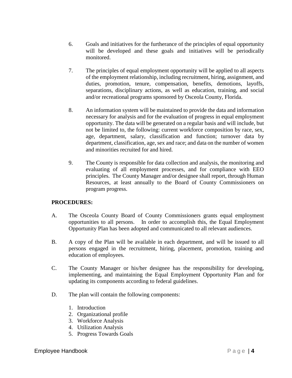- 6. Goals and initiatives for the furtherance of the principles of equal opportunity will be developed and these goals and initiatives will be periodically monitored.
- 7. The principles of equal employment opportunity will be applied to all aspects of the employment relationship, including recruitment, hiring, assignment, and duties, promotion, tenure, compensation, benefits, demotions, layoffs, separations, disciplinary actions, as well as education, training, and social and/or recreational programs sponsored by Osceola County, Florida.
- 8. An information system will be maintained to provide the data and information necessary for analysis and for the evaluation of progress in equal employment opportunity. The data will be generated on a regular basis and will include, but not be limited to, the following: current workforce composition by race, sex, age, department, salary, classification and function; turnover data by department, classification, age, sex and race; and data on the number of women and minorities recruited for and hired.
- 9. The County is responsible for data collection and analysis, the monitoring and evaluating of all employment processes, and for compliance with EEO principles. The County Manager and/or designee shall report, through Human Resources, at least annually to the Board of County Commissioners on program progress.

- A. The Osceola County Board of County Commissioners grants equal employment opportunities to all persons. In order to accomplish this, the Equal Employment Opportunity Plan has been adopted and communicated to all relevant audiences.
- B. A copy of the Plan will be available in each department, and will be issued to all persons engaged in the recruitment, hiring, placement, promotion, training and education of employees.
- C. The County Manager or his/her designee has the responsibility for developing, implementing, and maintaining the Equal Employment Opportunity Plan and for updating its components according to federal guidelines.
- D. The plan will contain the following components:
	- 1. Introduction
	- 2. Organizational profile
	- 3. Workforce Analysis
	- 4. Utilization Analysis
	- 5. Progress Towards Goals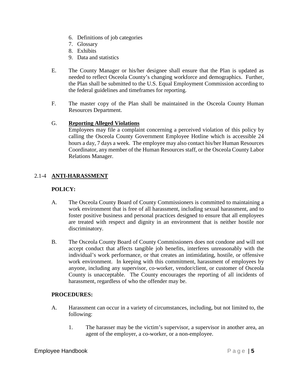- 6. Definitions of job categories
- 7. Glossary
- 8. Exhibits
- 9. Data and statistics
- E. The County Manager or his/her designee shall ensure that the Plan is updated as needed to reflect Osceola County's changing workforce and demographics. Further, the Plan shall be submitted to the U.S. Equal Employment Commission according to the federal guidelines and timeframes for reporting.
- F. The master copy of the Plan shall be maintained in the Osceola County Human Resources Department.

### G. **Reporting Alleged Violations**

Employees may file a complaint concerning a perceived violation of this policy by calling the Osceola County Government Employee Hotline which is accessible 24 hours a day, 7 days a week. The employee may also contact his/her Human Resources Coordinator, any member of the Human Resources staff, or the Osceola County Labor Relations Manager.

# 2.1-4 **ANTI-HARASSMENT**

# **POLICY:**

- A. The Osceola County Board of County Commissioners is committed to maintaining a work environment that is free of all harassment, including sexual harassment, and to foster positive business and personal practices designed to ensure that all employees are treated with respect and dignity in an environment that is neither hostile nor discriminatory.
- B. The Osceola County Board of County Commissioners does not condone and will not accept conduct that affects tangible job benefits, interferes unreasonably with the individual's work performance, or that creates an intimidating, hostile, or offensive work environment. In keeping with this commitment, harassment of employees by anyone, including any supervisor, co-worker, vendor/client, or customer of Osceola County is unacceptable. The County encourages the reporting of all incidents of harassment, regardless of who the offender may be.

- A. Harassment can occur in a variety of circumstances, including, but not limited to, the following:
	- 1. The harasser may be the victim's supervisor, a supervisor in another area, an agent of the employer, a co-worker, or a non-employee.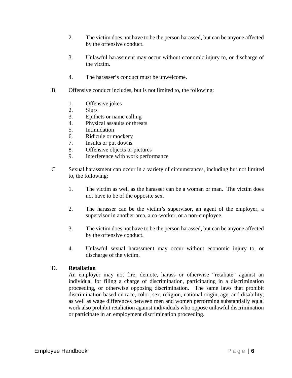- 2. The victim does not have to be the person harassed, but can be anyone affected by the offensive conduct.
- 3. Unlawful harassment may occur without economic injury to, or discharge of the victim.
- 4. The harasser's conduct must be unwelcome.
- B. Offensive conduct includes, but is not limited to, the following:
	- 1. Offensive jokes
	- 2. Slurs
	- 3. Epithets or name calling
	- 4. Physical assaults or threats
	- 5. Intimidation
	- 6. Ridicule or mockery
	- 7. Insults or put downs
	- 8. Offensive objects or pictures
	- 9. Interference with work performance
- C. Sexual harassment can occur in a variety of circumstances, including but not limited to, the following:
	- 1. The victim as well as the harasser can be a woman or man. The victim does not have to be of the opposite sex.
	- 2. The harasser can be the victim's supervisor, an agent of the employer, a supervisor in another area, a co-worker, or a non-employee.
	- 3. The victim does not have to be the person harassed, but can be anyone affected by the offensive conduct.
	- 4. Unlawful sexual harassment may occur without economic injury to, or discharge of the victim.

# D. **Retaliation**

An employer may not fire, demote, harass or otherwise "retaliate" against an individual for filing a charge of discrimination, participating in a discrimination proceeding, or otherwise opposing discrimination. The same laws that prohibit discrimination based on race, color, sex, religion, national origin, age, and disability, as well as wage differences between men and women performing substantially equal work also prohibit retaliation against individuals who oppose unlawful discrimination or participate in an employment discrimination proceeding.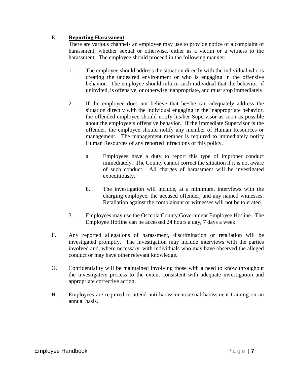# E. **Reporting Harassment**

There are various channels an employee may use to provide notice of a complaint of harassment, whether sexual or otherwise, either as a victim or a witness to the harassment. The employee should proceed in the following manner:

- 1. The employee should address the situation directly with the individual who is creating the undesired environment or who is engaging in the offensive behavior. The employee should inform such individual that the behavior, if uninvited, is offensive, or otherwise inappropriate, and must stop immediately.
- 2. If the employee does not believe that he/she can adequately address the situation directly with the individual engaging in the inappropriate behavior, the offended employee should notify his/her Supervisor as soon as possible about the employee's offensive behavior. If the immediate Supervisor is the offender, the employee should notify any member of Human Resources or management. The management member is required to immediately notify Human Resources of any reported infractions of this policy.
	- a. Employees have a duty to report this type of improper conduct immediately. The County cannot correct the situation if it is not aware of such conduct. All charges of harassment will be investigated expeditiously.
	- b. The investigation will include, at a minimum, interviews with the charging employee, the accused offender, and any named witnesses. Retaliation against the complainant or witnesses will not be tolerated.
- 3. Employees may use the Osceola County Government Employee Hotline. The Employee Hotline can be accessed 24 hours a day, 7 days a week.
- F. Any reported allegations of harassment, discrimination or retaliation will be investigated promptly. The investigation may include interviews with the parties involved and, where necessary, with individuals who may have observed the alleged conduct or may have other relevant knowledge.
- G. Confidentiality will be maintained involving those with a need to know throughout the investigative process to the extent consistent with adequate investigation and appropriate corrective action.
- H. Employees are required to attend anti-harassment/sexual harassment training on an annual basis.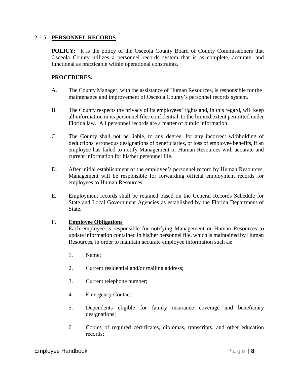#### 2.1-5 **PERSONNEL RECORDS**

**POLICY:** It is the policy of the Osceola County Board of County Commissioners that Osceola County utilizes a personnel records system that is as complete, accurate, and functional as practicable within operational constraints.

### **PROCEDURES:**

- A. The County Manager, with the assistance of Human Resources, is responsible for the maintenance and improvement of Osceola County's personnel records system.
- B. The County respects the privacy of its employees' rights and, in this regard, will keep all information in its personnel files confidential, to the limited extent permitted under Florida law. All personnel records are a matter of public information.
- C. The County shall not be liable, to any degree, for any incorrect withholding of deductions, erroneous designations of beneficiaries, or loss of employee benefits, if an employee has failed to notify Management or Human Resources with accurate and current information for his/her personnel file.
- D. After initial establishment of the employee's personnel record by Human Resources, Management will be responsible for forwarding official employment records for employees to Human Resources.
- E. Employment records shall be retained based on the General Records Schedule for State and Local Government Agencies as established by the Florida Department of State.

#### F. **Employee Obligations**

Each employee is responsible for notifying Management or Human Resources to update information contained in his/her personnel file, which is maintained by Human Resources, in order to maintain accurate employee information such as:

- 1. Name;
- 2. Current residential and/or mailing address;
- 3. Current telephone number;
- 4. Emergency Contact;
- 5. Dependents eligible for family insurance coverage and beneficiary designations;
- 6. Copies of required certificates, diplomas, transcripts, and other education records;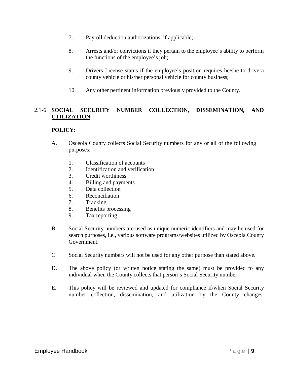- 7. Payroll deduction authorizations, if applicable;
- 8. Arrests and/or convictions if they pertain to the employee's ability to perform the functions of the employee's job;
- 9. Drivers License status if the employee's position requires he/she to drive a county vehicle or his/her personal vehicle for county business;
- 10. Any other pertinent information previously provided to the County.

# 2.1-6 **SOCIAL SECURITY NUMBER COLLECTION, DISSEMINATION, AND UTILIZATION**

# **POLICY:**

- A. Osceola County collects Social Security numbers for any or all of the following purposes:
	- 1. Classification of accounts
	- 2. Identification and verification
	- 3. Credit worthiness
	- 4. Billing and payments
	- 5. Data collection
	- 6. Reconciliation
	- 7. Tracking
	- 8. Benefits processing
	- 9. Tax reporting
- B. Social Security numbers are used as unique numeric identifiers and may be used for search purposes, i.e., various software programs/websites utilized by Osceola County Government.
- C. Social Security numbers will not be used for any other purpose than stated above.
- D. The above policy (or written notice stating the same) must be provided to any individual when the County collects that person's Social Security number.
- E. This policy will be reviewed and updated for compliance if/when Social Security number collection, dissemination, and utilization by the County changes.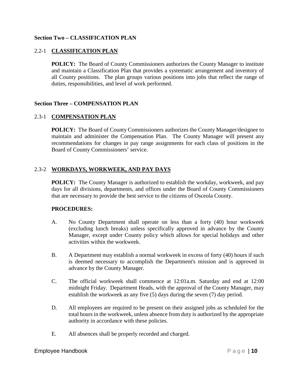# **Section Two – CLASSIFICATION PLAN**

# 2.2-1 **CLASSIFICATION PLAN**

**POLICY:** The Board of County Commissioners authorizes the County Manager to institute and maintain a Classification Plan that provides a systematic arrangement and inventory of all County positions. The plan groups various positions into jobs that reflect the range of duties, responsibilities, and level of work performed.

#### **Section Three – COMPENSATION PLAN**

#### 2.3-1 **COMPENSATION PLAN**

**POLICY:** The Board of County Commissioners authorizes the County Manager/designee to maintain and administer the Compensation Plan. The County Manager will present any recommendations for changes in pay range assignments for each class of positions in the Board of County Commissioners' service.

#### 2.3-2 **WORKDAYS, WORKWEEK, AND PAY DAYS**

**POLICY:** The County Manager is authorized to establish the workday, workweek, and pay days for all divisions, departments, and offices under the Board of County Commissioners that are necessary to provide the best service to the citizens of Osceola County.

- A. No County Department shall operate on less than a forty (40) hour workweek (excluding lunch breaks) unless specifically approved in advance by the County Manager, except under County policy which allows for special holidays and other activities within the workweek.
- B. A Department may establish a normal workweek in excess of forty (40) hours if such is deemed necessary to accomplish the Department's mission and is approved in advance by the County Manager.
- C. The official workweek shall commence at 12:01a.m. Saturday and end at 12:00 midnight Friday. Department Heads, with the approval of the County Manager, may establish the workweek as any five (5) days during the seven (7) day period.
- D. All employees are required to be present on their assigned jobs as scheduled for the total hours in the workweek, unless absence from duty is authorized by the appropriate authority in accordance with these policies.
- E. All absences shall be properly recorded and charged.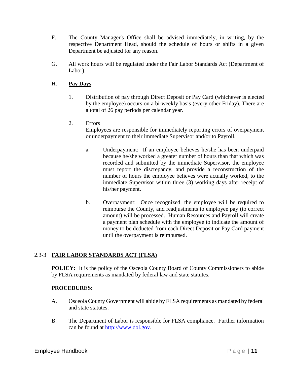- F. The County Manager's Office shall be advised immediately, in writing, by the respective Department Head, should the schedule of hours or shifts in a given Department be adjusted for any reason.
- G. All work hours will be regulated under the Fair Labor Standards Act (Department of Labor).

# H. **Pay Days**

- 1. Distribution of pay through Direct Deposit or Pay Card (whichever is elected by the employee) occurs on a bi-weekly basis (every other Friday). There are a total of 26 pay periods per calendar year.
- 2. Errors

Employees are responsible for immediately reporting errors of overpayment or underpayment to their immediate Supervisor and/or to Payroll.

- a. Underpayment: If an employee believes he/she has been underpaid because he/she worked a greater number of hours than that which was recorded and submitted by the immediate Supervisor, the employee must report the discrepancy, and provide a reconstruction of the number of hours the employee believes were actually worked, to the immediate Supervisor within three (3) working days after receipt of his/her payment.
- b. Overpayment: Once recognized, the employee will be required to reimburse the County, and readjustments to employee pay (to correct amount) will be processed. Human Resources and Payroll will create a payment plan schedule with the employee to indicate the amount of money to be deducted from each Direct Deposit or Pay Card payment until the overpayment is reimbursed.

# 2.3-3 **FAIR LABOR STANDARDS ACT (FLSA)**

**POLICY:** It is the policy of the Osceola County Board of County Commissioners to abide by FLSA requirements as mandated by federal law and state statutes.

- A. Osceola County Government will abide by FLSA requirements as mandated by federal and state statutes.
- B. The Department of Labor is responsible for FLSA compliance. Further information can be found at [http://www.dol.gov.](http://www.dol.gov/)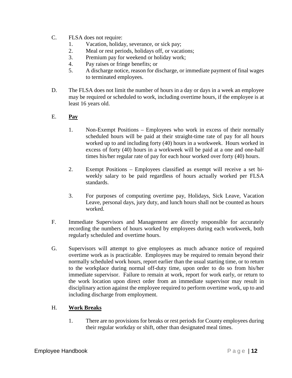- C. FLSA does not require:
	- 1. Vacation, holiday, severance, or sick pay;
	- 2. Meal or rest periods, holidays off, or vacations;
	- 3. Premium pay for weekend or holiday work;
	- 4. Pay raises or fringe benefits; or
	- 5. A discharge notice, reason for discharge, or immediate payment of final wages to terminated employees.
- D. The FLSA does not limit the number of hours in a day or days in a week an employee may be required or scheduled to work, including overtime hours, if the employee is at least 16 years old.

### E. **Pay**

- 1. Non-Exempt Positions Employees who work in excess of their normally scheduled hours will be paid at their straight-time rate of pay for all hours worked up to and including forty (40) hours in a workweek. Hours worked in excess of forty (40) hours in a workweek will be paid at a one and one-half times his/her regular rate of pay for each hour worked over forty (40) hours.
- 2. Exempt Positions Employees classified as exempt will receive a set biweekly salary to be paid regardless of hours actually worked per FLSA standards.
- 3. For purposes of computing overtime pay, Holidays, Sick Leave, Vacation Leave, personal days, jury duty, and lunch hours shall not be counted as hours worked.
- F. Immediate Supervisors and Management are directly responsible for accurately recording the numbers of hours worked by employees during each workweek, both regularly scheduled and overtime hours.
- G. Supervisors will attempt to give employees as much advance notice of required overtime work as is practicable. Employees may be required to remain beyond their normally scheduled work hours, report earlier than the usual starting time, or to return to the workplace during normal off-duty time, upon order to do so from his/her immediate supervisor. Failure to remain at work, report for work early, or return to the work location upon direct order from an immediate supervisor may result in disciplinary action against the employee required to perform overtime work, up to and including discharge from employment.

# H. **Work Breaks**

1. There are no provisions for breaks or rest periods for County employees during their regular workday or shift, other than designated meal times.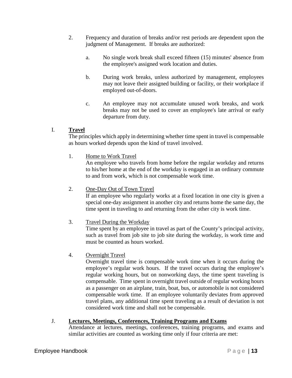- 2. Frequency and duration of breaks and/or rest periods are dependent upon the judgment of Management. If breaks are authorized:
	- a. No single work break shall exceed fifteen (15) minutes' absence from the employee's assigned work location and duties.
	- b. During work breaks, unless authorized by management, employees may not leave their assigned building or facility, or their workplace if employed out-of-doors.
	- c. An employee may not accumulate unused work breaks, and work breaks may not be used to cover an employee's late arrival or early departure from duty.

# I. **Travel**

The principles which apply in determining whether time spent in travel is compensable as hours worked depends upon the kind of travel involved.

1. Home to Work Travel

An employee who travels from home before the regular workday and returns to his/her home at the end of the workday is engaged in an ordinary commute to and from work, which is not compensable work time.

2. One-Day Out of Town Travel If an employee who regularly works at a fixed location in one city is given a special one-day assignment in another city and returns home the same day, the time spent in traveling to and returning from the other city is work time.

3. Travel During the Workday

Time spent by an employee in travel as part of the County's principal activity, such as travel from job site to job site during the workday, is work time and must be counted as hours worked.

4. Overnight Travel

Overnight travel time is compensable work time when it occurs during the employee's regular work hours. If the travel occurs during the employee's regular working hours, but on nonworking days, the time spent traveling is compensable. Time spent in overnight travel outside of regular working hours as a passenger on an airplane, train, boat, bus, or automobile is not considered compensable work time. If an employee voluntarily deviates from approved travel plans, any additional time spent traveling as a result of deviation is not considered work time and shall not be compensable.

# J. **Lectures, Meetings, Conferences, Training Programs and Exams**

Attendance at lectures, meetings, conferences, training programs, and exams and similar activities are counted as working time only if four criteria are met: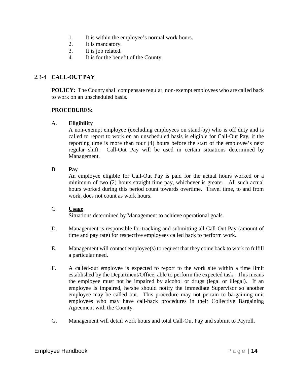- 1. It is within the employee's normal work hours.
- 2. It is mandatory.
- 3. It is job related.
- 4. It is for the benefit of the County.

# 2.3-4 **CALL-OUT PAY**

**POLICY:** The County shall compensate regular, non-exempt employees who are called back to work on an unscheduled basis.

#### **PROCEDURES:**

#### A. **Eligibility**

A non-exempt employee (excluding employees on stand-by) who is off duty and is called to report to work on an unscheduled basis is eligible for Call-Out Pay, if the reporting time is more than four (4) hours before the start of the employee's next regular shift. Call-Out Pay will be used in certain situations determined by Management.

#### B. **Pay**

An employee eligible for Call-Out Pay is paid for the actual hours worked or a minimum of two (2) hours straight time pay, whichever is greater. All such actual hours worked during this period count towards overtime. Travel time, to and from work, does not count as work hours.

#### C. **Usage**

Situations determined by Management to achieve operational goals.

- D. Management is responsible for tracking and submitting all Call-Out Pay (amount of time and pay rate) for respective employees called back to perform work.
- E. Management will contact employee(s) to request that they come back to work to fulfill a particular need.
- F. A called-out employee is expected to report to the work site within a time limit established by the Department/Office, able to perform the expected task. This means the employee must not be impaired by alcohol or drugs (legal or illegal). If an employee is impaired, he/she should notify the immediate Supervisor so another employee may be called out. This procedure may not pertain to bargaining unit employees who may have call-back procedures in their Collective Bargaining Agreement with the County.
- G. Management will detail work hours and total Call-Out Pay and submit to Payroll.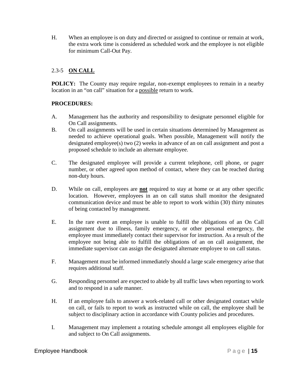H. When an employee is on duty and directed or assigned to continue or remain at work, the extra work time is considered as scheduled work and the employee is not eligible for minimum Call-Out Pay.

# 2.3-5 **ON CALL**

**POLICY:** The County may require regular, non-exempt employees to remain in a nearby location in an "on call" situation for a possible return to work.

- A. Management has the authority and responsibility to designate personnel eligible for On Call assignments.
- B. On call assignments will be used in certain situations determined by Management as needed to achieve operational goals. When possible, Management will notify the designated employee(s) two (2) weeks in advance of an on call assignment and post a proposed schedule to include an alternate employee.
- C. The designated employee will provide a current telephone, cell phone, or pager number, or other agreed upon method of contact, where they can be reached during non-duty hours.
- D. While on call, employees are **not** required to stay at home or at any other specific location. However, employees in an on call status shall monitor the designated communication device and must be able to report to work within (30) thirty minutes of being contacted by management.
- E. In the rare event an employee is unable to fulfill the obligations of an On Call assignment due to illness, family emergency, or other personal emergency, the employee must immediately contact their supervisor for instruction. As a result of the employee not being able to fulfill the obligations of an on call assignment, the immediate supervisor can assign the designated alternate employee to on call status.
- F. Management must be informed immediately should a large scale emergency arise that requires additional staff.
- G. Responding personnel are expected to abide by all traffic laws when reporting to work and to respond in a safe manner.
- H. If an employee fails to answer a work-related call or other designated contact while on call, or fails to report to work as instructed while on call, the employee shall be subject to disciplinary action in accordance with County policies and procedures.
- I. Management may implement a rotating schedule amongst all employees eligible for and subject to On Call assignments.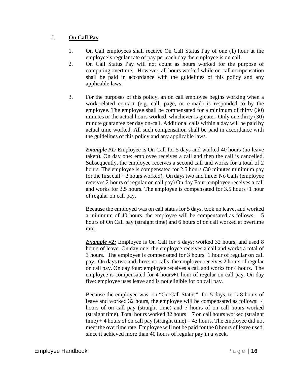# J. **On Call Pay**

- 1. On Call employees shall receive On Call Status Pay of one (1) hour at the employee's regular rate of pay per each day the employee is on call.
- 2. On Call Status Pay will not count as hours worked for the purpose of computing overtime. However, all hours worked while on-call compensation shall be paid in accordance with the guidelines of this policy and any applicable laws.
- 3. For the purposes of this policy, an on call employee begins working when a work-related contact (e.g. call, page, or e-mail) is responded to by the employee. The employee shall be compensated for a minimum of thirty (30) minutes or the actual hours worked, whichever is greater. Only one thirty (30) minute guarantee per day on-call. Additional calls within a day will be paid by actual time worked. All such compensation shall be paid in accordance with the guidelines of this policy and any applicable laws.

*Example #1:* Employee is On Call for 5 days and worked 40 hours (no leave taken). On day one: employee receives a call and then the call is cancelled. Subsequently, the employee receives a second call and works for a total of 2 hours. The employee is compensated for 2.5 hours (30 minutes minimum pay for the first call  $+ 2$  hours worked). On days two and three: No Calls (employee receives 2 hours of regular on call pay) On day Four: employee receives a call and works for 3.5 hours. The employee is compensated for 3.5 hours+1 hour of regular on call pay.

Because the employed was on call status for 5 days, took no leave, and worked a minimum of 40 hours, the employee will be compensated as follows: 5 hours of On Call pay (straight time) and 6 hours of on call worked at overtime rate.

*Example #2:* Employee is On Call for 5 days; worked 32 hours; and used 8 hours of leave. On day one: the employee receives a call and works a total of 3 hours. The employee is compensated for 3 hours+1 hour of regular on call pay. On days two and three: no calls, the employee receives 2 hours of regular on call pay. On day four: employee receives a call and works for 4 hours. The employee is compensated for 4 hours+1 hour of regular on call pay. On day five: employee uses leave and is not eligible for on call pay.

Because the employee was on "On Call Status" for 5 days, took 8 hours of leave and worked 32 hours, the employee will be compensated as follows: 4 hours of on call pay (straight time) and 7 hours of on call hours worked (straight time). Total hours worked  $32$  hours + 7 on call hours worked (straight time)  $+4$  hours of on call pay (straight time)  $= 43$  hours. The employee did not meet the overtime rate. Employee will not be paid for the 8 hours of leave used, since it achieved more than 40 hours of regular pay in a week.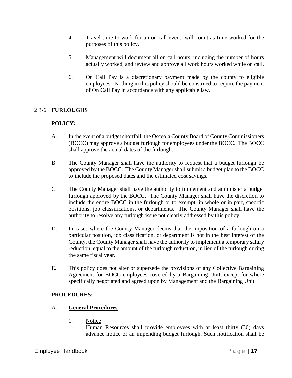- 4. Travel time to work for an on-call event, will count as time worked for the purposes of this policy.
- 5. Management will document all on call hours, including the number of hours actually worked, and review and approve all work hours worked while on call.
- 6. On Call Pay is a discretionary payment made by the county to eligible employees. Nothing in this policy should be construed to require the payment of On Call Pay in accordance with any applicable law.

# 2.3-6 **FURLOUGHS**

# **POLICY:**

- A. In the event of a budget shortfall, the Osceola County Board of County Commissioners (BOCC) may approve a budget furlough for employees under the BOCC. The BOCC shall approve the actual dates of the furlough.
- B. The County Manager shall have the authority to request that a budget furlough be approved by the BOCC. The County Manager shall submit a budget plan to the BOCC to include the proposed dates and the estimated cost savings.
- C. The County Manager shall have the authority to implement and administer a budget furlough approved by the BOCC. The County Manager shall have the discretion to include the entire BOCC in the furlough or to exempt, in whole or in part, specific positions, job classifications, or departments. The County Manager shall have the authority to resolve any furlough issue not clearly addressed by this policy.
- D. In cases where the County Manager deems that the imposition of a furlough on a particular position, job classification, or department is not in the best interest of the County, the County Manager shall have the authority to implement a temporary salary reduction, equal to the amount of the furlough reduction, in lieu of the furlough during the same fiscal year.
- E. This policy does not alter or supersede the provisions of any Collective Bargaining Agreement for BOCC employees covered by a Bargaining Unit, except for where specifically negotiated and agreed upon by Management and the Bargaining Unit.

# **PROCEDURES:**

# A. **General Procedures**

1. Notice

Human Resources shall provide employees with at least thirty (30) days advance notice of an impending budget furlough. Such notification shall be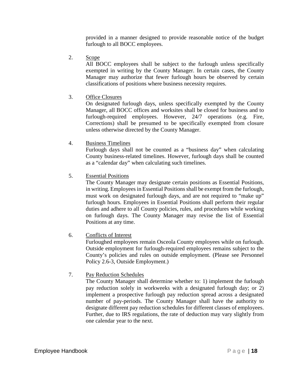provided in a manner designed to provide reasonable notice of the budget furlough to all BOCC employees.

2. Scope

All BOCC employees shall be subject to the furlough unless specifically exempted in writing by the County Manager. In certain cases, the County Manager may authorize that fewer furlough hours be observed by certain classifications of positions where business necessity requires.

3. Office Closures

On designated furlough days, unless specifically exempted by the County Manager, all BOCC offices and worksites shall be closed for business and to furlough-required employees. However, 24/7 operations (e.g. Fire, Corrections) shall be presumed to be specifically exempted from closure unless otherwise directed by the County Manager.

4. Business Timelines

Furlough days shall not be counted as a "business day" when calculating County business-related timelines. However, furlough days shall be counted as a "calendar day" when calculating such timelines.

5. Essential Positions

The County Manager may designate certain positions as Essential Positions, in writing. Employees in Essential Positions shall be exempt from the furlough, must work on designated furlough days, and are not required to "make up" furlough hours. Employees in Essential Positions shall perform their regular duties and adhere to all County policies, rules, and procedures while working on furlough days. The County Manager may revise the list of Essential Positions at any time.

6. Conflicts of Interest

Furloughed employees remain Osceola County employees while on furlough. Outside employment for furlough-required employees remains subject to the County's policies and rules on outside employment. (Please see Personnel Policy 2.6-3, Outside Employment.)

7. Pay Reduction Schedules

The County Manager shall determine whether to: 1) implement the furlough pay reduction solely in workweeks with a designated furlough day; or 2) implement a prospective furlough pay reduction spread across a designated number of pay-periods. The County Manager shall have the authority to designate different pay reduction schedules for different classes of employees. Further, due to IRS regulations, the rate of deduction may vary slightly from one calendar year to the next.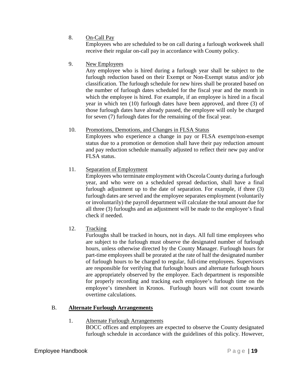8. On-Call Pay

Employees who are scheduled to be on call during a furlough workweek shall receive their regular on-call pay in accordance with County policy.

9. New Employees

Any employee who is hired during a furlough year shall be subject to the furlough reduction based on their Exempt or Non-Exempt status and/or job classification. The furlough schedule for new hires shall be prorated based on the number of furlough dates scheduled for the fiscal year and the month in which the employee is hired. For example, if an employee is hired in a fiscal year in which ten (10) furlough dates have been approved, and three (3) of those furlough dates have already passed, the employee will only be charged for seven (7) furlough dates for the remaining of the fiscal year.

# 10. Promotions, Demotions, and Changes in FLSA Status

Employees who experience a change in pay or FLSA exempt/non-exempt status due to a promotion or demotion shall have their pay reduction amount and pay reduction schedule manually adjusted to reflect their new pay and/or FLSA status.

11. Separation of Employment

Employees who terminate employment with Osceola County during a furlough year, and who were on a scheduled spread deduction, shall have a final furlough adjustment up to the date of separation. For example, if three (3) furlough dates are served and the employee separates employment (voluntarily or involuntarily) the payroll department will calculate the total amount due for all three (3) furloughs and an adjustment will be made to the employee's final check if needed.

12. Tracking

Furloughs shall be tracked in hours, not in days. All full time employees who are subject to the furlough must observe the designated number of furlough hours, unless otherwise directed by the County Manager. Furlough hours for part-time employees shall be prorated at the rate of half the designated number of furlough hours to be charged to regular, full-time employees. Supervisors are responsible for verifying that furlough hours and alternate furlough hours are appropriately observed by the employee. Each department is responsible for properly recording and tracking each employee's furlough time on the employee's timesheet in Kronos. Furlough hours will not count towards overtime calculations.

# B. **Alternate Furlough Arrangements**

# 1. Alternate Furlough Arrangements

BOCC offices and employees are expected to observe the County designated furlough schedule in accordance with the guidelines of this policy. However,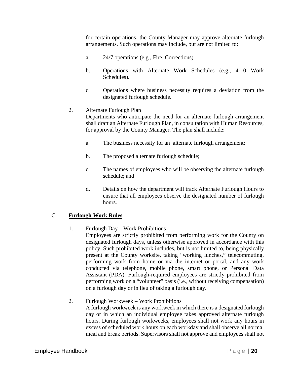for certain operations, the County Manager may approve alternate furlough arrangements. Such operations may include, but are not limited to:

- a. 24/7 operations (e.g., Fire, Corrections).
- b. Operations with Alternate Work Schedules (e.g., 4-10 Work Schedules).
- c. Operations where business necessity requires a deviation from the designated furlough schedule.

# 2. Alternate Furlough Plan

Departments who anticipate the need for an alternate furlough arrangement shall draft an Alternate Furlough Plan, in consultation with Human Resources, for approval by the County Manager. The plan shall include:

- a. The business necessity for an alternate furlough arrangement;
- b. The proposed alternate furlough schedule;
- c. The names of employees who will be observing the alternate furlough schedule; and
- d. Details on how the department will track Alternate Furlough Hours to ensure that all employees observe the designated number of furlough hours.

# C. **Furlough Work Rules**

# 1. Furlough Day – Work Prohibitions

Employees are strictly prohibited from performing work for the County on designated furlough days, unless otherwise approved in accordance with this policy. Such prohibited work includes, but is not limited to, being physically present at the County worksite, taking "working lunches," telecommuting, performing work from home or via the internet or portal, and any work conducted via telephone, mobile phone, smart phone, or Personal Data Assistant (PDA). Furlough-required employees are strictly prohibited from performing work on a "volunteer" basis (i.e., without receiving compensation) on a furlough day or in lieu of taking a furlough day.

# 2. Furlough Workweek – Work Prohibitions

A furlough workweek is any workweek in which there is a designated furlough day or in which an individual employee takes approved alternate furlough hours. During furlough workweeks, employees shall not work any hours in excess of scheduled work hours on each workday and shall observe all normal meal and break periods. Supervisors shall not approve and employees shall not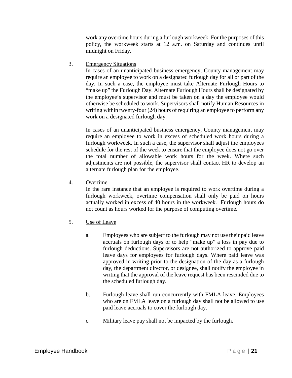work any overtime hours during a furlough workweek. For the purposes of this policy, the workweek starts at 12 a.m. on Saturday and continues until midnight on Friday.

3. Emergency Situations

In cases of an unanticipated business emergency, County management may require an employee to work on a designated furlough day for all or part of the day. In such a case, the employee must take Alternate Furlough Hours to "make up" the Furlough Day. Alternate Furlough Hours shall be designated by the employee's supervisor and must be taken on a day the employee would otherwise be scheduled to work. Supervisors shall notify Human Resources in writing within twenty-four (24) hours of requiring an employee to perform any work on a designated furlough day.

In cases of an unanticipated business emergency, County management may require an employee to work in excess of scheduled work hours during a furlough workweek. In such a case, the supervisor shall adjust the employees schedule for the rest of the week to ensure that the employee does not go over the total number of allowable work hours for the week. Where such adjustments are not possible, the supervisor shall contact HR to develop an alternate furlough plan for the employee.

4. Overtime

In the rare instance that an employee is required to work overtime during a furlough workweek, overtime compensation shall only be paid on hours actually worked in excess of 40 hours in the workweek. Furlough hours do not count as hours worked for the purpose of computing overtime.

- 5. Use of Leave
	- a. Employees who are subject to the furlough may not use their paid leave accruals on furlough days or to help "make up" a loss in pay due to furlough deductions. Supervisors are not authorized to approve paid leave days for employees for furlough days. Where paid leave was approved in writing prior to the designation of the day as a furlough day, the department director, or designee, shall notify the employee in writing that the approval of the leave request has been rescinded due to the scheduled furlough day.
	- b. Furlough leave shall run concurrently with FMLA leave. Employees who are on FMLA leave on a furlough day shall not be allowed to use paid leave accruals to cover the furlough day.
	- c. Military leave pay shall not be impacted by the furlough.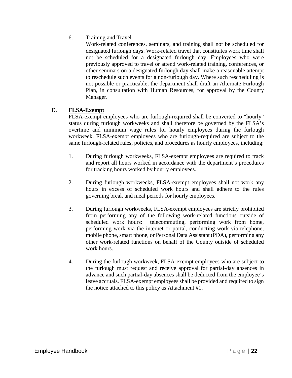6. Training and Travel

Work-related conferences, seminars, and training shall not be scheduled for designated furlough days. Work-related travel that constitutes work time shall not be scheduled for a designated furlough day. Employees who were previously approved to travel or attend work-related training, conferences, or other seminars on a designated furlough day shall make a reasonable attempt to reschedule such events for a non-furlough day. Where such rescheduling is not possible or practicable, the department shall draft an Alternate Furlough Plan, in consultation with Human Resources, for approval by the County Manager.

# D. **FLSA-Exempt**

FLSA-exempt employees who are furlough-required shall be converted to "hourly" status during furlough workweeks and shall therefore be governed by the FLSA's overtime and minimum wage rules for hourly employees during the furlough workweek. FLSA-exempt employees who are furlough-required are subject to the same furlough-related rules, policies, and procedures as hourly employees, including:

- 1. During furlough workweeks, FLSA-exempt employees are required to track and report all hours worked in accordance with the department's procedures for tracking hours worked by hourly employees.
- 2. During furlough workweeks, FLSA-exempt employees shall not work any hours in excess of scheduled work hours and shall adhere to the rules governing break and meal periods for hourly employees.
- 3. During furlough workweeks, FLSA-exempt employees are strictly prohibited from performing any of the following work-related functions outside of scheduled work hours: telecommuting, performing work from home, performing work via the internet or portal, conducting work via telephone, mobile phone, smart phone, or Personal Data Assistant (PDA), performing any other work-related functions on behalf of the County outside of scheduled work hours.
- 4. During the furlough workweek, FLSA-exempt employees who are subject to the furlough must request and receive approval for partial-day absences in advance and such partial-day absences shall be deducted from the employee's leave accruals. FLSA-exempt employees shall be provided and required to sign the notice attached to this policy as Attachment #1.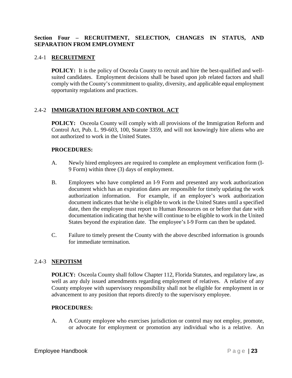### **Section Four – RECRUITMENT, SELECTION, CHANGES IN STATUS, AND SEPARATION FROM EMPLOYMENT**

### 2.4-1 **RECRUITMENT**

**POLICY:** It is the policy of Osceola County to recruit and hire the best-qualified and wellsuited candidates. Employment decisions shall be based upon job related factors and shall comply with the County's commitment to quality, diversity, and applicable equal employment opportunity regulations and practices.

### 2.4-2 **IMMIGRATION REFORM AND CONTROL ACT**

**POLICY:** Osceola County will comply with all provisions of the Immigration Reform and Control Act, Pub. L. 99-603, 100, Statute 3359, and will not knowingly hire aliens who are not authorized to work in the United States.

#### **PROCEDURES:**

- A. Newly hired employees are required to complete an employment verification form (I-9 Form) within three (3) days of employment.
- B. Employees who have completed an I-9 Form and presented any work authorization document which has an expiration dates are responsible for timely updating the work authorization information. For example, if an employee's work authorization document indicates that he/she is eligible to work in the United States until a specified date, then the employee must report to Human Resources on or before that date with documentation indicating that he/she will continue to be eligible to work in the United States beyond the expiration date. The employee's I-9 Form can then be updated.
- C. Failure to timely present the County with the above described information is grounds for immediate termination.

# 2.4-3 **NEPOTISM**

**POLICY:** Osceola County shall follow Chapter 112, Florida Statutes, and regulatory law, as well as any duly issued amendments regarding employment of relatives. A relative of any County employee with supervisory responsibility shall not be eligible for employment in or advancement to any position that reports directly to the supervisory employee.

#### **PROCEDURES:**

A. A County employee who exercises jurisdiction or control may not employ, promote, or advocate for employment or promotion any individual who is a relative. An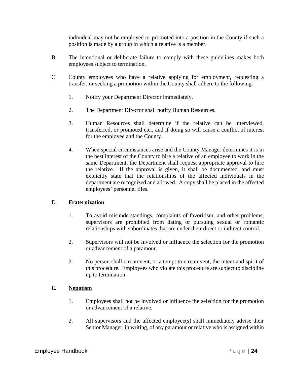individual may not be employed or promoted into a position in the County if such a position is made by a group in which a relative is a member.

- B. The intentional or deliberate failure to comply with these guidelines makes both employees subject to termination.
- C. County employees who have a relative applying for employment, requesting a transfer, or seeking a promotion within the County shall adhere to the following:
	- 1. Notify your Department Director immediately.
	- 2. The Department Director shall notify Human Resources.
	- 3. Human Resources shall determine if the relative can be interviewed, transferred, or promoted etc., and if doing so will cause a conflict of interest for the employee and the County.
	- 4. When special circumstances arise and the County Manager determines it is in the best interest of the County to hire a relative of an employee to work in the same Department, the Department shall request appropriate approval to hire the relative. If the approval is given, it shall be documented, and must explicitly state that the relationships of the affected individuals in the department are recognized and allowed. A copy shall be placed in the affected employees' personnel files.

# D. **Fraternization**

- 1. To avoid misunderstandings, complaints of favoritism, and other problems, supervisors are prohibited from dating or pursuing sexual or romantic relationships with subordinates that are under their direct or indirect control.
- 2. Supervisors will not be involved or influence the selection for the promotion or advancement of a paramour.
- 3. No person shall circumvent, or attempt to circumvent, the intent and spirit of this procedure. Employees who violate this procedure are subject to discipline up to termination.

# E. **Nepotism**

- 1. Employees shall not be involved or influence the selection for the promotion or advancement of a relative.
- 2. All supervisors and the affected employee(s) shall immediately advise their Senior Manager, in writing, of any paramour or relative who is assigned within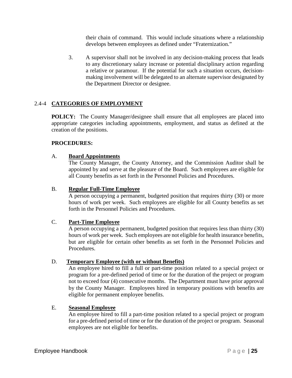their chain of command. This would include situations where a relationship develops between employees as defined under "Fraternization."

3. A supervisor shall not be involved in any decision-making process that leads to any discretionary salary increase or potential disciplinary action regarding a relative or paramour. If the potential for such a situation occurs, decisionmaking involvement will be delegated to an alternate supervisor designated by the Department Director or designee.

# 2.4-4 **CATEGORIES OF EMPLOYMENT**

**POLICY:** The County Manager/designee shall ensure that all employees are placed into appropriate categories including appointments, employment, and status as defined at the creation of the positions.

### **PROCEDURES:**

#### A. **Board Appointments**

The County Manager, the County Attorney, and the Commission Auditor shall be appointed by and serve at the pleasure of the Board. Such employees are eligible for all County benefits as set forth in the Personnel Policies and Procedures.

#### B. **Regular Full-Time Employee**

A person occupying a permanent, budgeted position that requires thirty (30) or more hours of work per week. Such employees are eligible for all County benefits as set forth in the Personnel Policies and Procedures.

#### C. **Part-Time Employee**

A person occupying a permanent, budgeted position that requires less than thirty (30) hours of work per week. Such employees are not eligible for health insurance benefits, but are eligible for certain other benefits as set forth in the Personnel Policies and Procedures.

# D. **Temporary Employee (with or without Benefits)**

An employee hired to fill a full or part-time position related to a special project or program for a pre-defined period of time or for the duration of the project or program not to exceed four (4) consecutive months. The Department must have prior approval by the County Manager. Employees hired in temporary positions with benefits are eligible for permanent employee benefits.

#### E. **Seasonal Employee**

An employee hired to fill a part-time position related to a special project or program for a pre-defined period of time or for the duration of the project or program. Seasonal employees are not eligible for benefits.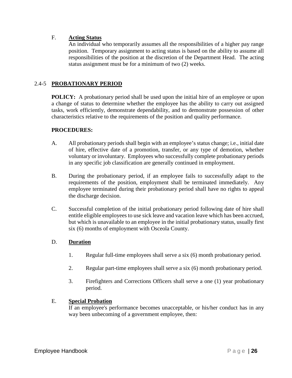### F. **Acting Status**

An individual who temporarily assumes all the responsibilities of a higher pay range position. Temporary assignment to acting status is based on the ability to assume all responsibilities of the position at the discretion of the Department Head. The acting status assignment must be for a minimum of two (2) weeks.

# 2.4-5 **PROBATIONARY PERIOD**

**POLICY:** A probationary period shall be used upon the initial hire of an employee or upon a change of status to determine whether the employee has the ability to carry out assigned tasks, work efficiently, demonstrate dependability, and to demonstrate possession of other characteristics relative to the requirements of the position and quality performance.

#### **PROCEDURES:**

- A. All probationary periods shall begin with an employee's status change; i.e., initial date of hire, effective date of a promotion, transfer, or any type of demotion, whether voluntary or involuntary. Employees who successfully complete probationary periods in any specific job classification are generally continued in employment.
- B. During the probationary period, if an employee fails to successfully adapt to the requirements of the position, employment shall be terminated immediately. Any employee terminated during their probationary period shall have no rights to appeal the discharge decision.
- C. Successful completion of the initial probationary period following date of hire shall entitle eligible employees to use sick leave and vacation leave which has been accrued, but which is unavailable to an employee in the initial probationary status, usually first six (6) months of employment with Osceola County.

#### D. **Duration**

- 1. Regular full-time employees shall serve a six (6) month probationary period.
- 2. Regular part-time employees shall serve a six (6) month probationary period.
- 3. Firefighters and Corrections Officers shall serve a one (1) year probationary period.

#### E. **Special Probation**

If an employee's performance becomes unacceptable, or his/her conduct has in any way been unbecoming of a government employee, then: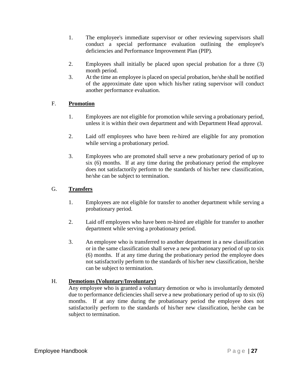- 1. The employee's immediate supervisor or other reviewing supervisors shall conduct a special performance evaluation outlining the employee's deficiencies and Performance Improvement Plan (PIP).
- 2. Employees shall initially be placed upon special probation for a three (3) month period.
- 3. At the time an employee is placed on special probation, he/she shall be notified of the approximate date upon which his/her rating supervisor will conduct another performance evaluation.

# F. **Promotion**

- 1. Employees are not eligible for promotion while serving a probationary period, unless it is within their own department and with Department Head approval.
- 2. Laid off employees who have been re-hired are eligible for any promotion while serving a probationary period.
- 3. Employees who are promoted shall serve a new probationary period of up to six (6) months. If at any time during the probationary period the employee does not satisfactorily perform to the standards of his/her new classification, he/she can be subject to termination.

# G. **Transfers**

- 1. Employees are not eligible for transfer to another department while serving a probationary period.
- 2. Laid off employees who have been re-hired are eligible for transfer to another department while serving a probationary period.
- 3. An employee who is transferred to another department in a new classification or in the same classification shall serve a new probationary period of up to six (6) months. If at any time during the probationary period the employee does not satisfactorily perform to the standards of his/her new classification, he/she can be subject to termination.

# H. **Demotions (Voluntary/Involuntary)**

Any employee who is granted a voluntary demotion or who is involuntarily demoted due to performance deficiencies shall serve a new probationary period of up to six (6) months. If at any time during the probationary period the employee does not satisfactorily perform to the standards of his/her new classification, he/she can be subject to termination.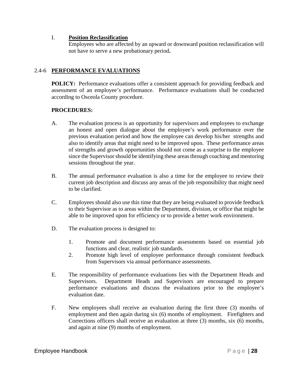#### I. **Position Reclassification**

Employees who are affected by an upward or downward position reclassification will not have to serve a new probationary period**.**

# 2.4-6 **PERFORMANCE EVALUATIONS**

**POLICY:** Performance evaluations offer a consistent approach for providing feedback and assessment of an employee's performance. Performance evaluations shall be conducted according to Osceola County procedure.

- A. The evaluation process is an opportunity for supervisors and employees to exchange an honest and open dialogue about the employee's work performance over the previous evaluation period and how the employee can develop his/her strengths and also to identify areas that might need to be improved upon. These performance areas of strengths and growth opportunities should not come as a surprise to the employee since the Supervisor should be identifying these areas through coaching and mentoring sessions throughout the year.
- B. The annual performance evaluation is also a time for the employee to review their current job description and discuss any areas of the job responsibility that might need to be clarified.
- C. Employees should also use this time that they are being evaluated to provide feedback to their Supervisor as to areas within the Department, division, or office that might be able to be improved upon for efficiency or to provide a better work environment.
- D. The evaluation process is designed to:
	- 1. Promote and document performance assessments based on essential job functions and clear, realistic job standards.
	- 2. Promote high level of employee performance through consistent feedback from Supervisors via annual performance assessments.
- E. The responsibility of performance evaluations lies with the Department Heads and Supervisors. Department Heads and Supervisors are encouraged to prepare performance evaluations and discuss the evaluations prior to the employee's evaluation date.
- F. New employees shall receive an evaluation during the first three (3) months of employment and then again during six (6) months of employment. Firefighters and Corrections officers shall receive an evaluation at three (3) months, six (6) months, and again at nine (9) months of employment.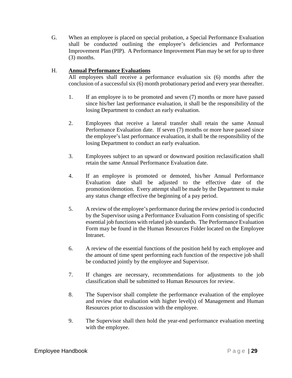G. When an employee is placed on special probation, a Special Performance Evaluation shall be conducted outlining the employee's deficiencies and Performance Improvement Plan (PIP). A Performance Improvement Plan may be set for up to three (3) months.

# H. **Annual Performance Evaluations**

All employees shall receive a performance evaluation six (6) months after the conclusion of a successful six (6) month probationary period and every year thereafter.

- 1. If an employee is to be promoted and seven (7) months or more have passed since his/her last performance evaluation, it shall be the responsibility of the losing Department to conduct an early evaluation.
- 2. Employees that receive a lateral transfer shall retain the same Annual Performance Evaluation date. If seven (7) months or more have passed since the employee's last performance evaluation, it shall be the responsibility of the losing Department to conduct an early evaluation.
- 3. Employees subject to an upward or downward position reclassification shall retain the same Annual Performance Evaluation date.
- 4. If an employee is promoted or demoted, his/her Annual Performance Evaluation date shall be adjusted to the effective date of the promotion/demotion. Every attempt shall be made by the Department to make any status change effective the beginning of a pay period.
- 5. A review of the employee's performance during the review period is conducted by the Supervisor using a Performance Evaluation Form consisting of specific essential job functions with related job standards. The Performance Evaluation Form may be found in the Human Resources Folder located on the Employee Intranet.
- 6. A review of the essential functions of the position held by each employee and the amount of time spent performing each function of the respective job shall be conducted jointly by the employee and Supervisor.
- 7. If changes are necessary, recommendations for adjustments to the job classification shall be submitted to Human Resources for review.
- 8. The Supervisor shall complete the performance evaluation of the employee and review that evaluation with higher level(s) of Management and Human Resources prior to discussion with the employee.
- 9. The Supervisor shall then hold the year-end performance evaluation meeting with the employee.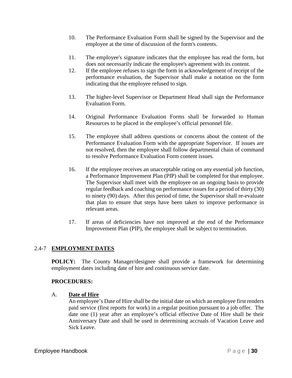- 10. The Performance Evaluation Form shall be signed by the Supervisor and the employee at the time of discussion of the form's contents.
- 11. The employee's signature indicates that the employee has read the form, but does not necessarily indicate the employee's agreement with its content.
- 12. If the employee refuses to sign the form in acknowledgement of receipt of the performance evaluation, the Supervisor shall make a notation on the form indicating that the employee refused to sign.
- 13. The higher-level Supervisor or Department Head shall sign the Performance Evaluation Form.
- 14. Original Performance Evaluation Forms shall be forwarded to Human Resources to be placed in the employee's official personnel file.
- 15. The employee shall address questions or concerns about the content of the Performance Evaluation Form with the appropriate Supervisor. If issues are not resolved, then the employee shall follow departmental chain of command to resolve Performance Evaluation Form content issues.
- 16. If the employee receives an unacceptable rating on any essential job function, a Performance Improvement Plan (PIP) shall be completed for that employee. The Supervisor shall meet with the employee on an ongoing basis to provide regular feedback and coaching on performance issues for a period of thirty (30) to ninety (90) days. After this period of time, the Supervisor shall re-evaluate that plan to ensure that steps have been taken to improve performance in relevant areas.
- 17. If areas of deficiencies have not improved at the end of the Performance Improvement Plan (PIP), the employee shall be subject to termination.

# 2.4-7 **EMPLOYMENT DATES**

**POLICY:** The County Manager/designee shall provide a framework for determining employment dates including date of hire and continuous service date.

# **PROCEDURES:**

# A. **Date of Hire**

An employee's Date of Hire shall be the initial date on which an employee first renders paid service (first reports for work) in a regular position pursuant to a job offer. The date one (1) year after an employee's official effective Date of Hire shall be their Anniversary Date and shall be used in determining accruals of Vacation Leave and Sick Leave.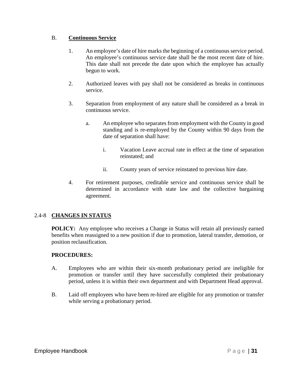# B. **Continuous Service**

- 1. An employee's date of hire marks the beginning of a continuous service period. An employee's continuous service date shall be the most recent date of hire. This date shall not precede the date upon which the employee has actually begun to work.
- 2. Authorized leaves with pay shall not be considered as breaks in continuous service.
- 3. Separation from employment of any nature shall be considered as a break in continuous service.
	- a. An employee who separates from employment with the County in good standing and is re-employed by the County within 90 days from the date of separation shall have:
		- i. Vacation Leave accrual rate in effect at the time of separation reinstated; and
		- ii. County years of service reinstated to previous hire date.
- 4. For retirement purposes, creditable service and continuous service shall be determined in accordance with state law and the collective bargaining agreement.

# 2.4-8 **CHANGES IN STATUS**

**POLICY:** Any employee who receives a Change in Status will retain all previously earned benefits when reassigned to a new position if due to promotion, lateral transfer, demotion, or position reclassification.

- A. Employees who are within their six-month probationary period are ineligible for promotion or transfer until they have successfully completed their probationary period, unless it is within their own department and with Department Head approval.
- B. Laid off employees who have been re-hired are eligible for any promotion or transfer while serving a probationary period.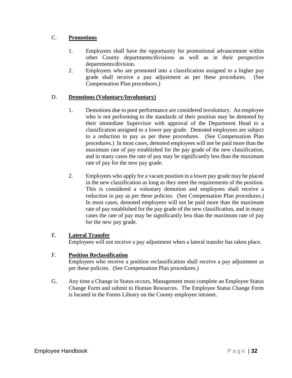# C. **Promotions**

- 1. Employees shall have the opportunity for promotional advancement within other County departments/divisions as well as in their perspective departments/division.
- 2. Employees who are promoted into a classification assigned to a higher pay grade shall receive a pay adjustment as per these procedures. (See Compensation Plan procedures.)

# D. **Demotions (Voluntary/Involuntary)**

- 1. Demotions due to poor performance are considered involuntary. An employee who is not performing to the standards of their position may be demoted by their immediate Supervisor with approval of the Department Head to a classification assigned to a lower pay grade. Demoted employees are subject to a reduction in pay as per these procedures. (See Compensation Plan procedures.) In most cases, demoted employees will not be paid more than the maximum rate of pay established for the pay grade of the new classification, and in many cases the rate of pay may be significantly less than the maximum rate of pay for the new pay grade.
- 2. Employees who apply for a vacant position in a lower pay grade may be placed in the new classification as long as they meet the requirements of the position. This is considered a voluntary demotion and employees shall receive a reduction in pay as per these policies. (See Compensation Plan procedures.) In most cases, demoted employees will not be paid more than the maximum rate of pay established for the pay grade of the new classification, and in many cases the rate of pay may be significantly less than the maximum rate of pay for the new pay grade.

# E. **Lateral Transfer**

Employees will not receive a pay adjustment when a lateral transfer has taken place.

# F. **Position Reclassification**

Employees who receive a position reclassification shall receive a pay adjustment as per these policies. (See Compensation Plan procedures.)

G. Any time a Change in Status occurs, Management must complete an Employee Status Change Form and submit to Human Resources. The Employee Status Change Form is located in the Forms Library on the County employee intranet.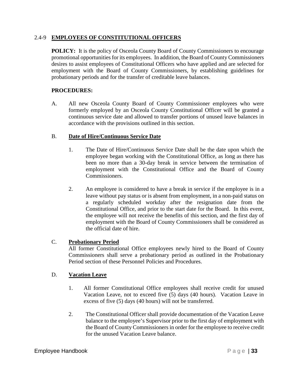### 2.4-9 **EMPLOYEES OF CONSTITUTIONAL OFFICERS**

**POLICY:** It is the policy of Osceola County Board of County Commissioners to encourage promotional opportunities for its employees. In addition, the Board of County Commissioners desires to assist employees of Constitutional Officers who have applied and are selected for employment with the Board of County Commissioners, by establishing guidelines for probationary periods and for the transfer of creditable leave balances.

# **PROCEDURES:**

A. All new Osceola County Board of County Commissioner employees who were formerly employed by an Osceola County Constitutional Officer will be granted a continuous service date and allowed to transfer portions of unused leave balances in accordance with the provisions outlined in this section.

# B. **Date of Hire/Continuous Service Date**

- 1. The Date of Hire/Continuous Service Date shall be the date upon which the employee began working with the Constitutional Office, as long as there has been no more than a 30-day break in service between the termination of employment with the Constitutional Office and the Board of County Commissioners.
- 2. An employee is considered to have a break in service if the employee is in a leave without pay status or is absent from employment, in a non-paid status on a regularly scheduled workday after the resignation date from the Constitutional Office, and prior to the start date for the Board. In this event, the employee will not receive the benefits of this section, and the first day of employment with the Board of County Commissioners shall be considered as the official date of hire.

# C. **Probationary Period**

All former Constitutional Office employees newly hired to the Board of County Commissioners shall serve a probationary period as outlined in the Probationary Period section of these Personnel Policies and Procedures.

#### D. **Vacation Leave**

- 1. All former Constitutional Office employees shall receive credit for unused Vacation Leave, not to exceed five (5) days (40 hours). Vacation Leave in excess of five (5) days (40 hours) will not be transferred.
- 2. The Constitutional Officer shall provide documentation of the Vacation Leave balance to the employee's Supervisor prior to the first day of employment with the Board of County Commissioners in order for the employee to receive credit for the unused Vacation Leave balance.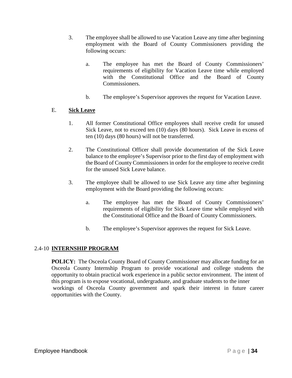- 3. The employee shall be allowed to use Vacation Leave any time after beginning employment with the Board of County Commissioners providing the following occurs:
	- a. The employee has met the Board of County Commissioners' requirements of eligibility for Vacation Leave time while employed with the Constitutional Office and the Board of County Commissioners.
	- b. The employee's Supervisor approves the request for Vacation Leave.

# E. **Sick Leave**

- 1. All former Constitutional Office employees shall receive credit for unused Sick Leave, not to exceed ten (10) days (80 hours). Sick Leave in excess of ten (10) days (80 hours) will not be transferred.
- 2. The Constitutional Officer shall provide documentation of the Sick Leave balance to the employee's Supervisor prior to the first day of employment with the Board of County Commissioners in order for the employee to receive credit for the unused Sick Leave balance.
- 3. The employee shall be allowed to use Sick Leave any time after beginning employment with the Board providing the following occurs:
	- a. The employee has met the Board of County Commissioners' requirements of eligibility for Sick Leave time while employed with the Constitutional Office and the Board of County Commissioners.
	- b. The employee's Supervisor approves the request for Sick Leave.

# 2.4-10 **INTERNSHIP PROGRAM**

**POLICY:** The Osceola County Board of County Commissioner may allocate funding for an Osceola County Internship Program to provide vocational and college students the opportunity to obtain practical work experience in a public sector environment. The intent of this program is to expose vocational, undergraduate, and graduate students to the inner workings of Osceola County government and spark their interest in future career opportunities with the County.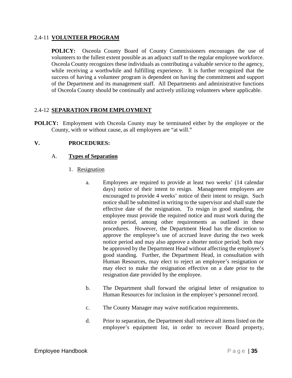### 2.4-11 **VOLUNTEER PROGRAM**

**POLICY:** Osceola County Board of County Commissioners encourages the use of volunteers to the fullest extent possible as an adjunct staff to the regular employee workforce. Osceola County recognizes these individuals as contributing a valuable service to the agency, while receiving a worthwhile and fulfilling experience. It is further recognized that the success of having a volunteer program is dependent on having the commitment and support of the Department and its management staff. All Departments and administrative functions of Osceola County should be continually and actively utilizing volunteers where applicable.

# 2.4-12 **SEPARATION FROM EMPLOYMENT**

**POLICY:** Employment with Osceola County may be terminated either by the employee or the County, with or without cause, as all employees are "at will."

# **V. PROCEDURES:**

# A. **Types of Separation**

- 1. Resignation
	- a. Employees are required to provide at least two weeks' (14 calendar days) notice of their intent to resign. Management employees are encouraged to provide 4 weeks' notice of their intent to resign. Such notice shall be submitted in writing to the supervisor and shall state the effective date of the resignation. To resign in good standing, the employee must provide the required notice and must work during the notice period, among other requirements as outlined in these procedures. However, the Department Head has the discretion to approve the employee's use of accrued leave during the two week notice period and may also approve a shorter notice period; both may be approved by the Department Head without affecting the employee's good standing. Further, the Department Head, in consultation with Human Resources, may elect to reject an employee's resignation or may elect to make the resignation effective on a date prior to the resignation date provided by the employee.
	- b. The Department shall forward the original letter of resignation to Human Resources for inclusion in the employee's personnel record.
	- c. The County Manager may waive notification requirements.
	- d. Prior to separation, the Department shall retrieve all items listed on the employee's equipment list, in order to recover Board property,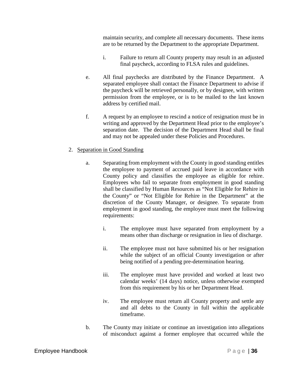maintain security, and complete all necessary documents. These items are to be returned by the Department to the appropriate Department.

- i. Failure to return all County property may result in an adjusted final paycheck, according to FLSA rules and guidelines.
- e. All final paychecks are distributed by the Finance Department. A separated employee shall contact the Finance Department to advise if the paycheck will be retrieved personally, or by designee, with written permission from the employee, or is to be mailed to the last known address by certified mail.
- f. A request by an employee to rescind a notice of resignation must be in writing and approved by the Department Head prior to the employee's separation date. The decision of the Department Head shall be final and may not be appealed under these Policies and Procedures.

### 2. Separation in Good Standing

- a. Separating from employment with the County in good standing entitles the employee to payment of accrued paid leave in accordance with County policy and classifies the employee as eligible for rehire. Employees who fail to separate from employment in good standing shall be classified by Human Resources as "Not Eligible for Rehire in the County" or "Not Eligible for Rehire in the Department" at the discretion of the County Manager, or designee. To separate from employment in good standing, the employee must meet the following requirements:
	- i. The employee must have separated from employment by a means other than discharge or resignation in lieu of discharge.
	- ii. The employee must not have submitted his or her resignation while the subject of an official County investigation or after being notified of a pending pre-determination hearing.
	- iii. The employee must have provided and worked at least two calendar weeks' (14 days) notice, unless otherwise exempted from this requirement by his or her Department Head.
	- iv. The employee must return all County property and settle any and all debts to the County in full within the applicable timeframe.
- b. The County may initiate or continue an investigation into allegations of misconduct against a former employee that occurred while the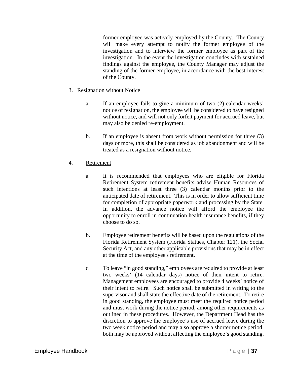former employee was actively employed by the County. The County will make every attempt to notify the former employee of the investigation and to interview the former employee as part of the investigation. In the event the investigation concludes with sustained findings against the employee, the County Manager may adjust the standing of the former employee, in accordance with the best interest of the County.

# 3. Resignation without Notice

- a. If an employee fails to give a minimum of two (2) calendar weeks' notice of resignation, the employee will be considered to have resigned without notice, and will not only forfeit payment for accrued leave, but may also be denied re-employment.
- b. If an employee is absent from work without permission for three (3) days or more, this shall be considered as job abandonment and will be treated as a resignation without notice.

# 4. Retirement

- a. It is recommended that employees who are eligible for Florida Retirement System retirement benefits advise Human Resources of such intentions at least three (3) calendar months prior to the anticipated date of retirement. This is in order to allow sufficient time for completion of appropriate paperwork and processing by the State. In addition, the advance notice will afford the employee the opportunity to enroll in continuation health insurance benefits, if they choose to do so.
- b. Employee retirement benefits will be based upon the regulations of the Florida Retirement System (Florida Statues, Chapter 121), the Social Security Act, and any other applicable provisions that may be in effect at the time of the employee's retirement.
- c. To leave "in good standing," employees are required to provide at least two weeks' (14 calendar days) notice of their intent to retire. Management employees are encouraged to provide 4 weeks' notice of their intent to retire. Such notice shall be submitted in writing to the supervisor and shall state the effective date of the retirement. To retire in good standing, the employee must meet the required notice period and must work during the notice period, among other requirements as outlined in these procedures. However, the Department Head has the discretion to approve the employee's use of accrued leave during the two week notice period and may also approve a shorter notice period; both may be approved without affecting the employee's good standing.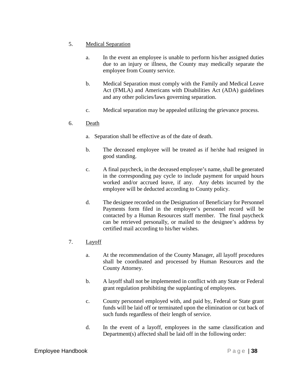- 5. Medical Separation
	- a. In the event an employee is unable to perform his/her assigned duties due to an injury or illness, the County may medically separate the employee from County service.
	- b. Medical Separation must comply with the Family and Medical Leave Act (FMLA) and Americans with Disabilities Act (ADA) guidelines and any other policies/laws governing separation.
	- c. Medical separation may be appealed utilizing the grievance process.

### 6. Death

- a. Separation shall be effective as of the date of death.
- b. The deceased employee will be treated as if he/she had resigned in good standing.
- c. A final paycheck, in the deceased employee's name, shall be generated in the corresponding pay cycle to include payment for unpaid hours worked and/or accrued leave, if any. Any debts incurred by the employee will be deducted according to County policy.
- d. The designee recorded on the Designation of Beneficiary for Personnel Payments form filed in the employee's personnel record will be contacted by a Human Resources staff member. The final paycheck can be retrieved personally, or mailed to the designee's address by certified mail according to his/her wishes.
- 7. Layoff
	- a. At the recommendation of the County Manager, all layoff procedures shall be coordinated and processed by Human Resources and the County Attorney.
	- b. A layoff shall not be implemented in conflict with any State or Federal grant regulation prohibiting the supplanting of employees.
	- c. County personnel employed with, and paid by, Federal or State grant funds will be laid off or terminated upon the elimination or cut back of such funds regardless of their length of service.
	- d. In the event of a layoff, employees in the same classification and Department(s) affected shall be laid off in the following order: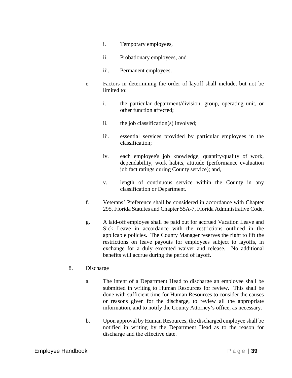- i. Temporary employees,
- ii. Probationary employees, and
- iii. Permanent employees.
- e. Factors in determining the order of layoff shall include, but not be limited to:
	- i. the particular department/division, group, operating unit, or other function affected;
	- ii. the job classification(s) involved;
	- iii. essential services provided by particular employees in the classification;
	- iv. each employee's job knowledge, quantity/quality of work, dependability, work habits, attitude (performance evaluation job fact ratings during County service); and,
	- v. length of continuous service within the County in any classification or Department.
- f. Veterans' Preference shall be considered in accordance with Chapter 295, Florida Statutes and Chapter 55A-7, Florida Administrative Code.
- g. A laid-off employee shall be paid out for accrued Vacation Leave and Sick Leave in accordance with the restrictions outlined in the applicable policies. The County Manager reserves the right to lift the restrictions on leave payouts for employees subject to layoffs, in exchange for a duly executed waiver and release. No additional benefits will accrue during the period of layoff.

#### 8. Discharge

- a. The intent of a Department Head to discharge an employee shall be submitted in writing to Human Resources for review. This shall be done with sufficient time for Human Resources to consider the causes or reasons given for the discharge, to review all the appropriate information, and to notify the County Attorney's office, as necessary.
- b. Upon approval by Human Resources, the discharged employee shall be notified in writing by the Department Head as to the reason for discharge and the effective date.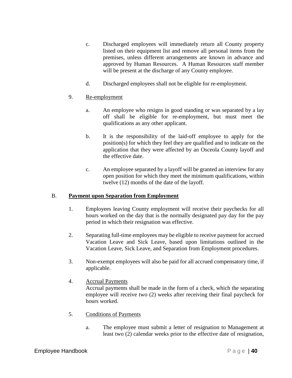- c. Discharged employees will immediately return all County property listed on their equipment list and remove all personal items from the premises, unless different arrangements are known in advance and approved by Human Resources. A Human Resources staff member will be present at the discharge of any County employee.
- d. Discharged employees shall not be eligible for re-employment.

# 9. Re-employment

- a. An employee who resigns in good standing or was separated by a lay off shall be eligible for re-employment, but must meet the qualifications as any other applicant.
- b. It is the responsibility of the laid-off employee to apply for the position(s) for which they feel they are qualified and to indicate on the application that they were affected by an Osceola County layoff and the effective date.
- c. An employee separated by a layoff will be granted an interview for any open position for which they meet the minimum qualifications, within twelve (12) months of the date of the layoff.

# B. **Payment upon Separation from Employment**

- 1. Employees leaving County employment will receive their paychecks for all hours worked on the day that is the normally designated pay day for the pay period in which their resignation was effective.
- 2. Separating full-time employees may be eligible to receive payment for accrued Vacation Leave and Sick Leave, based upon limitations outlined in the Vacation Leave, Sick Leave, and Separation from Employment procedures.
- 3. Non-exempt employees will also be paid for all accrued compensatory time, if applicable.
- 4. Accrual Payments Accrual payments shall be made in the form of a check, which the separating employee will receive two (2) weeks after receiving their final paycheck for hours worked.
- 5. Conditions of Payments
	- a. The employee must submit a letter of resignation to Management at least two (2) calendar weeks prior to the effective date of resignation,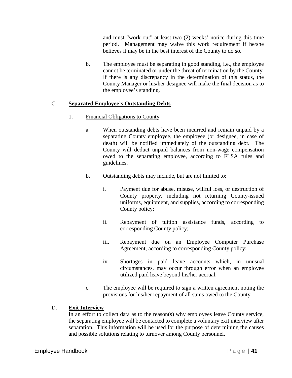and must "work out" at least two (2) weeks' notice during this time period. Management may waive this work requirement if he/she believes it may be in the best interest of the County to do so.

b. The employee must be separating in good standing, i.e., the employee cannot be terminated or under the threat of termination by the County. If there is any discrepancy in the determination of this status, the County Manager or his/her designee will make the final decision as to the employee's standing.

# C. **Separated Employee's Outstanding Debts**

# 1. Financial Obligations to County

- a. When outstanding debts have been incurred and remain unpaid by a separating County employee, the employee (or designee, in case of death) will be notified immediately of the outstanding debt. The County will deduct unpaid balances from non-wage compensation owed to the separating employee, according to FLSA rules and guidelines.
- b. Outstanding debts may include, but are not limited to:
	- i. Payment due for abuse, misuse, willful loss, or destruction of County property, including not returning County-issued uniforms, equipment, and supplies, according to corresponding County policy;
	- ii. Repayment of tuition assistance funds, according to corresponding County policy;
	- iii. Repayment due on an Employee Computer Purchase Agreement, according to corresponding County policy;
	- iv. Shortages in paid leave accounts which, in unusual circumstances, may occur through error when an employee utilized paid leave beyond his/her accrual.
- c. The employee will be required to sign a written agreement noting the provisions for his/her repayment of all sums owed to the County.

# D. **Exit Interview**

In an effort to collect data as to the reason(s) why employees leave County service, the separating employee will be contacted to complete a voluntary exit interview after separation. This information will be used for the purpose of determining the causes and possible solutions relating to turnover among County personnel.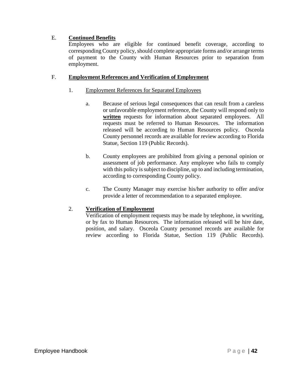# E. **Continued Benefits**

Employees who are eligible for continued benefit coverage, according to corresponding County policy, should complete appropriate forms and/or arrange terms of payment to the County with Human Resources prior to separation from employment.

# F. **Employment References and Verification of Employment**

# 1. Employment References for Separated Employees

- a. Because of serious legal consequences that can result from a careless or unfavorable employment reference, the County will respond only to **written** requests for information about separated employees. All requests must be referred to Human Resources. The information released will be according to Human Resources policy. Osceola County personnel records are available for review according to Florida Statue, Section 119 (Public Records).
- b. County employees are prohibited from giving a personal opinion or assessment of job performance. Any employee who fails to comply with this policy is subject to discipline, up to and including termination, according to corresponding County policy.
- c. The County Manager may exercise his/her authority to offer and/or provide a letter of recommendation to a separated employee.

# 2. **Verification of Employment**

Verification of employment requests may be made by telephone, in wwriting, or by fax to Human Resources. The information released will be hire date, position, and salary. Osceola County personnel records are available for review according to Florida Statue, Section 119 (Public Records).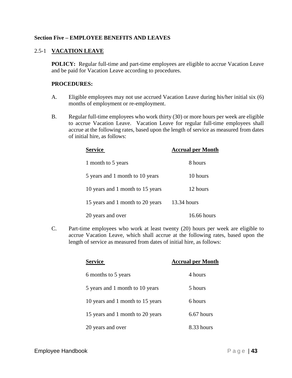### **Section Five – EMPLOYEE BENEFITS AND LEAVES**

### 2.5-1 **VACATION LEAVE**

**POLICY:** Regular full-time and part-time employees are eligible to accrue Vacation Leave and be paid for Vacation Leave according to procedures.

### **PROCEDURES:**

- A. Eligible employees may not use accrued Vacation Leave during his/her initial six (6) months of employment or re-employment.
- B. Regular full-time employees who work thirty (30) or more hours per week are eligible to accrue Vacation Leave. Vacation Leave for regular full-time employees shall accrue at the following rates, based upon the length of service as measured from dates of initial hire, as follows:

| <b>Service</b>                   | <b>Accrual per Month</b> |
|----------------------------------|--------------------------|
| 1 month to 5 years               | 8 hours                  |
| 5 years and 1 month to 10 years  | 10 hours                 |
| 10 years and 1 month to 15 years | 12 hours                 |
| 15 years and 1 month to 20 years | 13.34 hours              |
| 20 years and over                | 16.66 hours              |

C. Part-time employees who work at least twenty (20) hours per week are eligible to accrue Vacation Leave, which shall accrue at the following rates, based upon the length of service as measured from dates of initial hire, as follows:

| <b>Service</b>                   | <b>Accrual per Month</b> |
|----------------------------------|--------------------------|
| 6 months to 5 years              | 4 hours                  |
| 5 years and 1 month to 10 years  | 5 hours                  |
| 10 years and 1 month to 15 years | 6 hours                  |
| 15 years and 1 month to 20 years | $6.67$ hours             |
| 20 years and over                | 8.33 hours               |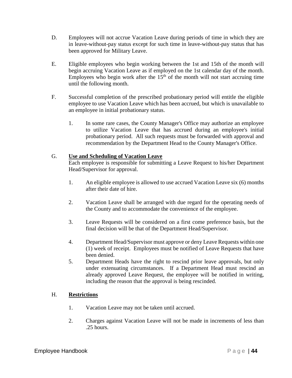- D. Employees will not accrue Vacation Leave during periods of time in which they are in leave-without-pay status except for such time in leave-without-pay status that has been approved for Military Leave.
- E. Eligible employees who begin working between the 1st and 15th of the month will begin accruing Vacation Leave as if employed on the 1st calendar day of the month. Employees who begin work after the  $15<sup>th</sup>$  of the month will not start accruing time until the following month.
- F. Successful completion of the prescribed probationary period will entitle the eligible employee to use Vacation Leave which has been accrued, but which is unavailable to an employee in initial probationary status.
	- 1. In some rare cases, the County Manager's Office may authorize an employee to utilize Vacation Leave that has accrued during an employee's initial probationary period. All such requests must be forwarded with approval and recommendation by the Department Head to the County Manager's Office.

### G. **Use and Scheduling of Vacation Leave**

Each employee is responsible for submitting a Leave Request to his/her Department Head/Supervisor for approval.

- 1. An eligible employee is allowed to use accrued Vacation Leave six (6) months after their date of hire.
- 2. Vacation Leave shall be arranged with due regard for the operating needs of the County and to accommodate the convenience of the employee.
- 3. Leave Requests will be considered on a first come preference basis, but the final decision will be that of the Department Head/Supervisor.
- 4. Department Head/Supervisor must approve or deny Leave Requests within one (1) week of receipt. Employees must be notified of Leave Requests that have been denied.
- 5. Department Heads have the right to rescind prior leave approvals, but only under extenuating circumstances. If a Department Head must rescind an already approved Leave Request, the employee will be notified in writing, including the reason that the approval is being rescinded.

# H. **Restrictions**

- 1. Vacation Leave may not be taken until accrued.
- 2. Charges against Vacation Leave will not be made in increments of less than .25 hours.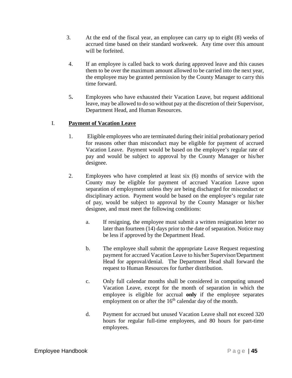- 3. At the end of the fiscal year, an employee can carry up to eight (8) weeks of accrued time based on their standard workweek. Any time over this amount will be forfeited.
- 4. If an employee is called back to work during approved leave and this causes them to be over the maximum amount allowed to be carried into the next year, the employee may be granted permission by the County Manager to carry this time forward.
- 5**.** Employees who have exhausted their Vacation Leave, but request additional leave, may be allowed to do so without pay at the discretion of their Supervisor, Department Head, and Human Resources.

# I. **Payment of Vacation Leave**

- 1. Eligible employees who are terminated during their initial probationary period for reasons other than misconduct may be eligible for payment of accrued Vacation Leave. Payment would be based on the employee's regular rate of pay and would be subject to approval by the County Manager or his/her designee.
- 2. Employees who have completed at least six (6) months of service with the County may be eligible for payment of accrued Vacation Leave upon separation of employment unless they are being discharged for misconduct or disciplinary action. Payment would be based on the employee's regular rate of pay, would be subject to approval by the County Manager or his/her designee, and must meet the following conditions:
	- a. If resigning, the employee must submit a written resignation letter no later than fourteen (14) days prior to the date of separation. Notice may be less if approved by the Department Head.
	- b. The employee shall submit the appropriate Leave Request requesting payment for accrued Vacation Leave to his/her Supervisor/Department Head for approval/denial. The Department Head shall forward the request to Human Resources for further distribution.
	- c. Only full calendar months shall be considered in computing unused Vacation Leave, except for the month of separation in which the employee is eligible for accrual **only** if the employee separates employment on or after the  $16<sup>th</sup>$  calendar day of the month.
	- d. Payment for accrued but unused Vacation Leave shall not exceed 320 hours for regular full-time employees, and 80 hours for part-time employees.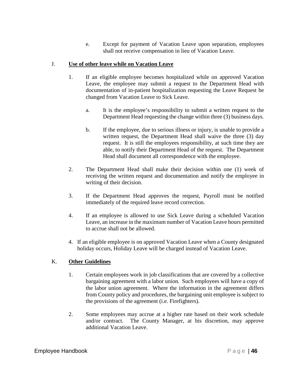e. Except for payment of Vacation Leave upon separation, employees shall not receive compensation in lieu of Vacation Leave.

### J. **Use of other leave while on Vacation Leave**

- 1. If an eligible employee becomes hospitalized while on approved Vacation Leave, the employee may submit a request to the Department Head with documentation of in-patient hospitalization requesting the Leave Request be changed from Vacation Leave to Sick Leave.
	- a. It is the employee's responsibility to submit a written request to the Department Head requesting the change within three (3) business days.
	- b. If the employee, due to serious illness or injury, is unable to provide a written request, the Department Head shall waive the three (3) day request. It is still the employees responsibility, at such time they are able, to notify their Department Head of the request. The Department Head shall document all correspondence with the employee.
- 2. The Department Head shall make their decision within one (1) week of receiving the written request and documentation and notify the employee in writing of their decision.
- 3. If the Department Head approves the request, Payroll must be notified immediately of the required leave record correction.
- 4. If an employee is allowed to use Sick Leave during a scheduled Vacation Leave, an increase in the maximum number of Vacation Leave hours permitted to accrue shall not be allowed.
- 4. If an eligible employee is on approved Vacation Leave when a County designated holiday occurs, Holiday Leave will be charged instead of Vacation Leave.

# K. **Other Guidelines**

- 1. Certain employees work in job classifications that are covered by a collective bargaining agreement with a labor union. Such employees will have a copy of the labor union agreement. Where the information in the agreement differs from County policy and procedures, the bargaining unit employee is subject to the provisions of the agreement (i.e. Firefighters).
- 2. Some employees may accrue at a higher rate based on their work schedule and/or contract. The County Manager, at his discretion, may approve additional Vacation Leave.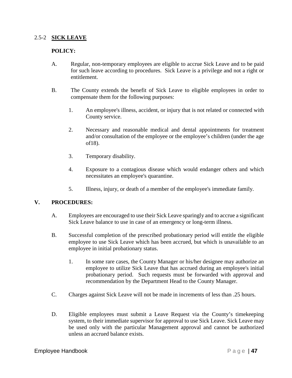#### 2.5-2 **SICK LEAVE**

### **POLICY:**

- A. Regular, non-temporary employees are eligible to accrue Sick Leave and to be paid for such leave according to procedures. Sick Leave is a privilege and not a right or entitlement.
- B. The County extends the benefit of Sick Leave to eligible employees in order to compensate them for the following purposes:
	- 1. An employee's illness, accident, or injury that is not related or connected with County service.
	- 2. Necessary and reasonable medical and dental appointments for treatment and/or consultation of the employee or the employee's children (under the age of18).
	- 3. Temporary disability.
	- 4. Exposure to a contagious disease which would endanger others and which necessitates an employee's quarantine.
	- 5. Illness, injury, or death of a member of the employee's immediate family.

#### **V. PROCEDURES:**

- A. Employees are encouraged to use their Sick Leave sparingly and to accrue a significant Sick Leave balance to use in case of an emergency or long-term illness.
- B. Successful completion of the prescribed probationary period will entitle the eligible employee to use Sick Leave which has been accrued, but which is unavailable to an employee in initial probationary status.
	- 1. In some rare cases, the County Manager or his/her designee may authorize an employee to utilize Sick Leave that has accrued during an employee's initial probationary period. Such requests must be forwarded with approval and recommendation by the Department Head to the County Manager.
- C. Charges against Sick Leave will not be made in increments of less than .25 hours.
- D. Eligible employees must submit a Leave Request via the County's timekeeping system, to their immediate supervisor for approval to use Sick Leave. Sick Leave may be used only with the particular Management approval and cannot be authorized unless an accrued balance exists.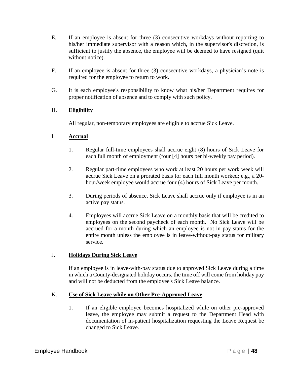- E. If an employee is absent for three (3) consecutive workdays without reporting to his/her immediate supervisor with a reason which, in the supervisor's discretion, is sufficient to justify the absence, the employee will be deemed to have resigned (quit without notice).
- F. If an employee is absent for three (3) consecutive workdays, a physician's note is required for the employee to return to work.
- G. It is each employee's responsibility to know what his/her Department requires for proper notification of absence and to comply with such policy.

# H. **Eligibility**

All regular, non-temporary employees are eligible to accrue Sick Leave.

# I. **Accrual**

- 1. Regular full-time employees shall accrue eight (8) hours of Sick Leave for each full month of employment (four [4] hours per bi-weekly pay period).
- 2. Regular part-time employees who work at least 20 hours per work week will accrue Sick Leave on a prorated basis for each full month worked; e.g., a 20 hour/week employee would accrue four (4) hours of Sick Leave per month.
- 3. During periods of absence, Sick Leave shall accrue only if employee is in an active pay status.
- 4. Employees will accrue Sick Leave on a monthly basis that will be credited to employees on the second paycheck of each month. No Sick Leave will be accrued for a month during which an employee is not in pay status for the entire month unless the employee is in leave-without-pay status for military service.

# J. **Holidays During Sick Leave**

If an employee is in leave-with-pay status due to approved Sick Leave during a time in which a County-designated holiday occurs, the time off will come from holiday pay and will not be deducted from the employee's Sick Leave balance.

# K. **Use of Sick Leave while on Other Pre-Approved Leave**

1. If an eligible employee becomes hospitalized while on other pre-approved leave, the employee may submit a request to the Department Head with documentation of in-patient hospitalization requesting the Leave Request be changed to Sick Leave.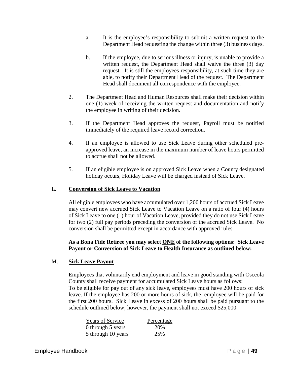- a. It is the employee's responsibility to submit a written request to the Department Head requesting the change within three (3) business days.
- b. If the employee, due to serious illness or injury, is unable to provide a written request, the Department Head shall waive the three (3) day request. It is still the employees responsibility, at such time they are able, to notify their Department Head of the request. The Department Head shall document all correspondence with the employee.
- 2. The Department Head and Human Resources shall make their decision within one (1) week of receiving the written request and documentation and notify the employee in writing of their decision.
- 3. If the Department Head approves the request, Payroll must be notified immediately of the required leave record correction.
- 4. If an employee is allowed to use Sick Leave during other scheduled preapproved leave, an increase in the maximum number of leave hours permitted to accrue shall not be allowed.
- 5. If an eligible employee is on approved Sick Leave when a County designated holiday occurs, Holiday Leave will be charged instead of Sick Leave.

# L. **Conversion of Sick Leave to Vacation**

All eligible employees who have accumulated over 1,200 hours of accrued Sick Leave may convert new accrued Sick Leave to Vacation Leave on a ratio of four (4) hours of Sick Leave to one (1) hour of Vacation Leave, provided they do not use Sick Leave for two (2) full pay periods preceding the conversion of the accrued Sick Leave. No conversion shall be permitted except in accordance with approved rules.

# **As a Bona Fide Retiree you may select ONE of the following options: Sick Leave Payout or Conversion of Sick Leave to Health Insurance as outlined below:**

# M. **Sick Leave Payout**

Employees that voluntarily end employment and leave in good standing with Osceola County shall receive payment for accumulated Sick Leave hours as follows: To be eligible for pay out of any sick leave, employees must have 200 hours of sick leave. If the employee has 200 or more hours of sick, the employee will be paid for the first 200 hours. Sick Leave in excess of 200 hours shall be paid pursuant to the schedule outlined below; however, the payment shall not exceed \$25,000:

| <b>Years of Service</b> | Percentage |
|-------------------------|------------|
| 0 through 5 years       | 20%        |
| 5 through 10 years      | 25%        |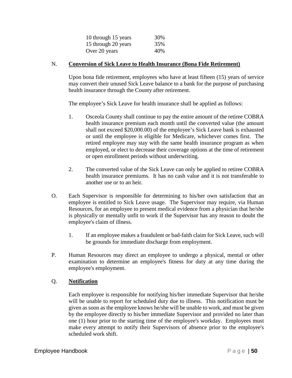| 10 through 15 years | 30% |
|---------------------|-----|
| 15 through 20 years | 35% |
| Over 20 years       | 40% |

#### N. **Conversion of Sick Leave to Health Insurance (Bona Fide Retirement)**

Upon bona fide retirement, employees who have at least fifteen (15) years of service may convert their unused Sick Leave balance to a bank for the purpose of purchasing health insurance through the County after retirement.

The employee's Sick Leave for health insurance shall be applied as follows:

- 1. Osceola County shall continue to pay the entire amount of the retiree COBRA health insurance premium each month until the converted value (the amount shall not exceed \$20,000.00) of the employee's Sick Leave bank is exhausted or until the employee is eligible for Medicare, whichever comes first. The retired employee may stay with the same health insurance program as when employed, or elect to decrease their coverage options at the time of retirement or open enrollment periods without underwriting.
- 2. The converted value of the Sick Leave can only be applied to retiree COBRA health insurance premiums. It has no cash value and it is not transferable to another use or to an heir.
- O. Each Supervisor is responsible for determining to his/her own satisfaction that an employee is entitled to Sick Leave usage. The Supervisor may require, via Human Resources, for an employee to present medical evidence from a physician that he/she is physically or mentally unfit to work if the Supervisor has any reason to doubt the employee's claim of illness.
	- 1. If an employee makes a fraudulent or bad-faith claim for Sick Leave, such will be grounds for immediate discharge from employment.
- P. Human Resources may direct an employee to undergo a physical, mental or other examination to determine an employee's fitness for duty at any time during the employee's employment.

# Q. **Notification**

Each employee is responsible for notifying his/her immediate Supervisor that he/she will be unable to report for scheduled duty due to illness. This notification must be given as soon as the employee knows he/she will be unable to work, and must be given by the employee directly to his/her immediate Supervisor and provided no later than one (1) hour prior to the starting time of the employee's workday. Employees must make every attempt to notify their Supervisors of absence prior to the employee's scheduled work shift.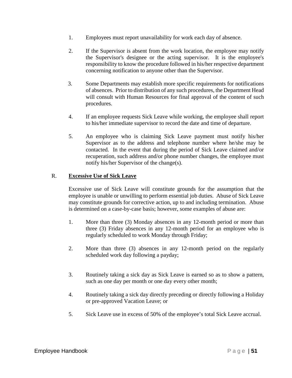- 1. Employees must report unavailability for work each day of absence.
- 2. If the Supervisor is absent from the work location, the employee may notify the Supervisor's designee or the acting supervisor. It is the employee's responsibility to know the procedure followed in his/her respective department concerning notification to anyone other than the Supervisor.
- 3. Some Departments may establish more specific requirements for notifications of absences. Prior to distribution of any such procedures, the Department Head will consult with Human Resources for final approval of the content of such procedures.
- 4. If an employee requests Sick Leave while working, the employee shall report to his/her immediate supervisor to record the date and time of departure.
- 5. An employee who is claiming Sick Leave payment must notify his/her Supervisor as to the address and telephone number where he/she may be contacted. In the event that during the period of Sick Leave claimed and/or recuperation, such address and/or phone number changes, the employee must notify his/her Supervisor of the change(s).

### R. **Excessive Use of Sick Leave**

Excessive use of Sick Leave will constitute grounds for the assumption that the employee is unable or unwilling to perform essential job duties. Abuse of Sick Leave may constitute grounds for corrective action, up to and including termination. Abuse is determined on a case-by-case basis; however, some examples of abuse are:

- 1. More than three (3) Monday absences in any 12-month period or more than three (3) Friday absences in any 12-month period for an employee who is regularly scheduled to work Monday through Friday;
- 2. More than three (3) absences in any 12-month period on the regularly scheduled work day following a payday;
- 3. Routinely taking a sick day as Sick Leave is earned so as to show a pattern, such as one day per month or one day every other month;
- 4. Routinely taking a sick day directly preceding or directly following a Holiday or pre-approved Vacation Leave; or
- 5. Sick Leave use in excess of 50% of the employee's total Sick Leave accrual.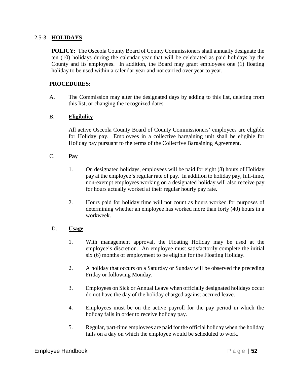#### 2.5-3 **HOLIDAYS**

**POLICY:** The Osceola County Board of County Commissioners shall annually designate the ten (10) holidays during the calendar year that will be celebrated as paid holidays by the County and its employees. In addition, the Board may grant employees one (1) floating holiday to be used within a calendar year and not carried over year to year.

### **PROCEDURES:**

A. The Commission may alter the designated days by adding to this list, deleting from this list, or changing the recognized dates.

#### B. **Eligibility**

All active Osceola County Board of County Commissioners' employees are eligible for Holiday pay. Employees in a collective bargaining unit shall be eligible for Holiday pay pursuant to the terms of the Collective Bargaining Agreement.

# C. **Pay**

- 1. On designated holidays, employees will be paid for eight (8) hours of Holiday pay at the employee's regular rate of pay. In addition to holiday pay, full-time, non-exempt employees working on a designated holiday will also receive pay for hours actually worked at their regular hourly pay rate.
- 2. Hours paid for holiday time will not count as hours worked for purposes of determining whether an employee has worked more than forty (40) hours in a workweek.

#### D. **Usage**

- 1. With management approval, the Floating Holiday may be used at the employee's discretion. An employee must satisfactorily complete the initial six (6) months of employment to be eligible for the Floating Holiday.
- 2. A holiday that occurs on a Saturday or Sunday will be observed the preceding Friday or following Monday.
- 3. Employees on Sick or Annual Leave when officially designated holidays occur do not have the day of the holiday charged against accrued leave.
- 4. Employees must be on the active payroll for the pay period in which the holiday falls in order to receive holiday pay.
- 5. Regular, part-time employees are paid for the official holiday when the holiday falls on a day on which the employee would be scheduled to work.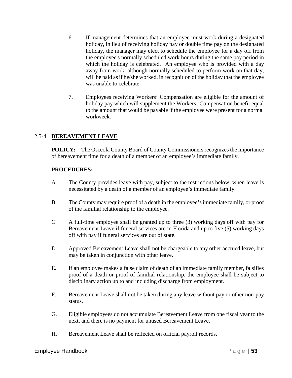- 6. If management determines that an employee must work during a designated holiday, in lieu of receiving holiday pay or double time pay on the designated holiday, the manager may elect to schedule the employee for a day off from the employee's normally scheduled work hours during the same pay period in which the holiday is celebrated. An employee who is provided with a day away from work, although normally scheduled to perform work on that day, will be paid as if he/she worked, in recognition of the holiday that the employee was unable to celebrate.
- 7. Employees receiving Workers' Compensation are eligible for the amount of holiday pay which will supplement the Workers' Compensation benefit equal to the amount that would be payable if the employee were present for a normal workweek.

# 2.5-4 **BEREAVEMENT LEAVE**

**POLICY:** The Osceola County Board of County Commissioners recognizes the importance of bereavement time for a death of a member of an employee's immediate family.

- A. The County provides leave with pay, subject to the restrictions below, when leave is necessitated by a death of a member of an employee's immediate family.
- B. The County may require proof of a death in the employee's immediate family, or proof of the familial relationship to the employee.
- C. A full-time employee shall be granted up to three (3) working days off with pay for Bereavement Leave if funeral services are in Florida and up to five (5) working days off with pay if funeral services are out of state.
- D. Approved Bereavement Leave shall not be chargeable to any other accrued leave, but may be taken in conjunction with other leave.
- E. If an employee makes a false claim of death of an immediate family member, falsifies proof of a death or proof of familial relationship, the employee shall be subject to disciplinary action up to and including discharge from employment.
- F. Bereavement Leave shall not be taken during any leave without pay or other non-pay status.
- G. Eligible employees do not accumulate Bereavement Leave from one fiscal year to the next, and there is no payment for unused Bereavement Leave.
- H. Bereavement Leave shall be reflected on official payroll records.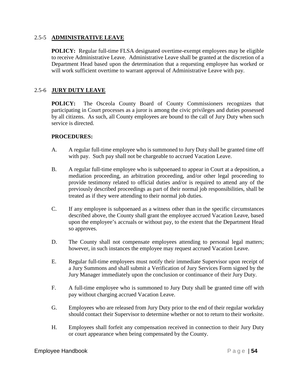#### 2.5-5 **ADMINISTRATIVE LEAVE**

**POLICY:** Regular full-time FLSA designated overtime-exempt employees may be eligible to receive Administrative Leave. Administrative Leave shall be granted at the discretion of a Department Head based upon the determination that a requesting employee has worked or will work sufficient overtime to warrant approval of Administrative Leave with pay.

### 2.5-6 **JURY DUTY LEAVE**

**POLICY:** The Osceola County Board of County Commissioners recognizes that participating in Court processes as a juror is among the civic privileges and duties possessed by all citizens. As such, all County employees are bound to the call of Jury Duty when such service is directed.

- A. A regular full-time employee who is summoned to Jury Duty shall be granted time off with pay. Such pay shall not be chargeable to accrued Vacation Leave.
- B. A regular full-time employee who is subpoenaed to appear in Court at a deposition, a mediation proceeding, an arbitration proceeding, and/or other legal proceeding to provide testimony related to official duties and/or is required to attend any of the previously described proceedings as part of their normal job responsibilities, shall be treated as if they were attending to their normal job duties.
- C. If any employee is subpoenaed as a witness other than in the specific circumstances described above, the County shall grant the employee accrued Vacation Leave, based upon the employee's accruals or without pay, to the extent that the Department Head so approves.
- D. The County shall not compensate employees attending to personal legal matters; however, in such instances the employee may request accrued Vacation Leave.
- E. Regular full-time employees must notify their immediate Supervisor upon receipt of a Jury Summons and shall submit a Verification of Jury Services Form signed by the Jury Manager immediately upon the conclusion or continuance of their Jury Duty.
- F. A full-time employee who is summoned to Jury Duty shall be granted time off with pay without charging accrued Vacation Leave.
- G. Employees who are released from Jury Duty prior to the end of their regular workday should contact their Supervisor to determine whether or not to return to their worksite.
- H. Employees shall forfeit any compensation received in connection to their Jury Duty or court appearance when being compensated by the County.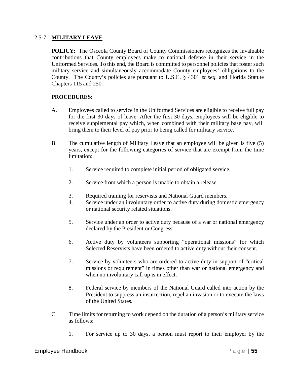#### 2.5-7 **MILITARY LEAVE**

**POLICY:** The Osceola County Board of County Commissioners recognizes the invaluable contributions that County employees make to national defense in their service in the Uniformed Services. To this end, the Board is committed to personnel policies that foster such military service and simultaneously accommodate County employees' obligations to the County. The County's policies are pursuant to U.S.C. § 4301 *et seq.* and Florida Statute Chapters 115 and 250.

- A. Employees called to service in the Uniformed Services are eligible to receive full pay for the first 30 days of leave. After the first 30 days, employees will be eligible to receive supplemental pay which, when combined with their military base pay, will bring them to their level of pay prior to being called for military service.
- B. The cumulative length of Military Leave that an employee will be given is five (5) years, except for the following categories of service that are exempt from the time limitation:
	- 1. Service required to complete initial period of obligated service.
	- 2. Service from which a person is unable to obtain a release.
	- 3. Required training for reservists and National Guard members.
	- 4. Service under an involuntary order to active duty during domestic emergency or national security related situations.
	- 5. Service under an order to active duty because of a war or national emergency declared by the President or Congress.
	- 6. Active duty by volunteers supporting "operational missions" for which Selected Reservists have been ordered to active duty without their consent.
	- 7. Service by volunteers who are ordered to active duty in support of "critical missions or requirement" in times other than war or national emergency and when no involuntary call up is in effect.
	- 8. Federal service by members of the National Guard called into action by the President to suppress an insurrection, repel an invasion or to execute the laws of the United States.
- C. Time limits for returning to work depend on the duration of a person's military service as follows:
	- 1. For service up to 30 days, a person must report to their employer by the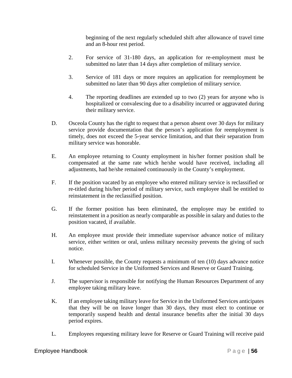beginning of the next regularly scheduled shift after allowance of travel time and an 8-hour rest period.

- 2. For service of 31-180 days, an application for re-employment must be submitted no later than 14 days after completion of military service.
- 3. Service of 181 days or more requires an application for reemployment be submitted no later than 90 days after completion of military service.
- 4. The reporting deadlines are extended up to two (2) years for anyone who is hospitalized or convalescing due to a disability incurred or aggravated during their military service.
- D. Osceola County has the right to request that a person absent over 30 days for military service provide documentation that the person's application for reemployment is timely, does not exceed the 5-year service limitation, and that their separation from military service was honorable.
- E. An employee returning to County employment in his/her former position shall be compensated at the same rate which he/she would have received, including all adjustments, had he/she remained continuously in the County's employment.
- F. If the position vacated by an employee who entered military service is reclassified or re-titled during his/her period of military service, such employee shall be entitled to reinstatement in the reclassified position.
- G. If the former position has been eliminated, the employee may be entitled to reinstatement in a position as nearly comparable as possible in salary and duties to the position vacated, if available.
- H. An employee must provide their immediate supervisor advance notice of military service, either written or oral, unless military necessity prevents the giving of such notice.
- I. Whenever possible, the County requests a minimum of ten (10) days advance notice for scheduled Service in the Uniformed Services and Reserve or Guard Training.
- J. The supervisor is responsible for notifying the Human Resources Department of any employee taking military leave.
- K. If an employee taking military leave for Service in the Uniformed Services anticipates that they will be on leave longer than 30 days, they must elect to continue or temporarily suspend health and dental insurance benefits after the initial 30 days period expires.
- L. Employees requesting military leave for Reserve or Guard Training will receive paid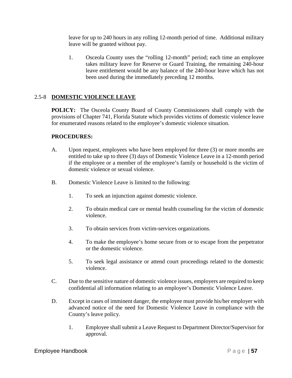leave for up to 240 hours in any rolling 12-month period of time. Additional military leave will be granted without pay.

1. Osceola County uses the "rolling 12-month" period; each time an employee takes military leave for Reserve or Guard Training, the remaining 240-hour leave entitlement would be any balance of the 240-hour leave which has not been used during the immediately preceding 12 months.

# 2.5-8 **DOMESTIC VIOLENCE LEAVE**

**POLICY:** The Osceola County Board of County Commissioners shall comply with the provisions of Chapter 741, Florida Statute which provides victims of domestic violence leave for enumerated reasons related to the employee's domestic violence situation.

- A. Upon request, employees who have been employed for three (3) or more months are entitled to take up to three (3) days of Domestic Violence Leave in a 12-month period if the employee or a member of the employee's family or household is the victim of domestic violence or sexual violence.
- B. Domestic Violence Leave is limited to the following:
	- 1. To seek an injunction against domestic violence.
	- 2. To obtain medical care or mental health counseling for the victim of domestic violence.
	- 3. To obtain services from victim-services organizations.
	- 4. To make the employee's home secure from or to escape from the perpetrator or the domestic violence.
	- 5. To seek legal assistance or attend court proceedings related to the domestic violence.
- C. Due to the sensitive nature of domestic violence issues, employers are required to keep confidential all information relating to an employee's Domestic Violence Leave.
- D. Except in cases of imminent danger, the employee must provide his/her employer with advanced notice of the need for Domestic Violence Leave in compliance with the County's leave policy.
	- 1. Employee shall submit a Leave Request to Department Director/Supervisor for approval.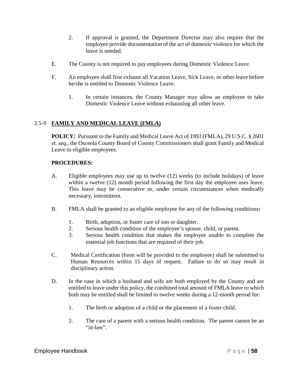- 2. If approval is granted, the Department Director may also require that the employee provide documentation of the act of domestic violence for which the leave is needed.
- E. The County is not required to pay employees during Domestic Violence Leave.
- F. An employee shall first exhaust all Vacation Leave, Sick Leave, or other leave before he/she is entitled to Domestic Violence Leave.
	- 1. In certain instances, the County Manager may allow an employee to take Domestic Violence Leave without exhausting all other leave.

# 2.5-9 **FAMILY AND MEDICAL LEAVE (FMLA)**

**POLICY:** Pursuant to the Family and Medical Leave Act of 1993 (FMLA), 29 U.S.C. § 2601 *et. seq.*, the Osceola County Board of County Commissioners shall grant Family and Medical Leave to eligible employees.

- A. Eligible employees may use up to twelve (12) weeks (to include holidays) of leave within a twelve (12) month period following the first day the employee uses leave. This leave may be consecutive or, under certain circumstances when medically necessary, intermittent.
- B. FMLA shall be granted to an eligible employee for any of the following conditions**:**
	- 1. Birth, adoption, or foster care of son or daughter.
	- 2. Serious health condition of the employee's spouse, child, or parent.
	- 3. Serious health condition that makes the employee unable to complete the essential job functions that are required of their job.
- C. Medical Certification (form will be provided to the employee) shall be submitted to Human Resources within 15 days of request. Failure to do so may result in disciplinary action.
- D. In the case in which a husband and wife are both employed by the County and are entitled to leave under this policy, the combined total amount of FMLA leave to which both may be entitled shall be limited to twelve weeks during a 12-month period for:
	- 1. The birth or adoption of a child or the placement of a foster child.
	- 2. The care of a parent with a serious health condition. The parent cannot be an "in-law".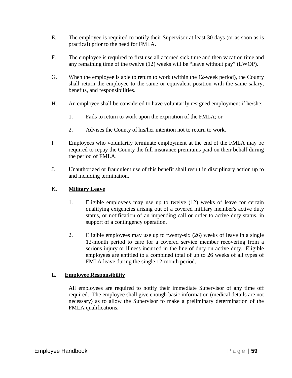- E. The employee is required to notify their Supervisor at least 30 days (or as soon as is practical) prior to the need for FMLA.
- F. The employee is required to first use all accrued sick time and then vacation time and any remaining time of the twelve (12) weeks will be "leave without pay" (LWOP).
- G. When the employee is able to return to work (within the 12-week period), the County shall return the employee to the same or equivalent position with the same salary, benefits, and responsibilities.
- H. An employee shall be considered to have voluntarily resigned employment if he/she:
	- 1. Fails to return to work upon the expiration of the FMLA; or
	- 2. Advises the County of his/her intention not to return to work.
- I. Employees who voluntarily terminate employment at the end of the FMLA may be required to repay the County the full insurance premiums paid on their behalf during the period of FMLA.
- J. Unauthorized or fraudulent use of this benefit shall result in disciplinary action up to and including termination.

### K. **Military Leave**

- 1. Eligible employees may use up to twelve (12) weeks of leave for certain qualifying exigencies arising out of a covered military member's active duty status, or notification of an impending call or order to active duty status, in support of a contingency operation.
- 2. Eligible employees may use up to twenty-six (26) weeks of leave in a single 12-month period to care for a covered service member recovering from a serious injury or illness incurred in the line of duty on active duty. Eligible employees are entitled to a combined total of up to 26 weeks of all types of FMLA leave during the single 12-month period.

#### L. **Employee Responsibility**

All employees are required to notify their immediate Supervisor of any time off required. The employee shall give enough basic information (medical details are not necessary) as to allow the Supervisor to make a preliminary determination of the FMLA qualifications.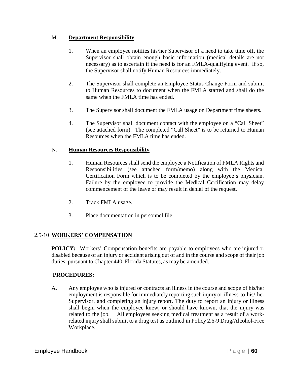# M. **Department Responsibility**

- 1. When an employee notifies his/her Supervisor of a need to take time off, the Supervisor shall obtain enough basic information (medical details are not necessary) as to ascertain if the need is for an FMLA-qualifying event. If so, the Supervisor shall notify Human Resources immediately.
- 2. The Supervisor shall complete an Employee Status Change Form and submit to Human Resources to document when the FMLA started and shall do the same when the FMLA time has ended.
- 3. The Supervisor shall document the FMLA usage on Department time sheets.
- 4. The Supervisor shall document contact with the employee on a "Call Sheet" (see attached form). The completed "Call Sheet" is to be returned to Human Resources when the FMLA time has ended.

# N. **Human Resources Responsibility**

- 1. Human Resources shall send the employee a Notification of FMLA Rights and Responsibilities (see attached form/memo) along with the Medical Certification Form which is to be completed by the employee's physician. Failure by the employee to provide the Medical Certification may delay commencement of the leave or may result in denial of the request.
- 2. Track FMLA usage.
- 3. Place documentation in personnel file.

# 2.5-10 **WORKERS' COMPENSATION**

**POLICY:** Workers' Compensation benefits are payable to employees who are injured or disabled because of an injury or accident arising out of and in the course and scope of their job duties, pursuant to Chapter 440, Florida Statutes, as may be amended.

# **PROCEDURES:**

A. Any employee who is injured or contracts an illness in the course and scope of his/her employment is responsible for immediately reporting such injury or illness to his/ her Supervisor, and completing an injury report. The duty to report an injury or illness shall begin when the employee knew, or should have known, that the injury was related to the job. All employees seeking medical treatment as a result of a workrelated injury shall submit to a drug test as outlined in Policy 2.6-9 Drug/Alcohol-Free Workplace.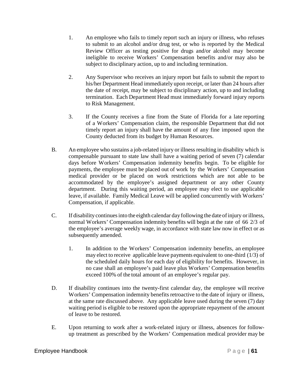- 1. An employee who fails to timely report such an injury or illness, who refuses to submit to an alcohol and/or drug test, or who is reported by the Medical Review Officer as testing positive for drugs and/or alcohol may become ineligible to receive Workers' Compensation benefits and/or may also be subject to disciplinary action, up to and including termination.
- 2. Any Supervisor who receives an injury report but fails to submit the report to his/her Department Head immediately upon receipt, or later than 24 hours after the date of receipt, may be subject to disciplinary action, up to and including termination. Each Department Head must immediately forward injury reports to Risk Management.
- 3. If the County receives a fine from the State of Florida for a late reporting of a Workers' Compensation claim, the responsible Department that did not timely report an injury shall have the amount of any fine imposed upon the County deducted from its budget by Human Resources.
- B. An employee who sustains a job-related injury or illness resulting in disability which is compensable pursuant to state law shall have a waiting period of seven (7) calendar days before Workers' Compensation indemnity benefits begin. To be eligible for payments, the employee must be placed out of work by the Workers' Compensation medical provider or be placed on work restrictions which are not able to be accommodated by the employee's assigned department or any other County department. During this waiting period, an employee may elect to use applicable leave, if available. Family Medical Leave will be applied concurrently with Workers' Compensation, if applicable.
- C. If disabilitycontinuesinto the eighth calendar day following the date ofinjury orillness, normal Workers' Compensation indemnity benefits will begin at the rate of 66 2/3 of the employee's average weekly wage, in accordance with state law now in effect or as subsequently amended.
	- 1. In addition to the Workers' Compensation indemnity benefits, an employee may elect to receive applicable leave payments equivalent to one-third (1/3) of the scheduled daily hours for each day of eligibility for benefits. However, in no case shall an employee's paid leave plus Workers' Compensation benefits exceed 100% of the total amount of an employee's regular pay.
- D. If disability continues into the twenty-first calendar day, the employee will receive Workers' Compensation indemnity benefits retroactive to the date of injury or illness, at the same rate discussed above. Any applicable leave used during the seven (7) day waiting period is eligible to be restored upon the appropriate repayment of the amount of leave to be restored.
- E. Upon returning to work after a work-related injury or illness, absences for followup treatment as prescribed by the Workers' Compensation medical provider may be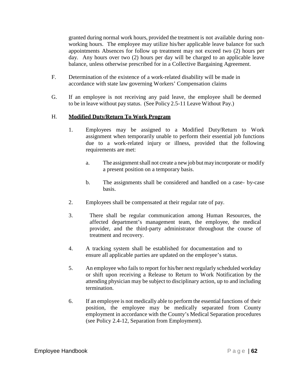granted during normal work hours, provided the treatment is not available during nonworking hours. The employee may utilize his/her applicable leave balance for such appointments Absences for follow up treatment may not exceed two (2) hours per day. Any hours over two (2) hours per day will be charged to an applicable leave balance, unless otherwise prescribed for in a Collective Bargaining Agreement.

- F. Determination of the existence of a work-related disability will be made in accordance with state law governing Workers' Compensation claims
- G. If an employee is not receiving any paid leave, the employee shall be deemed to be in leave without pay status. (See Policy 2.5-11 Leave Without Pay.)

### H. **Modified Duty/Return To Work Program**

- 1. Employees may be assigned to a Modified Duty/Return to Work assignment when temporarily unable to perform their essential job functions due to a work-related injury or illness, provided that the following requirements are met:
	- a. The assignment shall not create a new job but may incorporate or modify a present position on a temporary basis.
	- b. The assignments shall be considered and handled on a case- by-case basis.
- 2. Employees shall be compensated at their regular rate of pay.
- 3. There shall be regular communication among Human Resources, the affected department's management team, the employee, the medical provider, and the third-party administrator throughout the course of treatment and recovery.
- 4. A tracking system shall be established for documentation and to ensure all applicable parties are updated on the employee's status.
- 5. An employee who fails to report for his/her next regularly scheduled workday or shift upon receiving a Release to Return to Work Notification by the attending physician may be subject to disciplinary action, up to and including termination.
- 6. If an employee is not medically able to perform the essential functions of their position, the employee may be medically separated from County employment in accordance with the County's Medical Separation procedures (see Policy 2.4-12, Separation from Employment).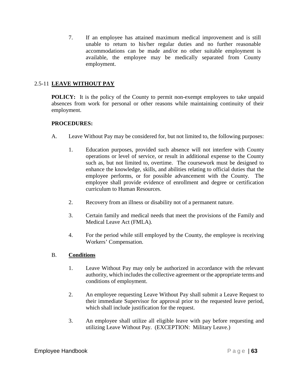7. If an employee has attained maximum medical improvement and is still unable to return to his/her regular duties and no further reasonable accommodations can be made and/or no other suitable employment is available, the employee may be medically separated from County employment.

# 2.5-11 **LEAVE WITHOUT PAY**

**POLICY:** It is the policy of the County to permit non-exempt employees to take unpaid absences from work for personal or other reasons while maintaining continuity of their employment.

# **PROCEDURES:**

- A. Leave Without Pay may be considered for, but not limited to, the following purposes:
	- 1. Education purposes, provided such absence will not interfere with County operations or level of service, or result in additional expense to the County such as, but not limited to, overtime. The coursework must be designed to enhance the knowledge, skills, and abilities relating to official duties that the employee performs, or for possible advancement with the County. The employee shall provide evidence of enrollment and degree or certification curriculum to Human Resources.
	- 2. Recovery from an illness or disability not of a permanent nature.
	- 3. Certain family and medical needs that meet the provisions of the Family and Medical Leave Act (FMLA).
	- 4. For the period while still employed by the County, the employee is receiving Workers' Compensation.

# B. **Conditions**

- 1. Leave Without Pay may only be authorized in accordance with the relevant authority, which includes the collective agreement or the appropriate terms and conditions of employment.
- 2. An employee requesting Leave Without Pay shall submit a Leave Request to their immediate Supervisor for approval prior to the requested leave period, which shall include justification for the request.
- 3. An employee shall utilize all eligible leave with pay before requesting and utilizing Leave Without Pay. (EXCEPTION: Military Leave.)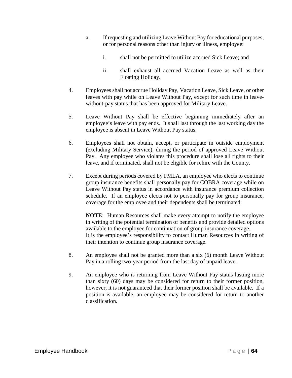- a. If requesting and utilizing Leave Without Pay for educational purposes, or for personal reasons other than injury or illness, employee:
	- i. shall not be permitted to utilize accrued Sick Leave; and
	- ii. shall exhaust all accrued Vacation Leave as well as their Floating Holiday.
- 4. Employees shall not accrue Holiday Pay, Vacation Leave, Sick Leave, or other leaves with pay while on Leave Without Pay, except for such time in leavewithout-pay status that has been approved for Military Leave.
- 5. Leave Without Pay shall be effective beginning immediately after an employee's leave with pay ends. It shall last through the last working day the employee is absent in Leave Without Pay status.
- 6. Employees shall not obtain, accept, or participate in outside employment (excluding Military Service), during the period of approved Leave Without Pay. Any employee who violates this procedure shall lose all rights to their leave, and if terminated, shall not be eligible for rehire with the County.
- 7. Except during periods covered by FMLA, an employee who elects to continue group insurance benefits shall personally pay for COBRA coverage while on Leave Without Pay status in accordance with insurance premium collection schedule. If an employee elects not to personally pay for group insurance, coverage for the employee and their dependents shall be terminated.

**NOTE**: Human Resources shall make every attempt to notify the employee in writing of the potential termination of benefits and provide detailed options available to the employee for continuation of group insurance coverage. It is the employee's responsibility to contact Human Resources in writing of their intention to continue group insurance coverage.

- 8. An employee shall not be granted more than a six (6) month Leave Without Pay in a rolling two-year period from the last day of unpaid leave.
- 9. An employee who is returning from Leave Without Pay status lasting more than sixty (60) days may be considered for return to their former position, however, it is not guaranteed that their former position shall be available. If a position is available, an employee may be considered for return to another classification.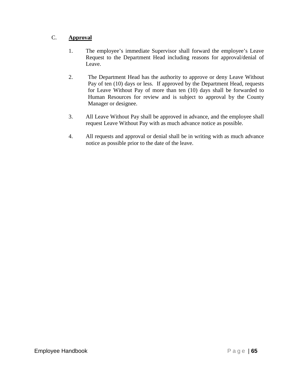# C. **Approval**

- 1. The employee's immediate Supervisor shall forward the employee's Leave Request to the Department Head including reasons for approval/denial of Leave.
- 2. The Department Head has the authority to approve or deny Leave Without Pay of ten (10) days or less. If approved by the Department Head, requests for Leave Without Pay of more than ten (10) days shall be forwarded to Human Resources for review and is subject to approval by the County Manager or designee.
- 3. All Leave Without Pay shall be approved in advance, and the employee shall request Leave Without Pay with as much advance notice as possible.
- 4. All requests and approval or denial shall be in writing with as much advance notice as possible prior to the date of the leave.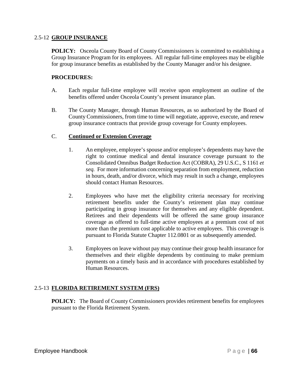#### 2.5-12 **GROUP INSURANCE**

**POLICY:** Osceola County Board of County Commissioners is committed to establishing a Group Insurance Program for its employees. All regular full-time employees may be eligible for group insurance benefits as established by the County Manager and/or his designee.

### **PROCEDURES:**

- A. Each regular full-time employee will receive upon employment an outline of the benefits offered under Osceola County's present insurance plan.
- B. The County Manager, through Human Resources, as so authorized by the Board of County Commissioners, from time to time will negotiate, approve, execute, and renew group insurance contracts that provide group coverage for County employees.

### C. **Continued or Extension Coverage**

- 1. An employee, employee's spouse and/or employee's dependents may have the right to continue medical and dental insurance coverage pursuant to the Consolidated Omnibus Budget Reduction Act (COBRA), 29 U.S.C., S 1161 *et seq.* For more information concerning separation from employment, reduction in hours, death, and/or divorce, which may result in such a change, employees should contact Human Resources.
- 2. Employees who have met the eligibility criteria necessary for receiving retirement benefits under the County's retirement plan may continue participating in group insurance for themselves and any eligible dependent. Retirees and their dependents will be offered the same group insurance coverage as offered to full-time active employees at a premium cost of not more than the premium cost applicable to active employees. This coverage is pursuant to Florida Statute Chapter 112.0801 or as subsequently amended.
- 3. Employees on leave without pay may continue their group health insurance for themselves and their eligible dependents by continuing to make premium payments on a timely basis and in accordance with procedures established by Human Resources.

# 2.5-13 **FLORIDA RETIREMENT SYSTEM (FRS)**

**POLICY:** The Board of County Commissioners provides retirement benefits for employees pursuant to the Florida Retirement System.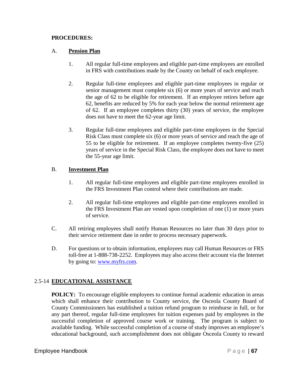### **PROCEDURES:**

### A. **Pension Plan**

- 1. All regular full-time employees and eligible part-time employees are enrolled in FRS with contributions made by the County on behalf of each employee.
- 2. Regular full-time employees and eligible part-time employees in regular or senior management must complete six (6) or more years of service and reach the age of 62 to be eligible for retirement. If an employee retires before age 62, benefits are reduced by 5% for each year below the normal retirement age of 62. If an employee completes thirty (30) years of service, the employee does not have to meet the 62-year age limit.
- 3. Regular full-time employees and eligible part-time employees in the Special Risk Class must complete six (6) or more years of service and reach the age of 55 to be eligible for retirement. If an employee completes twenty-five (25) years of service in the Special Risk Class, the employee does not have to meet the 55-year age limit.

### B. **Investment Plan**

- 1. All regular full-time employees and eligible part-time employees enrolled in the FRS Investment Plan control where their contributions are made.
- 2. All regular full-time employees and eligible part-time employees enrolled in the FRS Investment Plan are vested upon completion of one (1) or more years of service.
- C. All retiring employees shall notify Human Resources no later than 30 days prior to their service retirement date in order to process necessary paperwork.
- D. For questions or to obtain information, employees may call Human Resources or FRS toll-free at 1-888-738-2252. Employees may also access their account via the Internet by going to: [www.myfrs.com.](http://www.myfrs.com/)

# 2.5-14 **EDUCATIONAL ASSISTANCE**

**POLICY:** To encourage eligible employees to continue formal academic education in areas which shall enhance their contribution to County service, the Osceola County Board of County Commissioners has established a tuition refund program to reimburse in full, or for any part thereof, regular full-time employees for tuition expenses paid by employees in the successful completion of approved course work or training. The program is subject to available funding. While successful completion of a course of study improves an employee's educational background, such accomplishment does not obligate Osceola County to reward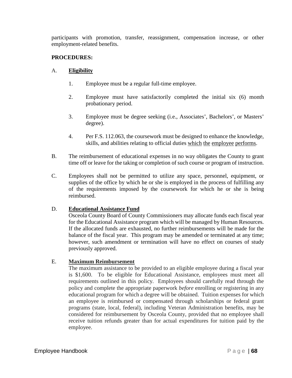participants with promotion, transfer, reassignment, compensation increase, or other employment-related benefits.

# **PROCEDURES:**

### A. **Eligibility**

- 1. Employee must be a regular full-time employee.
- 2. Employee must have satisfactorily completed the initial six (6) month probationary period.
- 3. Employee must be degree seeking (i.e., Associates', Bachelors', or Masters' degree).
- 4. Per F.S. 112.063, the coursework must be designed to enhance the knowledge, skills, and abilities relating to official duties which the employee performs.
- B. The reimbursement of educational expenses in no way obligates the County to grant time off or leave for the taking or completion of such course or program of instruction.
- C. Employees shall not be permitted to utilize any space, personnel, equipment, or supplies of the office by which he or she is employed in the process of fulfilling any of the requirements imposed by the coursework for which he or she is being reimbursed.

#### D. **Educational Assistance Fund**

Osceola County Board of County Commissioners may allocate funds each fiscal year for the Educational Assistance program which will be managed by Human Resources. If the allocated funds are exhausted, no further reimbursements will be made for the balance of the fiscal year. This program may be amended or terminated at any time; however, such amendment or termination will have no effect on courses of study previously approved.

#### E. **Maximum Reimbursement**

The maximum assistance to be provided to an eligible employee during a fiscal year is \$1,600. To be eligible for Educational Assistance, employees must meet all requirements outlined in this policy. Employees should carefully read through the policy and complete the appropriate paperwork *before* enrolling or registering in any educational program for which a degree will be obtained. Tuition expenses for which an employee is reimbursed or compensated through scholarships or federal grant programs (state, local, federal), including Veteran Administration benefits, may be considered for reimbursement by Osceola County, provided that no employee shall receive tuition refunds greater than for actual expenditures for tuition paid by the employee.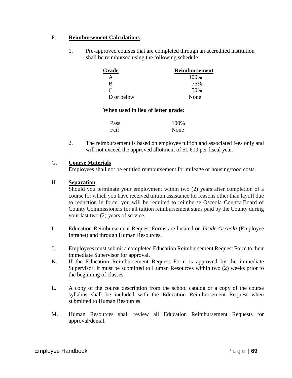### F. **Reimbursement Calculations**

1. Pre-approved courses that are completed through an accredited institution shall be reimbursed using the following schedule:

| Grade      | <b>Reimbursement</b> |
|------------|----------------------|
| A          | 100%                 |
| R          | 75%                  |
|            | 50%                  |
| D or below | None                 |

#### **When used in lieu of letter grade:**

| <b>Pass</b> | 100% |
|-------------|------|
| Fail        | None |

2. The reimbursement is based on employee tuition and associated fees only and will not exceed the approved allotment of \$1,600 per fiscal year.

#### G. **Course Materials**

Employees shall not be entitled reimbursement for mileage or housing/food costs.

### H. **Separation**

Should you terminate your employment within two (2) years after completion of a course for which you have received tuition assistance for reasons other than layoff due to reduction in force, you will be required to reimburse Osceola County Board of County Commissioners for all tuition reimbursement sums paid by the County during your last two (2) years of service.

- I. Education Reimbursement Request Forms are located on *Inside Osceola* (Employee Intranet) and through Human Resources.
- J. Employees must submit a completed Education Reimbursement Request Form to their immediate Supervisor for approval.
- K. If the Education Reimbursement Request Form is approved by the immediate Supervisor, it must be submitted to Human Resources within two (2) weeks prior to the beginning of classes.
- L. A copy of the course description from the school catalog or a copy of the course syllabus shall be included with the Education Reimbursement Request when submitted to Human Resources.
- M. Human Resources shall review all Education Reimbursement Requests for approval/denial.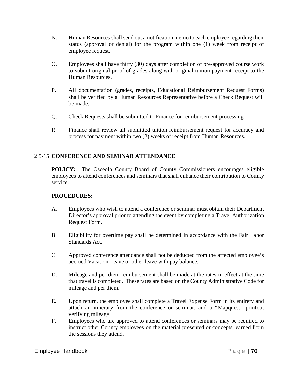- N. Human Resources shall send out a notification memo to each employee regarding their status (approval or denial) for the program within one (1) week from receipt of employee request.
- O. Employees shall have thirty (30) days after completion of pre-approved course work to submit original proof of grades along with original tuition payment receipt to the Human Resources.
- P. All documentation (grades, receipts, Educational Reimbursement Request Forms) shall be verified by a Human Resources Representative before a Check Request will be made.
- Q. Check Requests shall be submitted to Finance for reimbursement processing.
- R. Finance shall review all submitted tuition reimbursement request for accuracy and process for payment within two (2) weeks of receipt from Human Resources.

# 2.5-15 **CONFERENCE AND SEMINAR ATTENDANCE**

**POLICY:** The Osceola County Board of County Commissioners encourages eligible employees to attend conferences and seminars that shall enhance their contribution to County service.

- A. Employees who wish to attend a conference or seminar must obtain their Department Director's approval prior to attending the event by completing a Travel Authorization Request Form.
- B. Eligibility for overtime pay shall be determined in accordance with the Fair Labor Standards Act.
- C. Approved conference attendance shall not be deducted from the affected employee's accrued Vacation Leave or other leave with pay balance.
- D. Mileage and per diem reimbursement shall be made at the rates in effect at the time that travel is completed. These rates are based on the County Administrative Code for mileage and per diem.
- E. Upon return, the employee shall complete a Travel Expense Form in its entirety and attach an itinerary from the conference or seminar, and a "Mapquest" printout verifying mileage.
- F. Employees who are approved to attend conferences or seminars may be required to instruct other County employees on the material presented or concepts learned from the sessions they attend.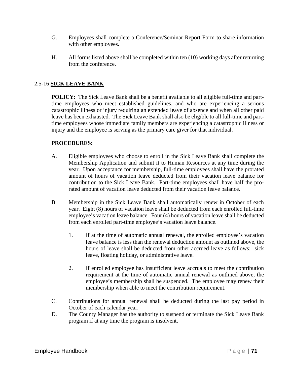- G. Employees shall complete a Conference/Seminar Report Form to share information with other employees.
- H. All forms listed above shall be completed within ten (10) working days after returning from the conference.

# 2.5-16 **SICK LEAVE BANK**

**POLICY:** The Sick Leave Bank shall be a benefit available to all eligible full-time and parttime employees who meet established guidelines, and who are experiencing a serious catastrophic illness or injury requiring an extended leave of absence and when all other paid leave has been exhausted. The Sick Leave Bank shall also be eligible to all full-time and parttime employees whose immediate family members are experiencing a catastrophic illness or injury and the employee is serving as the primary care giver for that individual.

- A. Eligible employees who choose to enroll in the Sick Leave Bank shall complete the Membership Application and submit it to Human Resources at any time during the year. Upon acceptance for membership, full-time employees shall have the prorated amount of hours of vacation leave deducted from their vacation leave balance for contribution to the Sick Leave Bank. Part-time employees shall have half the prorated amount of vacation leave deducted from their vacation leave balance.
- B. Membership in the Sick Leave Bank shall automatically renew in October of each year. Eight (8) hours of vacation leave shall be deducted from each enrolled full-time employee's vacation leave balance. Four (4) hours of vacation leave shall be deducted from each enrolled part-time employee's vacation leave balance.
	- 1. If at the time of automatic annual renewal, the enrolled employee's vacation leave balance is less than the renewal deduction amount as outlined above, the hours of leave shall be deducted from other accrued leave as follows: sick leave, floating holiday, or administrative leave.
	- 2. If enrolled employee has insufficient leave accruals to meet the contribution requirement at the time of automatic annual renewal as outlined above, the employee's membership shall be suspended. The employee may renew their membership when able to meet the contribution requirement.
- C. Contributions for annual renewal shall be deducted during the last pay period in October of each calendar year.
- D. The County Manager has the authority to suspend or terminate the Sick Leave Bank program if at any time the program is insolvent.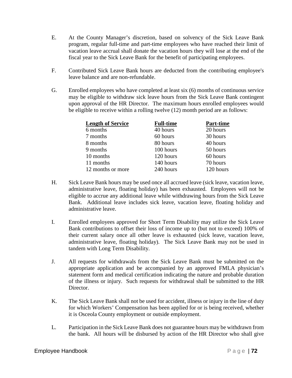- E. At the County Manager's discretion, based on solvency of the Sick Leave Bank program, regular full-time and part-time employees who have reached their limit of vacation leave accrual shall donate the vacation hours they will lose at the end of the fiscal year to the Sick Leave Bank for the benefit of participating employees.
- F. Contributed Sick Leave Bank hours are deducted from the contributing employee's leave balance and are non-refundable.
- G. Enrolled employees who have completed at least six (6) months of continuous service may be eligible to withdraw sick leave hours from the Sick Leave Bank contingent upon approval of the HR Director. The maximum hours enrolled employees would be eligible to receive within a rolling twelve (12) month period are as follows:

| <b>Length of Service</b> | <b>Full-time</b> | Part-time |
|--------------------------|------------------|-----------|
| 6 months                 | 40 hours         | 20 hours  |
| 7 months                 | 60 hours         | 30 hours  |
| 8 months                 | 80 hours         | 40 hours  |
| 9 months                 | 100 hours        | 50 hours  |
| 10 months                | 120 hours        | 60 hours  |
| 11 months                | 140 hours        | 70 hours  |
| 12 months or more        | 240 hours        | 120 hours |

- H. Sick Leave Bank hours may be used once all accrued leave (sick leave, vacation leave, administrative leave, floating holiday) has been exhausted. Employees will not be eligible to accrue any additional leave while withdrawing hours from the Sick Leave Bank. Additional leave includes sick leave, vacation leave, floating holiday and administrative leave.
- I. Enrolled employees approved for Short Term Disability may utilize the Sick Leave Bank contributions to offset their loss of income up to (but not to exceed) 100% of their current salary once all other leave is exhausted (sick leave, vacation leave, administrative leave, floating holiday). The Sick Leave Bank may not be used in tandem with Long Term Disability.
- J. All requests for withdrawals from the Sick Leave Bank must be submitted on the appropriate application and be accompanied by an approved FMLA physician's statement form and medical certification indicating the nature and probable duration of the illness or injury. Such requests for withdrawal shall be submitted to the HR Director.
- K. The Sick Leave Bank shall not be used for accident, illness or injury in the line of duty for which Workers' Compensation has been applied for or is being received, whether it is Osceola County employment or outside employment.
- L. Participation in the Sick Leave Bank does not guarantee hours may be withdrawn from the bank. All hours will be disbursed by action of the HR Director who shall give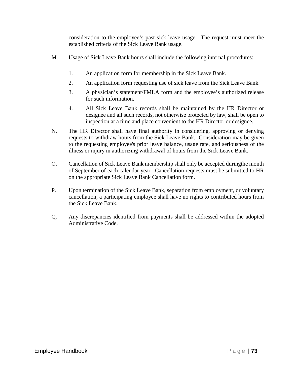consideration to the employee's past sick leave usage. The request must meet the established criteria of the Sick Leave Bank usage.

- M. Usage of Sick Leave Bank hours shall include the following internal procedures:
	- 1. An application form for membership in the Sick Leave Bank.
	- 2. An application form requesting use of sick leave from the Sick Leave Bank.
	- 3. A physician's statement/FMLA form and the employee's authorized release for such information.
	- 4. All Sick Leave Bank records shall be maintained by the HR Director or designee and all such records, not otherwise protected by law, shall be open to inspection at a time and place convenient to the HR Director or designee.
- N. The HR Director shall have final authority in considering, approving or denying requests to withdraw hours from the Sick Leave Bank. Consideration may be given to the requesting employee's prior leave balance, usage rate, and seriousness of the illness or injury in authorizing withdrawal of hours from the Sick Leave Bank.
- O. Cancellation of Sick Leave Bank membership shall only be accepted duringthe month of September of each calendar year. Cancellation requests must be submitted to HR on the appropriate Sick Leave Bank Cancellation form.
- P. Upon termination of the Sick Leave Bank, separation from employment, or voluntary cancellation, a participating employee shall have no rights to contributed hours from the Sick Leave Bank.
- Q. Any discrepancies identified from payments shall be addressed within the adopted Administrative Code.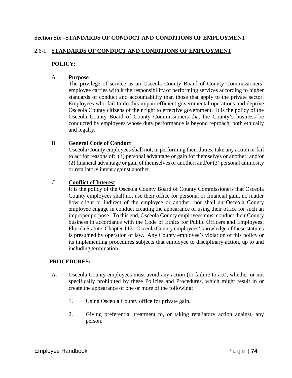# **Section Six –STANDARDS OF CONDUCT AND CONDITIONS OF EMPLOYMENT**

# 2.6-1 **STANDARDS OF CONDUCT AND CONDITIONS OF EMPLOYMENT**

# **POLICY:**

# A. **Purpose**

The privilege of service as an Osceola County Board of County Commissioners' employee carries with it the responsibility of performing services according to higher standards of conduct and accountability than those that apply to the private sector. Employees who fail to do this impair efficient governmental operations and deprive Osceola County citizens of their right to effective government. It is the policy of the Osceola County Board of County Commissioners that the County's business be conducted by employees whose duty performance is beyond reproach, both ethically and legally.

# B. **General Code of Conduct**

Osceola County employees shall not, in performing their duties, take any action or fail to act for reasons of: (1) personal advantage or gain for themselves or another; and/or (2) financial advantage or gain of themselves or another; and/or (3) personal animosity or retaliatory intent against another.

# C. **Conflict of Interest**

It is the policy of the Osceola County Board of County Commissioners that Osceola County employees shall not use their office for personal or financial gain, no matter how slight or indirect of the employee or another, nor shall an Osceola County employee engage in conduct creating the appearance of using their office for such an improper purpose. To this end, Osceola County employees must conduct their County business in accordance with the Code of Ethics for Public Officers and Employees, Florida Statute, Chapter 112. Osceola County employees' knowledge of these statutes is presumed by operation of law. Any County employee's violation of this policy or its implementing procedures subjects that employee to disciplinary action, up to and including termination.

- A. Osceola County employees must avoid any action (or failure to act), whether or not specifically prohibited by these Policies and Procedures, which might result in or create the appearance of one or more of the following:
	- 1. Using Osceola County office for private gain.
	- 2. Giving preferential treatment to, or taking retaliatory action against, any person.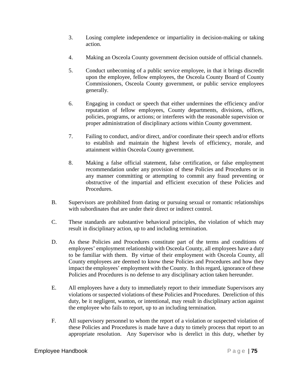- 3. Losing complete independence or impartiality in decision-making or taking action.
- 4. Making an Osceola County government decision outside of official channels.
- 5. Conduct unbecoming of a public service employee, in that it brings discredit upon the employee, fellow employees, the Osceola County Board of County Commissioners, Osceola County government, or public service employees generally.
- 6. Engaging in conduct or speech that either undermines the efficiency and/or reputation of fellow employees, County departments, divisions, offices, policies, programs, or actions; or interferes with the reasonable supervision or proper administration of disciplinary actions within County government.
- 7. Failing to conduct, and/or direct, and/or coordinate their speech and/or efforts to establish and maintain the highest levels of efficiency, morale, and attainment within Osceola County government.
- 8. Making a false official statement, false certification, or false employment recommendation under any provision of these Policies and Procedures or in any manner committing or attempting to commit any fraud preventing or obstructive of the impartial and efficient execution of these Policies and Procedures.
- B. Supervisors are prohibited from dating or pursuing sexual or romantic relationships with subordinates that are under their direct or indirect control.
- C. These standards are substantive behavioral principles, the violation of which may result in disciplinary action, up to and including termination.
- D. As these Policies and Procedures constitute part of the terms and conditions of employees' employment relationship with Osceola County, all employees have a duty to be familiar with them. By virtue of their employment with Osceola County, all County employees are deemed to know these Policies and Procedures and how they impact the employees' employment with the County. In this regard, ignorance of these Policies and Procedures is no defense to any disciplinary action taken hereunder.
- E. All employees have a duty to immediately report to their immediate Supervisors any violations or suspected violations of these Policies and Procedures. Dereliction of this duty, be it negligent, wanton, or intentional, may result in disciplinary action against the employee who fails to report, up to an including termination.
- F. All supervisory personnel to whom the report of a violation or suspected violation of these Policies and Procedures is made have a duty to timely process that report to an appropriate resolution. Any Supervisor who is derelict in this duty, whether by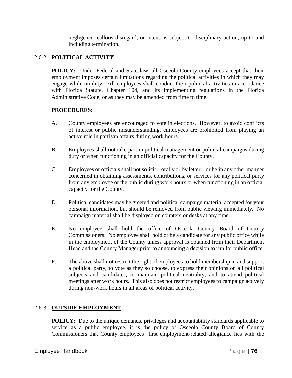negligence, callous disregard, or intent, is subject to disciplinary action, up to and including termination.

# 2.6-2 **POLITICAL ACTIVITY**

**POLICY:** Under Federal and State law, all Osceola County employees accept that their employment imposes certain limitations regarding the political activities in which they may engage while on duty. All employees shall conduct their political activities in accordance with Florida Statute, Chapter 104, and its implementing regulations in the Florida Administrative Code, or as they may be amended from time to time.

### **PROCEDURES:**

- A. County employees are encouraged to vote in elections. However, to avoid conflicts of interest or public misunderstanding, employees are prohibited from playing an active role in partisan affairs during work hours.
- B. Employees shall not take part in political management or political campaigns during duty or when functioning in an official capacity for the County.
- C. Employees or officials shall not solicit orally or by letter or be in any other manner concerned in obtaining assessments, contributions, or services for any political party from any employee or the public during work hours or when functioning in an official capacity for the County.
- D. Political candidates may be greeted and political campaign material accepted for your personal information, but should be removed from public viewing immediately. No campaign material shall be displayed on counters or desks at any time.
- E. No employee shall hold the office of Osceola County Board of County Commissioners. No employee shall hold or be a candidate for any public office while in the employment of the County unless approval is obtained from their Department Head and the County Manager prior to announcing a decision to run for public office.
- F. The above shall not restrict the right of employees to hold membership in and support a political party, to vote as they so choose, to express their opinions on all political subjects and candidates, to maintain political neutrality, and to attend political meetings after work hours. This also does not restrict employees to campaign actively during non-work hours in all areas of political activity.

# 2.6-3 **OUTSIDE EMPLOYMENT**

**POLICY:** Due to the unique demands, privileges and accountability standards applicable to service as a public employee, it is the policy of Osceola County Board of County Commissioners that County employees' first employment-related allegiance lies with the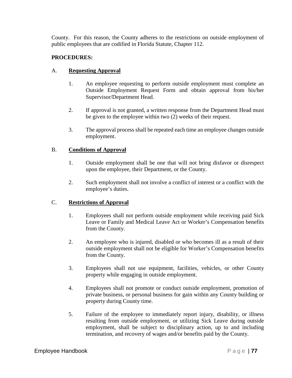County. For this reason, the County adheres to the restrictions on outside employment of public employees that are codified in Florida Statute, Chapter 112.

# **PROCEDURES:**

# A. **Requesting Approval**

- 1. An employee requesting to perform outside employment must complete an Outside Employment Request Form and obtain approval from his/her Supervisor/Department Head.
- 2. If approval is not granted, a written response from the Department Head must be given to the employee within two (2) weeks of their request.
- 3. The approval process shall be repeated each time an employee changes outside employment.

### B. **Conditions of Approval**

- 1. Outside employment shall be one that will not bring disfavor or disrespect upon the employee, their Department, or the County.
- 2. Such employment shall not involve a conflict of interest or a conflict with the employee's duties.

# C. **Restrictions of Approval**

- 1. Employees shall not perform outside employment while receiving paid Sick Leave or Family and Medical Leave Act or Worker's Compensation benefits from the County.
- 2. An employee who is injured, disabled or who becomes ill as a result of their outside employment shall not be eligible for Worker's Compensation benefits from the County.
- 3. Employees shall not use equipment, facilities, vehicles, or other County property while engaging in outside employment.
- 4. Employees shall not promote or conduct outside employment, promotion of private business, or personal business for gain within any County building or property during County time.
- 5. Failure of the employee to immediately report injury, disability, or illness resulting from outside employment, or utilizing Sick Leave during outside employment, shall be subject to disciplinary action, up to and including termination, and recovery of wages and/or benefits paid by the County.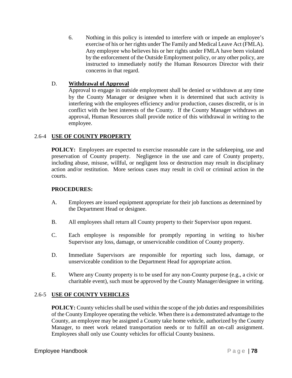6. Nothing in this policy is intended to interfere with or impede an employee's exercise of his or her rights under The Family and Medical Leave Act (FMLA). Any employee who believes his or her rights under FMLA have been violated by the enforcement of the Outside Employment policy, or any other policy, are instructed to immediately notify the Human Resources Director with their concerns in that regard.

# D. **Withdrawal of Approval**

Approval to engage in outside employment shall be denied or withdrawn at any time by the County Manager or designee when it is determined that such activity is interfering with the employees efficiency and/or production, causes discredit, or is in conflict with the best interests of the County. If the County Manager withdraws an approval, Human Resources shall provide notice of this withdrawal in writing to the employee.

# 2.6-4 **USE OF COUNTY PROPERTY**

**POLICY:** Employees are expected to exercise reasonable care in the safekeeping, use and preservation of County property. Negligence in the use and care of County property, including abuse, misuse, willful, or negligent loss or destruction may result in disciplinary action and/or restitution. More serious cases may result in civil or criminal action in the courts.

# **PROCEDURES:**

- A. Employees are issued equipment appropriate for their job functions as determined by the Department Head or designee.
- B. All employees shall return all County property to their Supervisor upon request.
- C. Each employee is responsible for promptly reporting in writing to his/her Supervisor any loss, damage, or unserviceable condition of County property.
- D. Immediate Supervisors are responsible for reporting such loss, damage, or unserviceable condition to the Department Head for appropriate action.
- E. Where any County property is to be used for any non-County purpose (e.g., a civic or charitable event), such must be approved by the County Manager/designee in writing.

# 2.6-5 **USE OF COUNTY VEHICLES**

**POLICY:** County vehicles shall be used within the scope of the job duties and responsibilities of the County Employee operating the vehicle. When there is a demonstrated advantage to the County, an employee may be assigned a County take home vehicle, authorized by the County Manager, to meet work related transportation needs or to fulfill an on-call assignment. Employees shall only use County vehicles for official County business.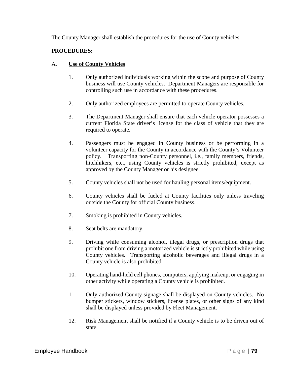The County Manager shall establish the procedures for the use of County vehicles.

# **PROCEDURES:**

# A. **Use of County Vehicles**

- 1. Only authorized individuals working within the scope and purpose of County business will use County vehicles. Department Managers are responsible for controlling such use in accordance with these procedures.
- 2. Only authorized employees are permitted to operate County vehicles.
- 3. The Department Manager shall ensure that each vehicle operator possesses a current Florida State driver's license for the class of vehicle that they are required to operate.
- 4. Passengers must be engaged in County business or be performing in a volunteer capacity for the County in accordance with the County's Volunteer policy. Transporting non-County personnel, i.e., family members, friends, hitchhikers, etc., using County vehicles is strictly prohibited, except as approved by the County Manager or his designee.
- 5. County vehicles shall not be used for hauling personal items/equipment.
- 6. County vehicles shall be fueled at County facilities only unless traveling outside the County for official County business.
- 7. Smoking is prohibited in County vehicles.
- 8. Seat belts are mandatory.
- 9. Driving while consuming alcohol, illegal drugs, or prescription drugs that prohibit one from driving a motorized vehicle is strictly prohibited while using County vehicles. Transporting alcoholic beverages and illegal drugs in a County vehicle is also prohibited.
- 10. Operating hand-held cell phones, computers, applying makeup, or engaging in other activity while operating a County vehicle is prohibited.
- 11. Only authorized County signage shall be displayed on County vehicles. No bumper stickers, window stickers, license plates, or other signs of any kind shall be displayed unless provided by Fleet Management.
- 12. Risk Management shall be notified if a County vehicle is to be driven out of state.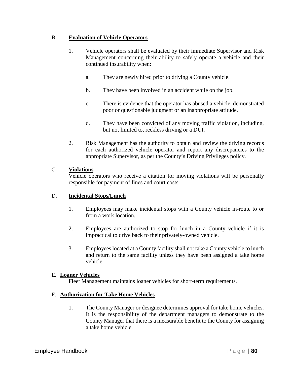# B. **Evaluation of Vehicle Operators**

- 1. Vehicle operators shall be evaluated by their immediate Supervisor and Risk Management concerning their ability to safely operate a vehicle and their continued insurability when:
	- a. They are newly hired prior to driving a County vehicle.
	- b. They have been involved in an accident while on the job.
	- c. There is evidence that the operator has abused a vehicle, demonstrated poor or questionable judgment or an inappropriate attitude.
	- d. They have been convicted of any moving traffic violation, including, but not limited to, reckless driving or a DUI.
- 2. Risk Management has the authority to obtain and review the driving records for each authorized vehicle operator and report any discrepancies to the appropriate Supervisor, as per the County's Driving Privileges policy.

# C. **Violations**

Vehicle operators who receive a citation for moving violations will be personally responsible for payment of fines and court costs.

# D. **Incidental Stops/Lunch**

- 1. Employees may make incidental stops with a County vehicle in-route to or from a work location.
- 2. Employees are authorized to stop for lunch in a County vehicle if it is impractical to drive back to their privately-owned vehicle.
- 3. Employees located at a County facility shall not take a County vehicle to lunch and return to the same facility unless they have been assigned a take home vehicle.

# E. **Loaner Vehicles**

Fleet Management maintains loaner vehicles for short-term requirements.

# F. **Authorization for Take Home Vehicles**

1. The County Manager or designee determines approval for take home vehicles. It is the responsibility of the department managers to demonstrate to the County Manager that there is a measurable benefit to the County for assigning a take home vehicle.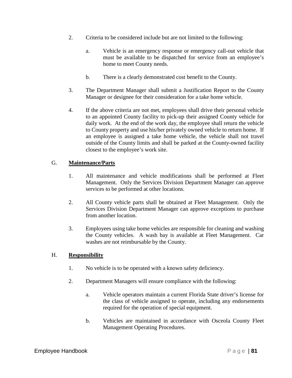- 2. Criteria to be considered include but are not limited to the following:
	- a. Vehicle is an emergency response or emergency call-out vehicle that must be available to be dispatched for service from an employee's home to meet County needs.
	- b. There is a clearly demonstrated cost benefit to the County.
- 3. The Department Manager shall submit a Justification Report to the County Manager or designee for their consideration for a take home vehicle.
- 4. If the above criteria are not met, employees shall drive their personal vehicle to an appointed County facility to pick-up their assigned County vehicle for daily work. At the end of the work day, the employee shall return the vehicle to County property and use his/her privately owned vehicle to return home. If an employee is assigned a take home vehicle, the vehicle shall not travel outside of the County limits and shall be parked at the County-owned facility closest to the employee's work site.

### G. **Maintenance/Parts**

- 1. All maintenance and vehicle modifications shall be performed at Fleet Management. Only the Services Division Department Manager can approve services to be performed at other locations.
- 2. All County vehicle parts shall be obtained at Fleet Management. Only the Services Division Department Manager can approve exceptions to purchase from another location.
- 3. Employees using take home vehicles are responsible for cleaning and washing the County vehicles. A wash bay is available at Fleet Management. Car washes are not reimbursable by the County.

#### H. **Responsibility**

- 1. No vehicle is to be operated with a known safety deficiency.
- 2. Department Managers will ensure compliance with the following:
	- a. Vehicle operators maintain a current Florida State driver's license for the class of vehicle assigned to operate, including any endorsements required for the operation of special equipment.
	- b. Vehicles are maintained in accordance with Osceola County Fleet Management Operating Procedures.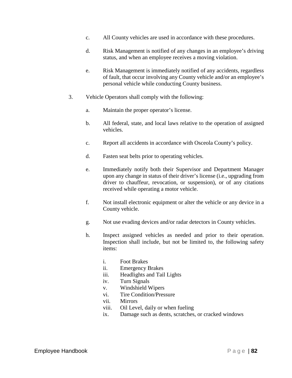- c. All County vehicles are used in accordance with these procedures.
- d. Risk Management is notified of any changes in an employee's driving status, and when an employee receives a moving violation.
- e. Risk Management is immediately notified of any accidents, regardless of fault, that occur involving any County vehicle and/or an employee's personal vehicle while conducting County business.
- 3. Vehicle Operators shall comply with the following:
	- a. Maintain the proper operator's license.
	- b. All federal, state, and local laws relative to the operation of assigned vehicles.
	- c. Report all accidents in accordance with Osceola County's policy.
	- d. Fasten seat belts prior to operating vehicles.
	- e. Immediately notify both their Supervisor and Department Manager upon any change in status of their driver's license (i.e., upgrading from driver to chauffeur, revocation, or suspension), or of any citations received while operating a motor vehicle.
	- f. Not install electronic equipment or alter the vehicle or any device in a County vehicle.
	- g. Not use evading devices and/or radar detectors in County vehicles.
	- h. Inspect assigned vehicles as needed and prior to their operation. Inspection shall include, but not be limited to, the following safety items:
		- i. Foot Brakes
		- ii. Emergency Brakes
		- iii. Headlights and Tail Lights
		- iv. Turn Signals
		- v. Windshield Wipers
		- vi. Tire Condition/Pressure
		- vii. Mirrors
		- viii. Oil Level, daily or when fueling
		- ix. Damage such as dents, scratches, or cracked windows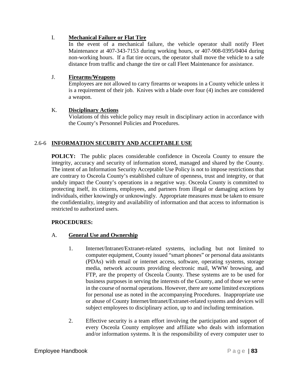# I. **Mechanical Failure or Flat Tire**

In the event of a mechanical failure, the vehicle operator shall notify Fleet Maintenance at 407-343-7153 during working hours, or 407-908-0395/0404 during non-working hours. If a flat tire occurs, the operator shall move the vehicle to a safe distance from traffic and change the tire or call Fleet Maintenance for assistance.

# J. **Firearms/Weapons**

Employees are not allowed to carry firearms or weapons in a County vehicle unless it is a requirement of their job. Knives with a blade over four (4) inches are considered a weapon.

# K. **Disciplinary Actions**

Violations of this vehicle policy may result in disciplinary action in accordance with the County's Personnel Policies and Procedures.

# 2.6-6 **INFORMATION SECURITY AND ACCEPTABLE USE**

**POLICY:** The public places considerable confidence in Osceola County to ensure the integrity, accuracy and security of information stored, managed and shared by the County. The intent of an Information Security Acceptable Use Policy is not to impose restrictions that are contrary to Osceola County's established culture of openness, trust and integrity, or that unduly impact the County's operations in a negative way. Osceola County is committed to protecting itself, its citizens, employees, and partners from illegal or damaging actions by individuals, either knowingly or unknowingly. Appropriate measures must be taken to ensure the confidentiality, integrity and availability of information and that access to information is restricted to authorized users.

# **PROCEDURES:**

# A. **General Use and Ownership**

- 1. Internet/Intranet/Extranet-related systems, including but not limited to computer equipment, County issued "smart phones" or personal data assistants (PDAs) with email or internet access, software, operating systems, storage media, network accounts providing electronic mail, WWW browsing, and FTP, are the property of Osceola County. These systems are to be used for business purposes in serving the interests of the County, and of those we serve in the course of normal operations. However, there are some limited exceptions for personal use as noted in the accompanying Procedures. Inappropriate use or abuse of County Internet/Intranet/Extranet-related systems and devices will subject employees to disciplinary action, up to and including termination.
- 2. Effective security is a team effort involving the participation and support of every Osceola County employee and affiliate who deals with information and/or information systems. It is the responsibility of every computer user to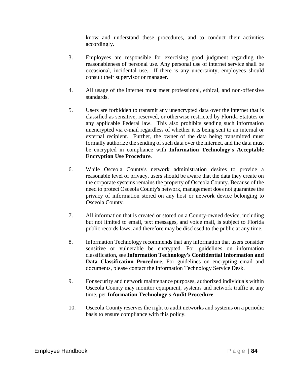know and understand these procedures, and to conduct their activities accordingly.

- 3. Employees are responsible for exercising good judgment regarding the reasonableness of personal use. Any personal use of internet service shall be occasional, incidental use. If there is any uncertainty, employees should consult their supervisor or manager.
- 4. All usage of the internet must meet professional, ethical, and non-offensive standards.
- 5. Users are forbidden to transmit any unencrypted data over the internet that is classified as sensitive, reserved, or otherwise restricted by Florida Statutes or any applicable Federal law. This also prohibits sending such information unencrypted via e-mail regardless of whether it is being sent to an internal or external recipient. Further, the owner of the data being transmitted must formally authorize the sending of such data over the internet, and the data must be encrypted in compliance with **Information Technology's Acceptable Encryption Use Procedure**.
- 6. While Osceola County's network administration desires to provide a reasonable level of privacy, users should be aware that the data they create on the corporate systems remains the property of Osceola County. Because of the need to protect Osceola County's network, management does not guarantee the privacy of information stored on any host or network device belonging to Osceola County.
- 7. All information that is created or stored on a County-owned device, including but not limited to email, text messages, and voice mail, is subject to Florida public records laws, and therefore may be disclosed to the public at any time.
- 8. Information Technology recommends that any information that users consider sensitive or vulnerable be encrypted. For guidelines on information classification, see **Information Technology's Confidential Information and Data Classification Procedure**. For guidelines on encrypting email and documents, please contact the Information Technology Service Desk.
- 9. For security and network maintenance purposes, authorized individuals within Osceola County may monitor equipment, systems and network traffic at any time, per **Information Technology's Audit Procedure**.
- 10. Osceola County reserves the right to audit networks and systems on a periodic basis to ensure compliance with this policy.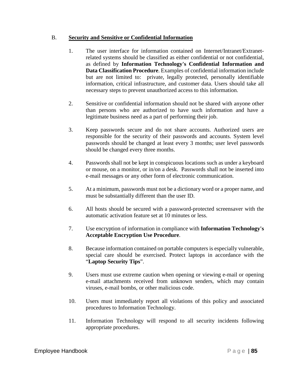### B. **Security and Sensitive or Confidential Information**

- 1. The user interface for information contained on Internet/Intranet/Extranetrelated systems should be classified as either confidential or not confidential, as defined by **Information Technology's Confidential Information and Data Classification Procedure**. Examples of confidential information include but are not limited to: private, legally protected, personally identifiable information, critical infrastructure, and customer data. Users should take all necessary steps to prevent unauthorized access to this information.
- 2. Sensitive or confidential information should not be shared with anyone other than persons who are authorized to have such information and have a legitimate business need as a part of performing their job.
- 3. Keep passwords secure and do not share accounts. Authorized users are responsible for the security of their passwords and accounts. System level passwords should be changed at least every 3 months; user level passwords should be changed every three months.
- 4. Passwords shall not be kept in conspicuous locations such as under a keyboard or mouse, on a monitor, or in/on a desk. Passwords shall not be inserted into e-mail messages or any other form of electronic communication.
- 5. At a minimum, passwords must not be a dictionary word or a proper name, and must be substantially different than the user ID.
- 6. All hosts should be secured with a password-protected screensaver with the automatic activation feature set at 10 minutes or less.
- 7. Use encryption of information in compliance with **Information Technology's Acceptable Encryption Use Procedure**.
- 8. Because information contained on portable computers is especially vulnerable, special care should be exercised. Protect laptops in accordance with the "**Laptop Security Tips**".
- 9. Users must use extreme caution when opening or viewing e-mail or opening e-mail attachments received from unknown senders, which may contain viruses, e-mail bombs, or other malicious code.
- 10. Users must immediately report all violations of this policy and associated procedures to Information Technology.
- 11. Information Technology will respond to all security incidents following appropriate procedures.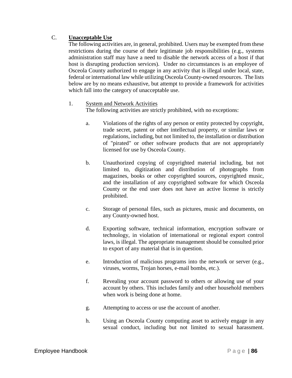# C. **Unacceptable Use**

The following activities are, in general, prohibited. Users may be exempted from these restrictions during the course of their legitimate job responsibilities (e.g., systems administration staff may have a need to disable the network access of a host if that host is disrupting production services). Under no circumstances is an employee of Osceola County authorized to engage in any activity that is illegal under local, state, federal or international law while utilizing Osceola County-owned resources. The lists below are by no means exhaustive, but attempt to provide a framework for activities which fall into the category of unacceptable use.

### 1. System and Network Activities

The following activities are strictly prohibited, with no exceptions:

- a. Violations of the rights of any person or entity protected by copyright, trade secret, patent or other intellectual property, or similar laws or regulations, including, but not limited to, the installation or distribution of "pirated" or other software products that are not appropriately licensed for use by Osceola County.
- b. Unauthorized copying of copyrighted material including, but not limited to, digitization and distribution of photographs from magazines, books or other copyrighted sources, copyrighted music, and the installation of any copyrighted software for which Osceola County or the end user does not have an active license is strictly prohibited.
- c. Storage of personal files, such as pictures, music and documents, on any County-owned host.
- d. Exporting software, technical information, encryption software or technology, in violation of international or regional export control laws, is illegal. The appropriate management should be consulted prior to export of any material that is in question.
- e. Introduction of malicious programs into the network or server (e.g., viruses, worms, Trojan horses, e-mail bombs, etc.).
- f. Revealing your account password to others or allowing use of your account by others. This includes family and other household members when work is being done at home.
- g. Attempting to access or use the account of another.
- h. Using an Osceola County computing asset to actively engage in any sexual conduct, including but not limited to sexual harassment.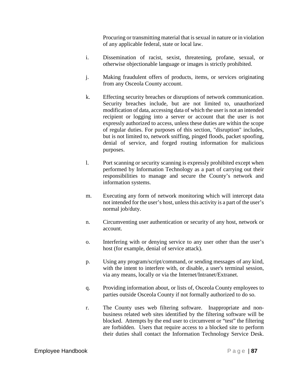Procuring or transmitting material that is sexual in nature or in violation of any applicable federal, state or local law.

- i. Dissemination of racist, sexist, threatening, profane, sexual, or otherwise objectionable language or images is strictly prohibited.
- j. Making fraudulent offers of products, items, or services originating from any Osceola County account.
- k. Effecting security breaches or disruptions of network communication. Security breaches include, but are not limited to, unauthorized modification of data, accessing data of which the user is not an intended recipient or logging into a server or account that the user is not expressly authorized to access, unless these duties are within the scope of regular duties. For purposes of this section, "disruption" includes, but is not limited to, network sniffing, pinged floods, packet spoofing, denial of service, and forged routing information for malicious purposes.
- l. Port scanning or security scanning is expressly prohibited except when performed by Information Technology as a part of carrying out their responsibilities to manage and secure the County's network and information systems.
- m. Executing any form of network monitoring which will intercept data not intended for the user's host, unless this activity is a part of the user's normal job/duty.
- n. Circumventing user authentication or security of any host, network or account.
- o. Interfering with or denying service to any user other than the user's host (for example, denial of service attack).
- p. Using any program/script/command, or sending messages of any kind, with the intent to interfere with, or disable, a user's terminal session, via any means, locally or via the Internet/Intranet/Extranet.
- q. Providing information about, or lists of, Osceola County employees to parties outside Osceola County if not formally authorized to do so.
- r. The County uses web filtering software. Inappropriate and nonbusiness related web sites identified by the filtering software will be blocked. Attempts by the end user to circumvent or "test" the filtering are forbidden. Users that require access to a blocked site to perform their duties shall contact the Information Technology Service Desk.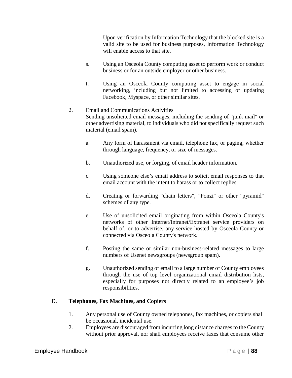Upon verification by Information Technology that the blocked site is a valid site to be used for business purposes, Information Technology will enable access to that site.

- s. Using an Osceola County computing asset to perform work or conduct business or for an outside employer or other business.
- t. Using an Osceola County computing asset to engage in social networking, including but not limited to accessing or updating Facebook, Myspace, or other similar sites.

# 2. Email and Communications Activities Sending unsolicited email messages, including the sending of "junk mail" or other advertising material, to individuals who did not specifically request such material (email spam).

- a. Any form of harassment via email, telephone fax, or paging, whether through language, frequency, or size of messages.
- b. Unauthorized use, or forging, of email header information.
- c. Using someone else's email address to solicit email responses to that email account with the intent to harass or to collect replies.
- d. Creating or forwarding "chain letters", "Ponzi" or other "pyramid" schemes of any type.
- e. Use of unsolicited email originating from within Osceola County's networks of other Internet/Intranet/Extranet service providers on behalf of, or to advertise, any service hosted by Osceola County or connected via Osceola County's network.
- f. Posting the same or similar non-business-related messages to large numbers of Usenet newsgroups (newsgroup spam).
- g. Unauthorized sending of email to a large number of County employees through the use of top level organizational email distribution lists, especially for purposes not directly related to an employee's job responsibilities.

# D. **Telephones, Fax Machines, and Copiers**

- 1. Any personal use of County owned telephones, fax machines, or copiers shall be occasional, incidental use.
- 2. Employees are discouraged from incurring long distance charges to the County without prior approval, nor shall employees receive faxes that consume other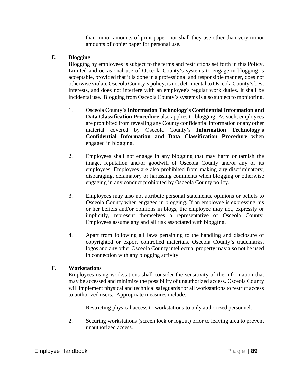than minor amounts of print paper, nor shall they use other than very minor amounts of copier paper for personal use.

### E. **Blogging**

Blogging by employees is subject to the terms and restrictions set forth in this Policy. Limited and occasional use of Osceola County's systems to engage in blogging is acceptable, provided that it is done in a professional and responsible manner, does not otherwise violate Osceola County's policy, is not detrimental to Osceola County's best interests, and does not interfere with an employee's regular work duties. It shall be incidental use. Blogging from Osceola County's systems is also subject to monitoring.

- 1. Osceola County's **Information Technology's Confidential Information and Data Classification Procedure** also applies to blogging. As such, employees are prohibited from revealing any County confidential information or any other material covered by Osceola County's **Information Technology's Confidential Information and Data Classification Procedure** when engaged in blogging.
- 2. Employees shall not engage in any blogging that may harm or tarnish the image, reputation and/or goodwill of Osceola County and/or any of its employees. Employees are also prohibited from making any discriminatory, disparaging, defamatory or harassing comments when blogging or otherwise engaging in any conduct prohibited by Osceola County policy.
- 3. Employees may also not attribute personal statements, opinions or beliefs to Osceola County when engaged in blogging. If an employee is expressing his or her beliefs and/or opinions in blogs, the employee may not, expressly or implicitly, represent themselves a representative of Osceola County. Employees assume any and all risk associated with blogging.
- 4. Apart from following all laws pertaining to the handling and disclosure of copyrighted or export controlled materials, Osceola County's trademarks, logos and any other Osceola County intellectual property may also not be used in connection with any blogging activity.

# F. **Workstations**

Employees using workstations shall consider the sensitivity of the information that may be accessed and minimize the possibility of unauthorized access. Osceola County will implement physical and technical safeguards for all workstations to restrict access to authorized users. Appropriate measures include:

- 1. Restricting physical access to workstations to only authorized personnel.
- 2. Securing workstations (screen lock or logout) prior to leaving area to prevent unauthorized access.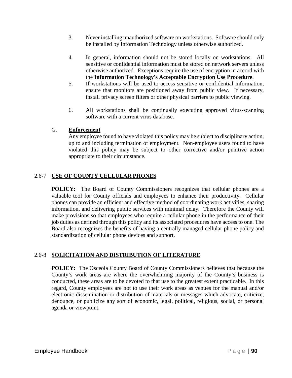- 3. Never installing unauthorized software on workstations. Software should only be installed by Information Technology unless otherwise authorized.
- 4. In general, information should not be stored locally on workstations. All sensitive or confidential information must be stored on network servers unless otherwise authorized. Exceptions require the use of encryption in accord with the **Information Technology's Acceptable Encryption Use Procedure**.
- 5. If workstations will be used to access sensitive or confidential information, ensure that monitors are positioned away from public view. If necessary, install privacy screen filters or other physical barriers to public viewing.
- 6. All workstations shall be continually executing approved virus-scanning software with a current virus database.

# G. **Enforcement**

Any employee found to have violated this policy may be subject to disciplinary action, up to and including termination of employment. Non-employee users found to have violated this policy may be subject to other corrective and/or punitive action appropriate to their circumstance.

# 2.6-7 **USE OF COUNTY CELLULAR PHONES**

**POLICY:** The Board of County Commissioners recognizes that cellular phones are a valuable tool for County officials and employees to enhance their productivity. Cellular phones can provide an efficient and effective method of coordinating work activities, sharing information, and delivering public services with minimal delay. Therefore the County will make provisions so that employees who require a cellular phone in the performance of their job duties as defined through this policy and its associated procedures have access to one. The Board also recognizes the benefits of having a centrally managed cellular phone policy and standardization of cellular phone devices and support.

# 2.6-8 **SOLICITATION AND DISTRIBUTION OF LITERATURE**

**POLICY:** The Osceola County Board of County Commissioners believes that because the County's work areas are where the overwhelming majority of the County's business is conducted, these areas are to be devoted to that use to the greatest extent practicable. In this regard, County employees are not to use their work areas as venues for the manual and/or electronic dissemination or distribution of materials or messages which advocate, criticize, denounce, or publicize any sort of economic, legal, political, religious, social, or personal agenda or viewpoint.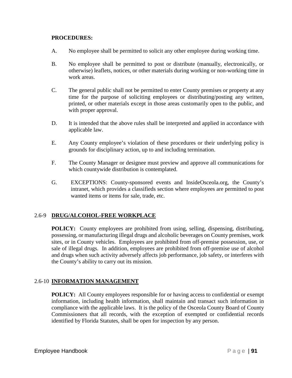### **PROCEDURES:**

- A. No employee shall be permitted to solicit any other employee during working time.
- B. No employee shall be permitted to post or distribute (manually, electronically, or otherwise) leaflets, notices, or other materials during working or non-working time in work areas.
- C. The general public shall not be permitted to enter County premises or property at any time for the purpose of soliciting employees or distributing/posting any written, printed, or other materials except in those areas customarily open to the public, and with proper approval.
- D. It is intended that the above rules shall be interpreted and applied in accordance with applicable law.
- E. Any County employee's violation of these procedures or their underlying policy is grounds for disciplinary action, up to and including termination.
- F. The County Manager or designee must preview and approve all communications for which countywide distribution is contemplated.
- G. EXCEPTIONS: County-sponsored events and InsideOsceola.org, the County's intranet, which provides a classifieds section where employees are permitted to post wanted items or items for sale, trade, etc.

# 2.6-9 **DRUG/ALCOHOL-FREE WORKPLACE**

**POLICY:** County employees are prohibited from using, selling, dispensing, distributing, possessing, or manufacturing illegal drugs and alcoholic beverages on County premises, work sites, or in County vehicles. Employees are prohibited from off-premise possession, use, or sale of illegal drugs. In addition, employees are prohibited from off-premise use of alcohol and drugs when such activity adversely affects job performance, job safety, or interferes with the County's ability to carry out its mission.

# 2.6-10 **INFORMATION MANAGEMENT**

**POLICY:** All County employees responsible for or having access to confidential or exempt information, including health information, shall maintain and transact such information in compliance with the applicable laws. It is the policy of the Osceola County Board of County Commissioners that all records, with the exception of exempted or confidential records identified by Florida Statutes, shall be open for inspection by any person.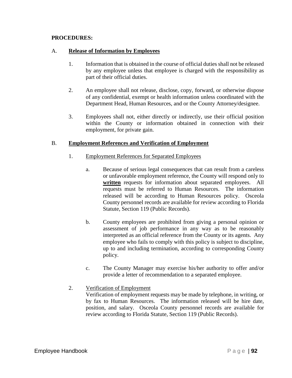### **PROCEDURES:**

### A. **Release of Information by Employees**

- 1. Information that is obtained in the course of official duties shall not be released by any employee unless that employee is charged with the responsibility as part of their official duties.
- 2. An employee shall not release, disclose, copy, forward, or otherwise dispose of any confidential, exempt or health information unless coordinated with the Department Head, Human Resources, and or the County Attorney/designee.
- 3. Employees shall not, either directly or indirectly, use their official position within the County or information obtained in connection with their employment, for private gain.

### B. **Employment References and Verification of Employment**

- 1. Employment References for Separated Employees
	- a. Because of serious legal consequences that can result from a careless or unfavorable employment reference, the County will respond only to **written** requests for information about separated employees. All requests must be referred to Human Resources. The information released will be according to Human Resources policy. Osceola County personnel records are available for review according to Florida Statute, Section 119 (Public Records).
	- b. County employees are prohibited from giving a personal opinion or assessment of job performance in any way as to be reasonably interpreted as an official reference from the County or its agents. Any employee who fails to comply with this policy is subject to discipline, up to and including termination, according to corresponding County policy.
	- c. The County Manager may exercise his/her authority to offer and/or provide a letter of recommendation to a separated employee.
- 2. Verification of Employment Verification of employment requests may be made by telephone, in writing, or by fax to Human Resources. The information released will be hire date, position, and salary. Osceola County personnel records are available for review according to Florida Statute, Section 119 (Public Records).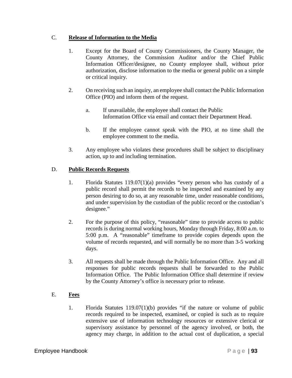# C. **Release of Information to the Media**

- 1. Except for the Board of County Commissioners, the County Manager, the County Attorney, the Commission Auditor and/or the Chief Public Information Officer/designee, no County employee shall, without prior authorization, disclose information to the media or general public on a simple or critical inquiry.
- 2. On receiving such an inquiry, an employee shall contact the Public Information Office (PIO) and inform them of the request.
	- a. If unavailable, the employee shall contact the Public Information Office via email and contact their Department Head.
	- b. If the employee cannot speak with the PIO, at no time shall the employee comment to the media.
- 3. Any employee who violates these procedures shall be subject to disciplinary action, up to and including termination.

# D. **Public Records Requests**

- 1. Florida Statutes 119.07(1)(a) provides "every person who has custody of a public record shall permit the records to be inspected and examined by any person desiring to do so, at any reasonable time, under reasonable conditions, and under supervision by the custodian of the public record or the custodian's designee."
- 2. For the purpose of this policy, "reasonable" time to provide access to public records is during normal working hours, Monday through Friday, 8:00 a.m. to 5:00 p.m. A "reasonable" timeframe to provide copies depends upon the volume of records requested, and will normally be no more than 3-5 working days.
- 3. All requests shall be made through the Public Information Office. Any and all responses for public records requests shall be forwarded to the Public Information Office. The Public Information Office shall determine if review by the County Attorney's office is necessary prior to release.
- E. **Fees**
	- 1. Florida Statutes 119.07(1)(b) provides "if the nature or volume of public records required to be inspected, examined, or copied is such as to require extensive use of information technology resources or extensive clerical or supervisory assistance by personnel of the agency involved, or both, the agency may charge, in addition to the actual cost of duplication, a special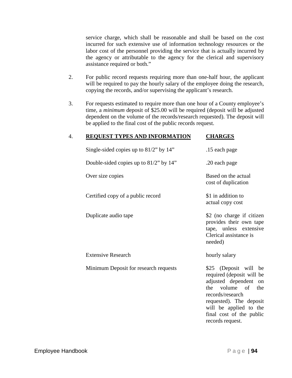service charge, which shall be reasonable and shall be based on the cost incurred for such extensive use of information technology resources or the labor cost of the personnel providing the service that is actually incurred by the agency or attributable to the agency for the clerical and supervisory assistance required or both."

- 2. For public record requests requiring more than one-half hour, the applicant will be required to pay the hourly salary of the employee doing the research, copying the records, and/or supervising the applicant's research.
- 3. For requests estimated to require more than one hour of a County employee's time, a *minimum* deposit of \$25.00 will be required (deposit will be adjusted dependent on the volume of the records/research requested). The deposit will be applied to the final cost of the public records request.

| 4. | <b>REQUEST TYPES AND INFORMATION</b>         | <b>CHARGES</b>                                                                                                                                                                                                                                |
|----|----------------------------------------------|-----------------------------------------------------------------------------------------------------------------------------------------------------------------------------------------------------------------------------------------------|
|    | Single-sided copies up to $81/2$ " by $14$ " | .15 each page                                                                                                                                                                                                                                 |
|    | Double-sided copies up to $81/2$ " by $14$ " | .20 each page                                                                                                                                                                                                                                 |
|    | Over size copies                             | Based on the actual<br>cost of duplication                                                                                                                                                                                                    |
|    | Certified copy of a public record            | \$1 in addition to<br>actual copy cost                                                                                                                                                                                                        |
|    | Duplicate audio tape                         | \$2 (no charge if citizen<br>provides their own tape<br>tape, unless extensive<br>Clerical assistance is<br>needed)                                                                                                                           |
|    | <b>Extensive Research</b>                    | hourly salary                                                                                                                                                                                                                                 |
|    | Minimum Deposit for research requests        | \$25 (Deposit will be<br>required (deposit will be<br>adjusted dependent<br><sub>on</sub><br>volume of<br>the<br>the<br>records/research<br>requested). The deposit<br>will be applied to the<br>final cost of the public<br>records request. |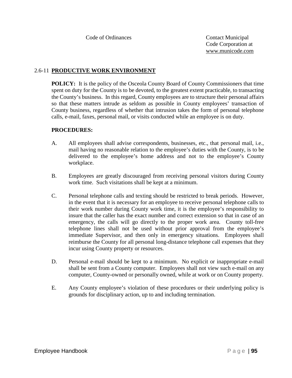### 2.6-11 **PRODUCTIVE WORK ENVIRONMENT**

**POLICY:** It is the policy of the Osceola County Board of County Commissioners that time spent on duty for the County is to be devoted, to the greatest extent practicable, to transacting the County's business. In this regard, County employees are to structure their personal affairs so that these matters intrude as seldom as possible in County employees' transaction of County business, regardless of whether that intrusion takes the form of personal telephone calls, e-mail, faxes, personal mail, or visits conducted while an employee is on duty.

- A. All employees shall advise correspondents, businesses, etc., that personal mail, i.e., mail having no reasonable relation to the employee's duties with the County, is to be delivered to the employee's home address and not to the employee's County workplace.
- B. Employees are greatly discouraged from receiving personal visitors during County work time. Such visitations shall be kept at a minimum.
- C. Personal telephone calls and texting should be restricted to break periods. However, in the event that it is necessary for an employee to receive personal telephone calls to their work number during County work time, it is the employee's responsibility to insure that the caller has the exact number and correct extension so that in case of an emergency, the calls will go directly to the proper work area. County toll-free telephone lines shall not be used without prior approval from the employee's immediate Supervisor, and then only in emergency situations. Employees shall reimburse the County for all personal long-distance telephone call expenses that they incur using County property or resources.
- D. Personal e-mail should be kept to a minimum. No explicit or inappropriate e-mail shall be sent from a County computer. Employees shall not view such e-mail on any computer, County-owned or personally owned, while at work or on County property.
- E. Any County employee's violation of these procedures or their underlying policy is grounds for disciplinary action, up to and including termination.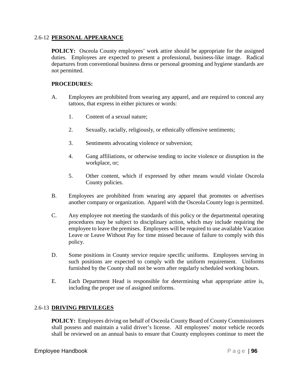#### 2.6-12 **PERSONAL APPEARANCE**

**POLICY:** Osceola County employees' work attire should be appropriate for the assigned duties. Employees are expected to present a professional, business-like image. Radical departures from conventional business dress or personal grooming and hygiene standards are not permitted.

### **PROCEDURES:**

- A. Employees are prohibited from wearing any apparel, and are required to conceal any tattoos, that express in either pictures or words:
	- 1. Content of a sexual nature;
	- 2. Sexually, racially, religiously, or ethnically offensive sentiments;
	- 3. Sentiments advocating violence or subversion;
	- 4. Gang affiliations, or otherwise tending to incite violence or disruption in the workplace, or;
	- 5. Other content, which if expressed by other means would violate Osceola County policies.
- B. Employees are prohibited from wearing any apparel that promotes or advertises another company or organization. Apparel with the Osceola County logo is permitted.
- C. Any employee not meeting the standards of this policy or the departmental operating procedures may be subject to disciplinary action, which may include requiring the employee to leave the premises. Employees will be required to use available Vacation Leave or Leave Without Pay for time missed because of failure to comply with this policy.
- D. Some positions in County service require specific uniforms. Employees serving in such positions are expected to comply with the uniform requirement. Uniforms furnished by the County shall not be worn after regularly scheduled working hours.
- E. Each Department Head is responsible for determining what appropriate attire is, including the proper use of assigned uniforms.

# 2.6-13 **DRIVING PRIVILEGES**

**POLICY:** Employees driving on behalf of Osceola County Board of County Commissioners shall possess and maintain a valid driver's license. All employees' motor vehicle records shall be reviewed on an annual basis to ensure that County employees continue to meet the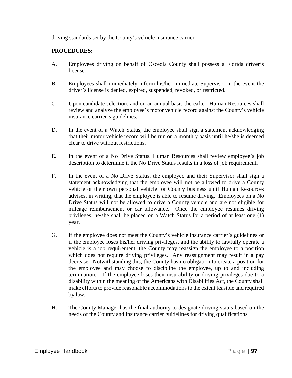driving standards set by the County's vehicle insurance carrier.

- A. Employees driving on behalf of Osceola County shall possess a Florida driver's license.
- B. Employees shall immediately inform his/her immediate Supervisor in the event the driver's license is denied, expired, suspended, revoked, or restricted.
- C. Upon candidate selection, and on an annual basis thereafter, Human Resources shall review and analyze the employee's motor vehicle record against the County's vehicle insurance carrier's guidelines.
- D. In the event of a Watch Status, the employee shall sign a statement acknowledging that their motor vehicle record will be run on a monthly basis until he/she is deemed clear to drive without restrictions.
- E. In the event of a No Drive Status, Human Resources shall review employee's job description to determine if the No Drive Status results in a loss of job requirement.
- F. In the event of a No Drive Status, the employee and their Supervisor shall sign a statement acknowledging that the employee will not be allowed to drive a County vehicle or their own personal vehicle for County business until Human Resources advises, in writing, that the employee is able to resume driving. Employees on a No Drive Status will not be allowed to drive a County vehicle and are not eligible for mileage reimbursement or car allowance. Once the employee resumes driving privileges, he/she shall be placed on a Watch Status for a period of at least one (1) year.
- G. If the employee does not meet the County's vehicle insurance carrier's guidelines or if the employee loses his/her driving privileges, and the ability to lawfully operate a vehicle is a job requirement, the County may reassign the employee to a position which does not require driving privileges. Any reassignment may result in a pay decrease. Notwithstanding this, the County has no obligation to create a position for the employee and may choose to discipline the employee, up to and including termination. If the employee loses their insurability or driving privileges due to a disability within the meaning of the Americans with Disabilities Act, the County shall make efforts to provide reasonable accommodations to the extent feasible and required by law.
- H. The County Manager has the final authority to designate driving status based on the needs of the County and insurance carrier guidelines for driving qualifications.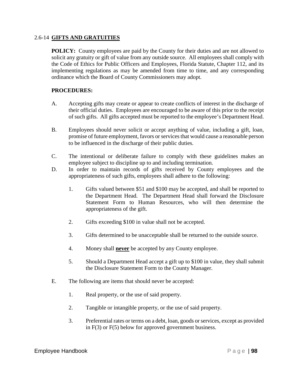#### 2.6-14 **GIFTS AND GRATUITIES**

**POLICY:** County employees are paid by the County for their duties and are not allowed to solicit any gratuity or gift of value from any outside source. All employees shall comply with the Code of Ethics for Public Officers and Employees, Florida Statute, Chapter 112, and its implementing regulations as may be amended from time to time, and any corresponding ordinance which the Board of County Commissioners may adopt.

- A. Accepting gifts may create or appear to create conflicts of interest in the discharge of their official duties. Employees are encouraged to be aware of this prior to the receipt of such gifts. All gifts accepted must be reported to the employee's Department Head.
- B. Employees should never solicit or accept anything of value, including a gift, loan, promise of future employment, favors or services that would cause a reasonable person to be influenced in the discharge of their public duties.
- C. The intentional or deliberate failure to comply with these guidelines makes an employee subject to discipline up to and including termination.
- D. In order to maintain records of gifts received by County employees and the appropriateness of such gifts, employees shall adhere to the following:
	- 1. Gifts valued between \$51 and \$100 may be accepted, and shall be reported to the Department Head. The Department Head shall forward the Disclosure Statement Form to Human Resources, who will then determine the appropriateness of the gift.
	- 2. Gifts exceeding \$100 in value shall not be accepted.
	- 3. Gifts determined to be unacceptable shall be returned to the outside source.
	- 4. Money shall **never** be accepted by any County employee.
	- 5. Should a Department Head accept a gift up to \$100 in value, they shall submit the Disclosure Statement Form to the County Manager.
- E. The following are items that should never be accepted:
	- 1. Real property, or the use of said property.
	- 2. Tangible or intangible property, or the use of said property.
	- 3. Preferential rates or terms on a debt, loan, goods or services, except as provided in F(3) or F(5) below for approved government business.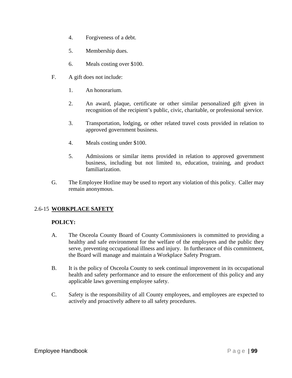- 4. Forgiveness of a debt.
- 5. Membership dues.
- 6. Meals costing over \$100.
- F. A gift does not include:
	- 1. An honorarium.
	- 2. An award, plaque, certificate or other similar personalized gift given in recognition of the recipient's public, civic, charitable, or professional service.
	- 3. Transportation, lodging, or other related travel costs provided in relation to approved government business.
	- 4. Meals costing under \$100.
	- 5. Admissions or similar items provided in relation to approved government business, including but not limited to, education, training, and product familiarization.
- G. The Employee Hotline may be used to report any violation of this policy. Caller may remain anonymous.

# 2.6-15 **WORKPLACE SAFETY**

#### **POLICY:**

- A. The Osceola County Board of County Commissioners is committed to providing a healthy and safe environment for the welfare of the employees and the public they serve, preventing occupational illness and injury. In furtherance of this commitment, the Board will manage and maintain a Workplace Safety Program.
- B. It is the policy of Osceola County to seek continual improvement in its occupational health and safety performance and to ensure the enforcement of this policy and any applicable laws governing employee safety.
- C. Safety is the responsibility of all County employees, and employees are expected to actively and proactively adhere to all safety procedures.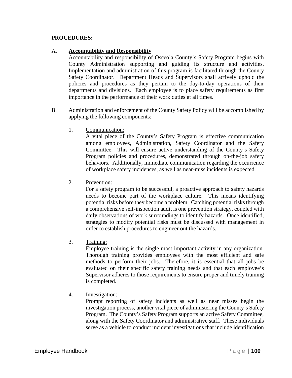### **PROCEDURES:**

### A. **Accountability and Responsibility**

Accountability and responsibility of Osceola County's Safety Program begins with County Administration supporting and guiding its structure and activities. Implementation and administration of this program is facilitated through the County Safety Coordinator. Department Heads and Supervisors shall actively uphold the policies and procedures as they pertain to the day-to-day operations of their departments and divisions. Each employee is to place safety requirements as first importance in the performance of their work duties at all times.

- B. Administration and enforcement of the County Safety Policy will be accomplished by applying the following components:
	- 1. Communication:

A vital piece of the County's Safety Program is effective communication among employees, Administration, Safety Coordinator and the Safety Committee. This will ensure active understanding of the County's Safety Program policies and procedures, demonstrated through on-the-job safety behaviors. Additionally, immediate communication regarding the occurrence of workplace safety incidences, as well as near-miss incidents is expected.

2. Prevention:

For a safety program to be successful, a proactive approach to safety hazards needs to become part of the workplace culture. This means identifying potential risks before they become a problem. Catching potential risks through a comprehensive self-inspection audit is one prevention strategy, coupled with daily observations of work surroundings to identify hazards. Once identified, strategies to modify potential risks must be discussed with management in order to establish procedures to engineer out the hazards.

3. Training:

Employee training is the single most important activity in any organization. Thorough training provides employees with the most efficient and safe methods to perform their jobs. Therefore, it is essential that all jobs be evaluated on their specific safety training needs and that each employee's Supervisor adheres to those requirements to ensure proper and timely training is completed.

4. Investigation:

Prompt reporting of safety incidents as well as near misses begin the investigation process, another vital piece of administering the County's Safety Program. The County's Safety Program supports an active Safety Committee, along with the Safety Coordinator and administrative staff. These individuals serve as a vehicle to conduct incident investigations that include identification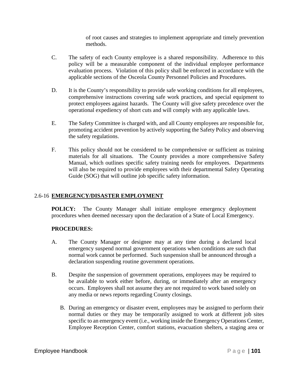of root causes and strategies to implement appropriate and timely prevention methods.

- C. The safety of each County employee is a shared responsibility. Adherence to this policy will be a measurable component of the individual employee performance evaluation process. Violation of this policy shall be enforced in accordance with the applicable sections of the Osceola County Personnel Policies and Procedures.
- D. It is the County's responsibility to provide safe working conditions for all employees, comprehensive instructions covering safe work practices, and special equipment to protect employees against hazards. The County will give safety precedence over the operational expediency of short cuts and will comply with any applicable laws.
- E. The Safety Committee is charged with, and all County employees are responsible for, promoting accident prevention by actively supporting the Safety Policy and observing the safety regulations.
- F. This policy should not be considered to be comprehensive or sufficient as training materials for all situations. The County provides a more comprehensive Safety Manual, which outlines specific safety training needs for employees. Departments will also be required to provide employees with their departmental Safety Operating Guide (SOG) that will outline job specific safety information.

# 2.6-16 **EMERGENCY/DISASTER EMPLOYMENT**

**POLICY:** The County Manager shall initiate employee emergency deployment procedures when deemed necessary upon the declaration of a State of Local Emergency.

- A. The County Manager or designee may at any time during a declared local emergency suspend normal government operations when conditions are such that normal work cannot be performed. Such suspension shall be announced through a declaration suspending routine government operations.
- B. Despite the suspension of government operations, employees may be required to be available to work either before, during, or immediately after an emergency occurs. Employees shall not assume they are not required to work based solely on any media or news reports regarding County closings.
	- B. During an emergency or disaster event, employees may be assigned to perform their normal duties or they may be temporarily assigned to work at different job sites specific to an emergency event (i.e., working inside the Emergency Operations Center, Employee Reception Center, comfort stations, evacuation shelters, a staging area or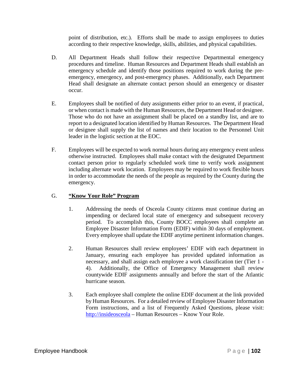point of distribution, etc.). Efforts shall be made to assign employees to duties according to their respective knowledge, skills, abilities, and physical capabilities.

- D. All Department Heads shall follow their respective Departmental emergency procedures and timeline. Human Resources and Department Heads shall establish an emergency schedule and identify those positions required to work during the preemergency, emergency, and post-emergency phases. Additionally, each Department Head shall designate an alternate contact person should an emergency or disaster occur.
- E. Employees shall be notified of duty assignments either prior to an event, if practical, or when contact is made with the Human Resources, the Department Head or designee. Those who do not have an assignment shall be placed on a standby list, and are to report to a designated location identified by Human Resources. The Department Head or designee shall supply the list of names and their location to the Personnel Unit leader in the logistic section at the EOC.
- F. Employees will be expected to work normal hours during any emergency event unless otherwise instructed. Employees shall make contact with the designated Department contact person prior to regularly scheduled work time to verify work assignment including alternate work location. Employees may be required to work flexible hours in order to accommodate the needs of the people as required by the County during the emergency.

# G. **"Know Your Role" Program**

- 1. Addressing the needs of Osceola County citizens must continue during an impending or declared local state of emergency and subsequent recovery period. To accomplish this, County BOCC employees shall complete an Employee Disaster Information Form (EDIF) within 30 days of employment. Every employee shall update the EDIF anytime pertinent information changes.
- 2. Human Resources shall review employees' EDIF with each department in January, ensuring each employee has provided updated information as necessary, and shall assign each employee a work classification tier (Tier 1 - 4). Additionally, the Office of Emergency Management shall review countywide EDIF assignments annually and before the start of the Atlantic hurricane season.
- 3. Each employee shall complete the online EDIF document at the link provided by Human Resources. For a detailed review of Employee Disaster Information Form instructions, and a list of Frequently Asked Questions, please visit: [http://insideosceola](http://insideosceola/) – Human Resources – Know Your Role.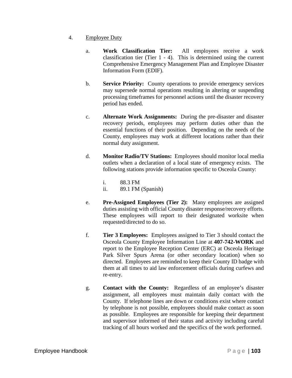- 4. Employee Duty
	- a. **Work Classification Tier:** All employees receive a work classification tier (Tier 1 - 4). This is determined using the current Comprehensive Emergency Management Plan and Employee Disaster Information Form (EDIF).
	- b. **Service Priority:** County operations to provide emergency services may supersede normal operations resulting in altering or suspending processing timeframes for personnel actions until the disaster recovery period has ended.
	- c. **Alternate Work Assignments:** During the pre-disaster and disaster recovery periods, employees may perform duties other than the essential functions of their position. Depending on the needs of the County, employees may work at different locations rather than their normal duty assignment.
	- d. **Monitor Radio/TV Stations:** Employees should monitor local media outlets when a declaration of a local state of emergency exists. The following stations provide information specific to Osceola County:

i. 88.3 FM ii. 89.1 FM (Spanish)

- e. **Pre-Assigned Employees (Tier 2):** Many employees are assigned duties assisting with official County disaster response/recovery efforts. These employees will report to their designated worksite when requested/directed to do so.
- f. **Tier 3 Employees:** Employees assigned to Tier 3 should contact the Osceola County Employee Information Line at **407-742-WORK** and report to the Employee Reception Center (ERC) at Osceola Heritage Park Silver Spurs Arena (or other secondary location) when so directed. Employees are reminded to keep their County ID badge with them at all times to aid law enforcement officials during curfews and re-entry.
- g. **Contact with the County:** Regardless of an employee's disaster assignment, all employees must maintain daily contact with the County. If telephone lines are down or conditions exist where contact by telephone is not possible, employees should make contact as soon as possible. Employees are responsible for keeping their department and supervisor informed of their status and activity including careful tracking of all hours worked and the specifics of the work performed.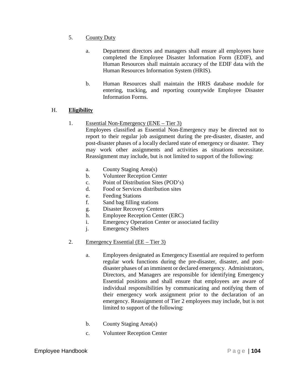- 5. County Duty
	- a. Department directors and managers shall ensure all employees have completed the Employee Disaster Information Form (EDIF), and Human Resources shall maintain accuracy of the EDIF data with the Human Resources Information System (HRIS).
	- b. Human Resources shall maintain the HRIS database module for entering, tracking, and reporting countywide Employee Disaster Information Forms.

# H. **Eligibility**

# 1. Essential Non-Emergency (ENE – Tier 3)

Employees classified as Essential Non-Emergency may be directed not to report to their regular job assignment during the pre-disaster, disaster, and post-disaster phases of a locally declared state of emergency or disaster. They may work other assignments and activities as situations necessitate. Reassignment may include, but is not limited to support of the following:

- a. County Staging Area(s)
- b. Volunteer Reception Center
- c. Point of Distribution Sites (POD's)
- d. Food or Services distribution sites
- e. Feeding Stations
- f. Sand bag filling stations
- g. Disaster Recovery Centers
- h. Employee Reception Center (ERC)
- i. Emergency Operation Center or associated facility
- j. Emergency Shelters

# 2. Emergency Essential (EE – Tier 3)

- a. Employees designated as Emergency Essential are required to perform regular work functions during the pre-disaster, disaster, and postdisaster phases of an imminent or declared emergency. Administrators, Directors, and Managers are responsible for identifying Emergency Essential positions and shall ensure that employees are aware of individual responsibilities by communicating and notifying them of their emergency work assignment prior to the declaration of an emergency. Reassignment of Tier 2 employees may include, but is not limited to support of the following:
- b. County Staging Area(s)
- c. Volunteer Reception Center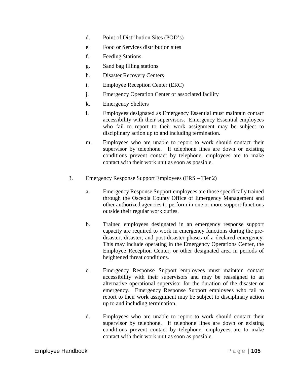- d. Point of Distribution Sites (POD's)
- e. Food or Services distribution sites
- f. Feeding Stations
- g. Sand bag filling stations
- h. Disaster Recovery Centers
- i. Employee Reception Center (ERC)
- j. Emergency Operation Center or associated facility
- k. Emergency Shelters
- l. Employees designated as Emergency Essential must maintain contact accessibility with their supervisors. Emergency Essential employees who fail to report to their work assignment may be subject to disciplinary action up to and including termination.
- m. Employees who are unable to report to work should contact their supervisor by telephone. If telephone lines are down or existing conditions prevent contact by telephone, employees are to make contact with their work unit as soon as possible.
- 3. Emergency Response Support Employees (ERS Tier 2)
	- a. Emergency Response Support employees are those specifically trained through the Osceola County Office of Emergency Management and other authorized agencies to perform in one or more support functions outside their regular work duties.
	- b. Trained employees designated in an emergency response support capacity are required to work in emergency functions during the predisaster, disaster, and post-disaster phases of a declared emergency. This may include operating in the Emergency Operations Center, the Employee Reception Center, or other designated area in periods of heightened threat conditions.
	- c. Emergency Response Support employees must maintain contact accessibility with their supervisors and may be reassigned to an alternative operational supervisor for the duration of the disaster or emergency. Emergency Response Support employees who fail to report to their work assignment may be subject to disciplinary action up to and including termination.
	- d. Employees who are unable to report to work should contact their supervisor by telephone. If telephone lines are down or existing conditions prevent contact by telephone, employees are to make contact with their work unit as soon as possible.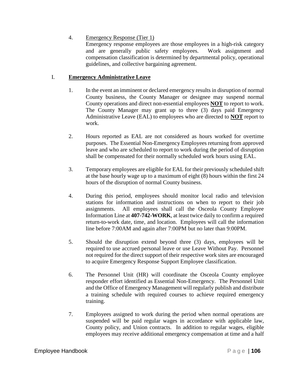## 4. Emergency Response (Tier 1)

Emergency response employees are those employees in a high-risk category and are generally public safety employees. Work assignment and compensation classification is determined by departmental policy, operational guidelines, and collective bargaining agreement.

## I. **Emergency Administrative Leave**

- 1. In the event an imminent or declared emergency results in disruption of normal County business, the County Manager or designee may suspend normal County operations and direct non-essential employees **NOT** to report to work. The County Manager may grant up to three (3) days paid Emergency Administrative Leave (EAL) to employees who are directed to **NOT** report to work.
- 2. Hours reported as EAL are not considered as hours worked for overtime purposes. The Essential Non-Emergency Employees returning from approved leave and who are scheduled to report to work during the period of disruption shall be compensated for their normally scheduled work hours using EAL.
- 3. Temporary employees are eligible for EAL for their previously scheduled shift at the base hourly wage up to a maximum of eight (8) hours within the first 24 hours of the disruption of normal County business.
- 4. During this period, employees should monitor local radio and television stations for information and instructions on when to report to their job assignments. All employees shall call the Osceola County Employee Information Line at **407-742-WORK**, at least twice daily to confirm a required return-to-work date, time, and location. Employees will call the information line before 7:00AM and again after 7:00PM but no later than 9:00PM.
- 5. Should the disruption extend beyond three (3) days, employees will be required to use accrued personal leave or use Leave Without Pay. Personnel not required for the direct support of their respective work sites are encouraged to acquire Emergency Response Support Employee classification.
- 6. The Personnel Unit (HR) will coordinate the Osceola County employee responder effort identified as Essential Non-Emergency. The Personnel Unit and the Office of Emergency Management will regularly publish and distribute a training schedule with required courses to achieve required emergency training.
- 7. Employees assigned to work during the period when normal operations are suspended will be paid regular wages in accordance with applicable law, County policy, and Union contracts. In addition to regular wages, eligible employees may receive additional emergency compensation at time and a half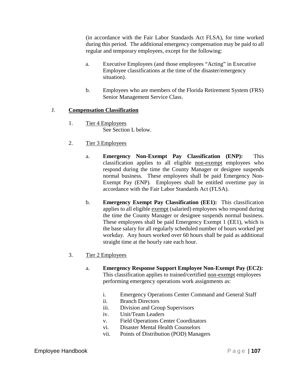(in accordance with the Fair Labor Standards Act FLSA), for time worked during this period. The additional emergency compensation may be paid to all regular and temporary employees, except for the following:

- a. Executive Employees (and those employees "Acting" in Executive Employee classifications at the time of the disaster/emergency situation).
- b. Employees who are members of the Florida Retirement System (FRS) Senior Management Service Class.

### J. **Compensation Classification**

- 1. Tier 4 Employees See Section L below.
- 2. Tier 3 Employees
	- a. **Emergency Non-Exempt Pay Classification (ENP):** This classification applies to all eligible non-exempt employees who respond during the time the County Manager or designee suspends normal business. These employees shall be paid Emergency Non-Exempt Pay (ENP). Employees shall be entitled overtime pay in accordance with the Fair Labor Standards Act (FLSA).
	- b. **Emergency Exempt Pay Classification (EE1):** This classification applies to all eligible exempt (salaried) employees who respond during the time the County Manager or designee suspends normal business. These employees shall be paid Emergency Exempt 1 (EE1), which is the base salary for all regularly scheduled number of hours worked per workday. Any hours worked over 60 hours shall be paid as additional straight time at the hourly rate each hour.
- 3. Tier 2 Employees
	- a. **Emergency Response Support Employee Non-Exempt Pay (EC2):** This classification applies to trained/certified non-exempt employees performing emergency operations work assignments as:
		- i. Emergency Operations Center Command and General Staff
		- ii. Branch Directors
		- iii. Division and Group Supervisors
		- iv. Unit/Team Leaders
		- v. Field Operations Center Coordinators
		- vi. Disaster Mental Health Counselors
		- vii. Points of Distribution (POD) Managers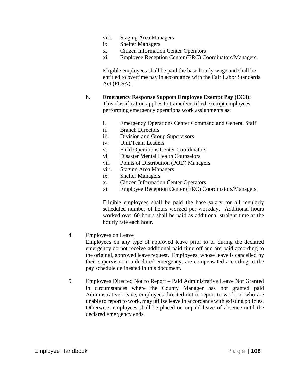- viii. Staging Area Managers
- ix. Shelter Managers
- x. Citizen Information Center Operators
- xi. Employee Reception Center (ERC) Coordinators/Managers

Eligible employees shall be paid the base hourly wage and shall be entitled to overtime pay in accordance with the Fair Labor Standards Act (FLSA).

### b. **Emergency Response Support Employee Exempt Pay (EC3):**

This classification applies to trained/certified exempt employees performing emergency operations work assignments as:

- i. Emergency Operations Center Command and General Staff
- ii. Branch Directors
- iii. Division and Group Supervisors
- iv. Unit/Team Leaders
- v. Field Operations Center Coordinators
- vi. Disaster Mental Health Counselors
- vii. Points of Distribution (POD) Managers
- viii. Staging Area Managers
- ix. Shelter Managers
- x. Citizen Information Center Operators
- xi Employee Reception Center (ERC) Coordinators/Managers

Eligible employees shall be paid the base salary for all regularly scheduled number of hours worked per workday. Additional hours worked over 60 hours shall be paid as additional straight time at the hourly rate each hour.

4. Employees on Leave

Employees on any type of approved leave prior to or during the declared emergency do not receive additional paid time off and are paid according to the original, approved leave request. Employees, whose leave is cancelled by their supervisor in a declared emergency, are compensated according to the pay schedule delineated in this document.

5. Employees Directed Not to Report – Paid Administrative Leave Not Granted in circumstances where the County Manager has not granted paid Administrative Leave, employees directed not to report to work, or who are unable to report to work, may utilize leave in accordance with existing policies. Otherwise, employees shall be placed on unpaid leave of absence until the declared emergency ends.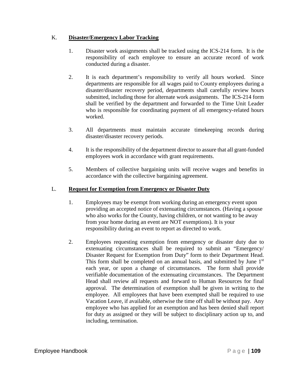### K. **Disaster/Emergency Labor Tracking**

- 1. Disaster work assignments shall be tracked using the ICS-214 form. It is the responsibility of each employee to ensure an accurate record of work conducted during a disaster.
- 2. It is each department's responsibility to verify all hours worked. Since departments are responsible for all wages paid to County employees during a disaster/disaster recovery period, departments shall carefully review hours submitted, including those for alternate work assignments. The ICS-214 form shall be verified by the department and forwarded to the Time Unit Leader who is responsible for coordinating payment of all emergency-related hours worked.
- 3. All departments must maintain accurate timekeeping records during disaster/disaster recovery periods.
- 4. It is the responsibility of the department director to assure that all grant-funded employees work in accordance with grant requirements.
- 5. Members of collective bargaining units will receive wages and benefits in accordance with the collective bargaining agreement.

### L. **Request for Exemption from Emergency or Disaster Duty**

- 1. Employees may be exempt from working during an emergency event upon providing an accepted notice of extenuating circumstances. (Having a spouse who also works for the County, having children, or not wanting to be away from your home during an event are NOT exemptions). It is your responsibility during an event to report as directed to work.
- 2. Employees requesting exemption from emergency or disaster duty due to extenuating circumstances shall be required to submit an "Emergency/ Disaster Request for Exemption from Duty" form to their Department Head. This form shall be completed on an annual basis, and submitted by June 1<sup>st</sup> each year, or upon a change of circumstances. The form shall provide verifiable documentation of the extenuating circumstances. The Department Head shall review all requests and forward to Human Resources for final approval. The determination of exemption shall be given in writing to the employee. All employees that have been exempted shall be required to use Vacation Leave, if available, otherwise the time off shall be without pay. Any employee who has applied for an exemption and has been denied shall report for duty as assigned or they will be subject to disciplinary action up to, and including, termination.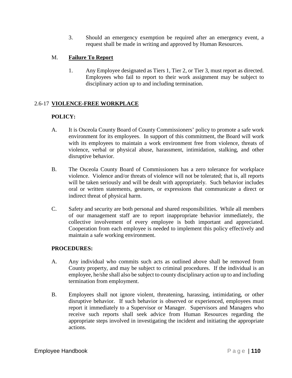3. Should an emergency exemption be required after an emergency event, a request shall be made in writing and approved by Human Resources.

# M. **Failure To Report**

1. Any Employee designated as Tiers 1, Tier 2, or Tier 3, must report as directed. Employees who fail to report to their work assignment may be subject to disciplinary action up to and including termination.

# 2.6-17 **VIOLENCE-FREE WORKPLACE**

# **POLICY:**

- A. It is Osceola County Board of County Commissioners' policy to promote a safe work environment for its employees. In support of this commitment, the Board will work with its employees to maintain a work environment free from violence, threats of violence, verbal or physical abuse, harassment, intimidation, stalking, and other disruptive behavior.
- B. The Osceola County Board of Commissioners has a zero tolerance for workplace violence. Violence and/or threats of violence will not be tolerated; that is, all reports will be taken seriously and will be dealt with appropriately. Such behavior includes oral or written statements, gestures, or expressions that communicate a direct or indirect threat of physical harm.
- C. Safety and security are both personal and shared responsibilities. While all members of our management staff are to report inappropriate behavior immediately, the collective involvement of every employee is both important and appreciated. Cooperation from each employee is needed to implement this policy effectively and maintain a safe working environment.

### **PROCEDURES:**

- A. Any individual who commits such acts as outlined above shall be removed from County property, and may be subject to criminal procedures. If the individual is an employee, he/she shall also be subject to county disciplinary action up to and including termination from employment.
- B. Employees shall not ignore violent, threatening, harassing, intimidating, or other disruptive behavior. If such behavior is observed or experienced, employees must report it immediately to a Supervisor or Manager. Supervisors and Managers who receive such reports shall seek advice from Human Resources regarding the appropriate steps involved in investigating the incident and initiating the appropriate actions.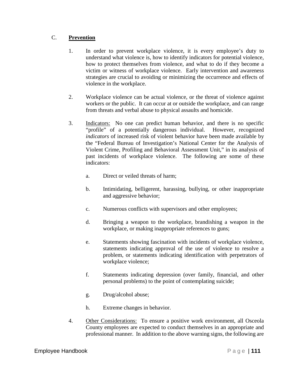## C. **Prevention**

- 1. In order to prevent workplace violence, it is every employee's duty to understand what violence is, how to identify indicators for potential violence, how to protect themselves from violence, and what to do if they become a victim or witness of workplace violence. Early intervention and awareness strategies are crucial to avoiding or minimizing the occurrence and effects of violence in the workplace.
- 2. Workplace violence can be actual violence, or the threat of violence against workers or the public. It can occur at or outside the workplace, and can range from threats and verbal abuse to physical assaults and homicide.
- 3. Indicators: No one can predict human behavior, and there is no specific "profile" of a potentially dangerous individual. However, recognized *indicators* of increased risk of violent behavior have been made available by the "Federal Bureau of Investigation's National Center for the Analysis of Violent Crime, Profiling and Behavioral Assessment Unit," in its analysis of past incidents of workplace violence. The following are some of these indicators:
	- a. Direct or veiled threats of harm;
	- b. Intimidating, belligerent, harassing, bullying, or other inappropriate and aggressive behavior;
	- c. Numerous conflicts with supervisors and other employees;
	- d. Bringing a weapon to the workplace, brandishing a weapon in the workplace, or making inappropriate references to guns;
	- e. Statements showing fascination with incidents of workplace violence, statements indicating approval of the use of violence to resolve a problem, or statements indicating identification with perpetrators of workplace violence;
	- f. Statements indicating depression (over family, financial, and other personal problems) to the point of contemplating suicide;
	- g. Drug/alcohol abuse;
	- h. Extreme changes in behavior.
- 4. Other Considerations: To ensure a positive work environment, all Osceola County employees are expected to conduct themselves in an appropriate and professional manner. In addition to the above warning signs, the following are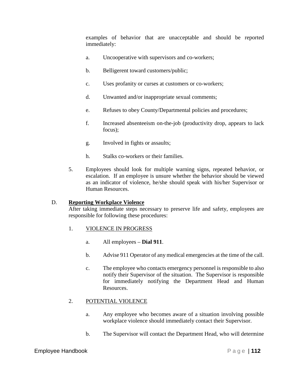examples of behavior that are unacceptable and should be reported immediately:

- a. Uncooperative with supervisors and co-workers;
- b. Belligerent toward customers/public;
- c. Uses profanity or curses at customers or co-workers;
- d. Unwanted and/or inappropriate sexual comments;
- e. Refuses to obey County/Departmental policies and procedures;
- f. Increased absenteeism on-the-job (productivity drop, appears to lack focus);
- g. Involved in fights or assaults;
- h. Stalks co-workers or their families.
- 5. Employees should look for multiple warning signs, repeated behavior, or escalation. If an employee is unsure whether the behavior should be viewed as an indicator of violence, he/she should speak with his/her Supervisor or Human Resources.

## D. **Reporting Workplace Violence**

After taking immediate steps necessary to preserve life and safety, employees are responsible for following these procedures:

## 1. VIOLENCE IN PROGRESS

- a. All employees **Dial 911**.
- b. Advise 911 Operator of any medical emergencies at the time of the call.
- c. The employee who contacts emergency personnel is responsible to also notify their Supervisor of the situation. The Supervisor is responsible for immediately notifying the Department Head and Human Resources.

# 2. POTENTIAL VIOLENCE

- a. Any employee who becomes aware of a situation involving possible workplace violence should immediately contact their Supervisor.
- b. The Supervisor will contact the Department Head, who will determine

## Employee Handbook **Page | 112**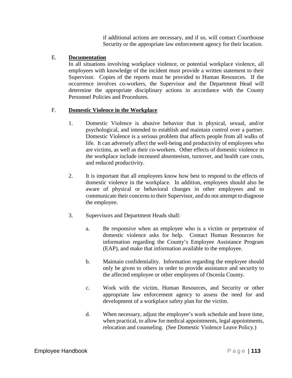if additional actions are necessary, and if so, will contact Courthouse Security or the appropriate law enforcement agency for their location.

### E. **Documentation**

In all situations involving workplace violence, or potential workplace violence, all employees with knowledge of the incident must provide a written statement to their Supervisor. Copies of the reports must be provided to Human Resources. If the occurrence involves co-workers, the Supervisor and the Department Head will determine the appropriate disciplinary actions in accordance with the County Personnel Policies and Procedures.

### F. **Domestic Violence in the Workplace**

- 1. Domestic Violence is abusive behavior that is physical, sexual, and/or psychological, and intended to establish and maintain control over a partner. Domestic Violence is a serious problem that affects people from all walks of life. It can adversely affect the well-being and productivity of employees who are victims, as well as their co-workers. Other effects of domestic violence in the workplace include increased absenteeism, turnover, and health care costs, and reduced productivity.
- 2. It is important that all employees know how best to respond to the effects of domestic violence in the workplace. In addition, employees should also be aware of physical or behavioral changes in other employees and to communicate their concerns to their Supervisor, and do not attempt to diagnose the employee.
- 3. Supervisors and Department Heads shall:
	- a. Be responsive when an employee who is a victim or perpetrator of domestic violence asks for help. Contact Human Resources for information regarding the County's Employee Assistance Program (EAP), and make that information available to the employee.
	- b. Maintain confidentiality. Information regarding the employee should only be given to others in order to provide assistance and security to the affected employee or other employees of Osceola County.
	- c. Work with the victim, Human Resources, and Security or other appropriate law enforcement agency to assess the need for and development of a workplace safety plan for the victim.
	- d. When necessary, adjust the employee's work schedule and leave time, when practical, to allow for medical appointments, legal appointments, relocation and counseling. (See Domestic Violence Leave Policy.)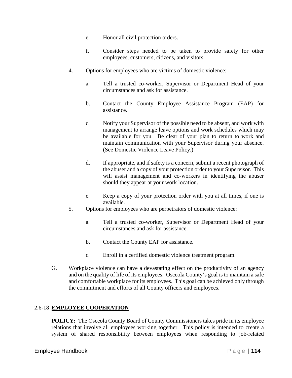- e. Honor all civil protection orders.
- f. Consider steps needed to be taken to provide safety for other employees, customers, citizens, and visitors.
- 4. Options for employees who are victims of domestic violence:
	- a. Tell a trusted co-worker, Supervisor or Department Head of your circumstances and ask for assistance.
	- b. Contact the County Employee Assistance Program (EAP) for assistance.
	- c. Notify your Supervisor of the possible need to be absent, and work with management to arrange leave options and work schedules which may be available for you. Be clear of your plan to return to work and maintain communication with your Supervisor during your absence. (See Domestic Violence Leave Policy.)
	- d. If appropriate, and if safety is a concern, submit a recent photograph of the abuser and a copy of your protection order to your Supervisor. This will assist management and co-workers in identifying the abuser should they appear at your work location.
	- e. Keep a copy of your protection order with you at all times, if one is available.
- 5. Options for employees who are perpetrators of domestic violence:
	- a. Tell a trusted co-worker, Supervisor or Department Head of your circumstances and ask for assistance.
	- b. Contact the County EAP for assistance.
	- c. Enroll in a certified domestic violence treatment program.
- G. Workplace violence can have a devastating effect on the productivity of an agency and on the quality of life of its employees. Osceola County's goal is to maintain a safe and comfortable workplace for its employees. This goal can be achieved only through the commitment and efforts of all County officers and employees.

## 2.6-18 **EMPLOYEE COOPERATION**

**POLICY:** The Osceola County Board of County Commissioners takes pride in its employee relations that involve all employees working together. This policy is intended to create a system of shared responsibility between employees when responding to job-related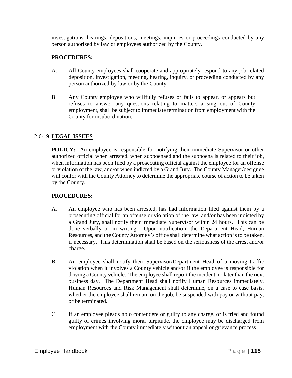investigations, hearings, depositions, meetings, inquiries or proceedings conducted by any person authorized by law or employees authorized by the County.

## **PROCEDURES:**

- A. All County employees shall cooperate and appropriately respond to any job-related deposition, investigation, meeting, hearing, inquiry, or proceeding conducted by any person authorized by law or by the County.
- B. Any County employee who willfully refuses or fails to appear, or appears but refuses to answer any questions relating to matters arising out of County employment, shall be subject to immediate termination from employment with the County for insubordination.

# 2.6-19 **LEGAL ISSUES**

**POLICY:** An employee is responsible for notifying their immediate Supervisor or other authorized official when arrested, when subpoenaed and the subpoena is related to their job, when information has been filed by a prosecuting official against the employee for an offense or violation of the law, and/or when indicted by a Grand Jury. The County Manager/designee will confer with the County Attorney to determine the appropriate course of action to be taken by the County.

## **PROCEDURES:**

- A. An employee who has been arrested, has had information filed against them by a prosecuting official for an offense or violation of the law, and/or has been indicted by a Grand Jury, shall notify their immediate Supervisor within 24 hours. This can be done verbally or in writing. Upon notification, the Department Head, Human Resources, and the County Attorney's office shall determine what action is to be taken, if necessary. This determination shall be based on the seriousness of the arrest and/or charge.
- B. An employee shall notify their Supervisor/Department Head of a moving traffic violation when it involves a County vehicle and/or if the employee is responsible for driving a County vehicle. The employee shall report the incident no later than the next business day. The Department Head shall notify Human Resources immediately. Human Resources and Risk Management shall determine, on a case to case basis, whether the employee shall remain on the job, be suspended with pay or without pay, or be terminated.
- C. If an employee pleads nolo contendere or guilty to any charge, or is tried and found guilty of crimes involving moral turpitude, the employee may be discharged from employment with the County immediately without an appeal or grievance process.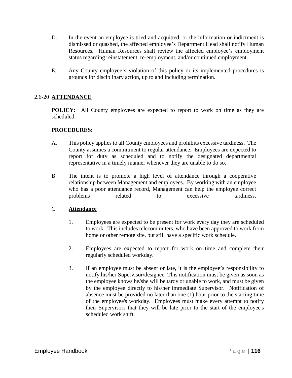- D. In the event an employee is tried and acquitted, or the information or indictment is dismissed or quashed, the affected employee's Department Head shall notify Human Resources. Human Resources shall review the affected employee's employment status regarding reinstatement, re-employment, and/or continued employment.
- E. Any County employee's violation of this policy or its implemented procedures is grounds for disciplinary action, up to and including termination.

## 2.6-20 **ATTENDANCE**

**POLICY:** All County employees are expected to report to work on time as they are scheduled.

### **PROCEDURES:**

- A. This policy applies to all County employees and prohibits excessive tardiness. The County assumes a commitment to regular attendance. Employees are expected to report for duty as scheduled and to notify the designated departmental representative in a timely manner whenever they are unable to do so.
- B. The intent is to promote a high level of attendance through a cooperative relationship between Management and employees. By working with an employee who has a poor attendance record, Management can help the employee correct problems related to excessive tardiness.

### C. **Attendance**

- 1. Employees are expected to be present for work every day they are scheduled to work. This includes telecommuters, who have been approved to work from home or other remote site, but still have a specific work schedule.
- 2. Employees are expected to report for work on time and complete their regularly scheduled workday.
- 3. If an employee must be absent or late, it is the employee's responsibility to notify his/her Supervisor/designee. This notification must be given as soon as the employee knows he/she will be tardy or unable to work, and must be given by the employee directly to his/her immediate Supervisor. Notification of absence must be provided no later than one (1) hour prior to the starting time of the employee's workday. Employees must make every attempt to notify their Supervisors that they will be late prior to the start of the employee's scheduled work shift.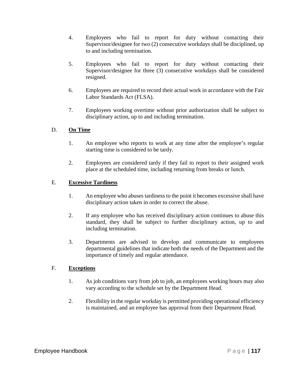- 4. Employees who fail to report for duty without contacting their Supervisor/designee for two (2) consecutive workdays shall be disciplined, up to and including termination.
- 5. Employees who fail to report for duty without contacting their Supervisor/designee for three (3) consecutive workdays shall be considered resigned.
- 6. Employees are required to record their actual work in accordance with the Fair Labor Standards Act (FLSA).
- 7. Employees working overtime without prior authorization shall be subject to disciplinary action, up to and including termination.

### D. **On Time**

- 1. An employee who reports to work at any time after the employee's regular starting time is considered to be tardy.
- 2. Employees are considered tardy if they fail to report to their assigned work place at the scheduled time, including returning from breaks or lunch.

### E. **Excessive Tardiness**

- 1. An employee who abuses tardiness to the point it becomes excessive shall have disciplinary action taken in order to correct the abuse.
- 2. If any employee who has received disciplinary action continues to abuse this standard, they shall be subject to further disciplinary action, up to and including termination.
- 3. Departments are advised to develop and communicate to employees departmental guidelines that indicate both the needs of the Department and the importance of timely and regular attendance.

### F. **Exceptions**

- 1. As job conditions vary from job to job, an employees working hours may also vary according to the schedule set by the Department Head.
- 2. Flexibility in the regular workday is permitted providing operational efficiency is maintained, and an employee has approval from their Department Head.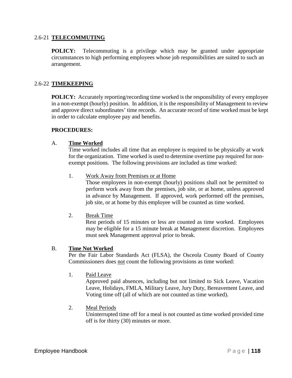### 2.6-21 **TELECOMMUTING**

**POLICY:** Telecommuting is a privilege which may be granted under appropriate circumstances to high performing employees whose job responsibilities are suited to such an arrangement.

## 2.6-22 **TIMEKEEPING**

**POLICY:** Accurately reporting/recording time worked is the responsibility of every employee in a non-exempt (hourly) position. In addition, it is the responsibility of Management to review and approve direct subordinates' time records. An accurate record of time worked must be kept in order to calculate employee pay and benefits.

#### **PROCEDURES:**

#### A. **Time Worked**

Time worked includes all time that an employee is required to be physically at work for the organization. Time worked is used to determine overtime pay required for nonexempt positions. The following provisions are included as time worked:

1. Work Away from Premises or at Home

Those employees in non-exempt (hourly) positions shall not be permitted to perform work away from the premises, job site, or at home, unless approved in advance by Management. If approved, work performed off the premises, job site, or at home by this employee will be counted as time worked.

2. Break Time

Rest periods of 15 minutes or less are counted as time worked. Employees may be eligible for a 15 minute break at Management discretion. Employees must seek Management approval prior to break.

#### B. **Time Not Worked**

Per the Fair Labor Standards Act (FLSA), the Osceola County Board of County Commissioners does not count the following provisions as time worked:

1. Paid Leave

Approved paid absences, including but not limited to Sick Leave, Vacation Leave, Holidays, FMLA, Military Leave, Jury Duty, Bereavement Leave, and Voting time off (all of which are not counted as time worked).

2. Meal Periods

Uninterrupted time off for a meal is not counted as time worked provided time off is for thirty (30) minutes or more.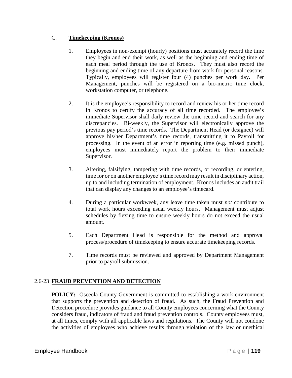## C. **Timekeeping (Kronos)**

- 1. Employees in non-exempt (hourly) positions must accurately record the time they begin and end their work, as well as the beginning and ending time of each meal period through the use of Kronos. They must also record the beginning and ending time of any departure from work for personal reasons. Typically, employees will register four (4) punches per work day. Per Management, punches will be registered on a bio-metric time clock, workstation computer, or telephone.
- 2. It is the employee's responsibility to record and review his or her time record in Kronos to certify the accuracy of all time recorded. The employee's immediate Supervisor shall daily review the time record and search for any discrepancies. Bi-weekly, the Supervisor will electronically approve the previous pay period's time records. The Department Head (or designee) will approve his/her Department's time records, transmitting it to Payroll for processing. In the event of an error in reporting time (e.g. missed punch), employees must immediately report the problem to their immediate Supervisor.
- 3. Altering, falsifying, tampering with time records, or recording, or entering, time for or on another employee's time record may result in disciplinary action, up to and including termination of employment. Kronos includes an audit trail that can display any changes to an employee's timecard.
- 4. During a particular workweek, any leave time taken must *not* contribute to total work hours exceeding usual weekly hours. Management must adjust schedules by flexing time to ensure weekly hours do not exceed the usual amount.
- 5. Each Department Head is responsible for the method and approval process/procedure of timekeeping to ensure accurate timekeeping records.
- 7. Time records must be reviewed and approved by Department Management prior to payroll submission.

# 2.6-23 **FRAUD PREVENTION AND DETECTION**

**POLICY:** Osceola County Government is committed to establishing a work environment that supports the prevention and detection of fraud. As such, the Fraud Prevention and Detection procedure provides guidance to all County employees concerning what the County considers fraud, indicators of fraud and fraud prevention controls. County employees must, at all times, comply with all applicable laws and regulations. The County will not condone the activities of employees who achieve results through violation of the law or unethical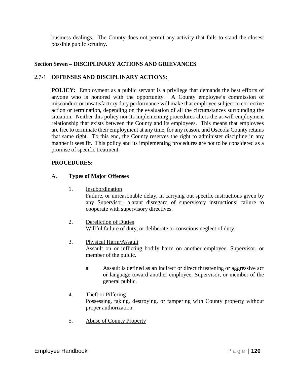business dealings. The County does not permit any activity that fails to stand the closest possible public scrutiny.

## **Section Seven – DISCIPLINARY ACTIONS AND GRIEVANCES**

### 2.7-1 **OFFENSES AND DISCIPLINARY ACTIONS:**

**POLICY:** Employment as a public servant is a privilege that demands the best efforts of anyone who is honored with the opportunity. A County employee's commission of misconduct or unsatisfactory duty performance will make that employee subject to corrective action or termination, depending on the evaluation of all the circumstances surrounding the situation. Neither this policy nor its implementing procedures alters the at-will employment relationship that exists between the County and its employees. This means that employees are free to terminate their employment at any time, for any reason, and Osceola County retains that same right. To this end, the County reserves the right to administer discipline in any manner it sees fit. This policy and its implementing procedures are not to be considered as a promise of specific treatment.

### **PROCEDURES:**

### A. **Types of Major Offenses**

1. Insubordination

Failure, or unreasonable delay, in carrying out specific instructions given by any Supervisor; blatant disregard of supervisory instructions; failure to cooperate with supervisory directives.

### 2. Dereliction of Duties

Willful failure of duty, or deliberate or conscious neglect of duty.

### 3. Physical Harm/Assault

Assault on or inflicting bodily harm on another employee, Supervisor, or member of the public.

a. Assault is defined as an indirect or direct threatening or aggressive act or language toward another employee, Supervisor, or member of the general public.

### 4. Theft or Pilfering

Possessing, taking, destroying, or tampering with County property without proper authorization.

5. Abuse of County Property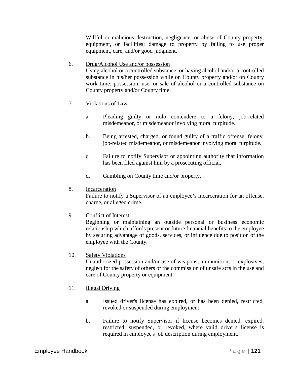Willful or malicious destruction, negligence, or abuse of County property, equipment, or facilities; damage to property by failing to use proper equipment, care, and/or good judgment.

6. Drug/Alcohol Use and/or possession Using alcohol or a controlled substance, or having alcohol and/or a controlled substance in his/her possession while on County property and/or on County work time; possession, use, or sale of alcohol or a controlled substance on County property and/or County time.

- 7. Violations of Law
	- a. Pleading guilty or nolo contendere to a felony, job-related misdemeanor, or misdemeanor involving moral turpitude.
	- b. Being arrested, charged, or found guilty of a traffic offense, felony, job-related misdemeanor, or misdemeanor involving moral turpitude.
	- c. Failure to notify Supervisor or appointing authority that information has been filed against him by a prosecuting official.
	- d. Gambling on County time and/or property.
- 8. Incarceration

Failure to notify a Supervisor of an employee's incarceration for an offense, charge, or alleged crime.

9. Conflict of Interest

Beginning or maintaining an outside personal or business economic relationship which affords present or future financial benefits to the employee by securing advantage of goods, services, or influence due to position of the employee with the County.

10. Safety Violations

Unauthorized possession and/or use of weapons, ammunition, or explosives; neglect for the safety of others or the commission of unsafe acts in the use and care of County property or equipment.

- 11. Illegal Driving
	- a. Issued driver's license has expired, or has been denied, restricted, revoked or suspended during employment.
	- b. Failure to notify Supervisor if license becomes denied, expired, restricted, suspended, or revoked, where valid driver's license is required in employee's job description during employment.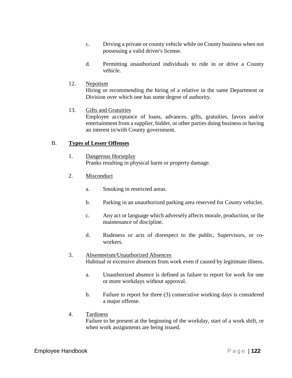- c. Driving a private or county vehicle while on County business when not possessing a valid driver's license.
- d. Permitting unauthorized individuals to ride in or drive a County vehicle.
- 12. Nepotism

Hiring or recommending the hiring of a relative in the same Department or Division over which one has some degree of authority.

13. Gifts and Gratuities

Employee acceptance of loans, advances, gifts, gratuities, favors and/or entertainment from a supplier, bidder, or other parties doing business or having an interest in/with County government.

### B. **Types of Lesser Offenses**

- 1. Dangerous Horseplay Pranks resulting in physical harm or property damage.
- 2. Misconduct
	- a. Smoking in restricted areas.
	- b. Parking in an unauthorized parking area reserved for County vehicles.
	- c. Any act or language which adversely affects morale, production, or the maintenance of discipline.
	- d. Rudeness or acts of disrespect to the public, Supervisors, or coworkers.
- 3. Absenteeism/Unauthorized Absences Habitual or excessive absences from work even if caused by legitimate illness.
	- a. Unauthorized absence is defined as failure to report for work for one or more workdays without approval.
	- b. Failure to report for three (3) consecutive working days is considered a major offense.
- 4. Tardiness

Failure to be present at the beginning of the workday, start of a work shift, or when work assignments are being issued.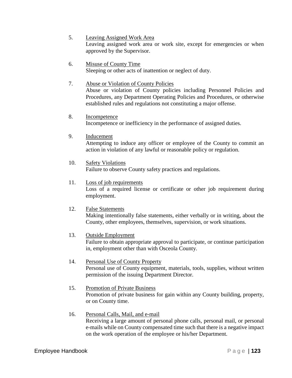- 5. Leaving Assigned Work Area Leaving assigned work area or work site, except for emergencies or when approved by the Supervisor.
- 6. Misuse of County Time Sleeping or other acts of inattention or neglect of duty.
- 7. Abuse or Violation of County Policies Abuse or violation of County policies including Personnel Policies and Procedures, any Department Operating Policies and Procedures, or otherwise established rules and regulations not constituting a major offense.
- 8. Incompetence Incompetence or inefficiency in the performance of assigned duties.
- 9. Inducement

Attempting to induce any officer or employee of the County to commit an action in violation of any lawful or reasonable policy or regulation.

- 10. Safety Violations Failure to observe County safety practices and regulations.
- 11. Loss of job requirements

Loss of a required license or certificate or other job requirement during employment.

12. False Statements

Making intentionally false statements, either verbally or in writing, about the County, other employees, themselves, supervision, or work situations.

13. Outside Employment

Failure to obtain appropriate approval to participate, or continue participation in, employment other than with Osceola County.

- 14. Personal Use of County Property Personal use of County equipment, materials, tools, supplies, without written permission of the issuing Department Director.
- 15. Promotion of Private Business Promotion of private business for gain within any County building, property, or on County time.
- 16. Personal Calls, Mail, and e-mail Receiving a large amount of personal phone calls, personal mail, or personal e-mails while on County compensated time such that there is a negative impact on the work operation of the employee or his/her Department.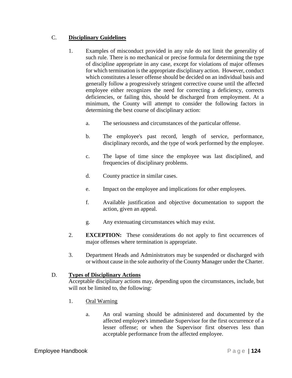## C. **Disciplinary Guidelines**

- 1. Examples of misconduct provided in any rule do not limit the generality of such rule. There is no mechanical or precise formula for determining the type of discipline appropriate in any case, except for violations of major offenses for which termination is the appropriate disciplinary action. However, conduct which constitutes a lesser offense should be decided on an individual basis and generally follow a progressively stringent corrective course until the affected employee either recognizes the need for correcting a deficiency, corrects deficiencies, or failing this, should be discharged from employment. At a minimum, the County will attempt to consider the following factors in determining the best course of disciplinary action:
	- a. The seriousness and circumstances of the particular offense.
	- b. The employee's past record, length of service, performance, disciplinary records, and the type of work performed by the employee.
	- c. The lapse of time since the employee was last disciplined, and frequencies of disciplinary problems.
	- d. County practice in similar cases.
	- e. Impact on the employee and implications for other employees.
	- f. Available justification and objective documentation to support the action, given an appeal.
	- g. Any extenuating circumstances which may exist.
- 2. **EXCEPTION:** These considerations do not apply to first occurrences of major offenses where termination is appropriate.
- 3. Department Heads and Administrators may be suspended or discharged with or without cause in the sole authority of the County Manager under the Charter.

### D. **Types of Disciplinary Actions**

Acceptable disciplinary actions may, depending upon the circumstances, include, but will not be limited to, the following:

- 1. Oral Warning
	- a. An oral warning should be administered and documented by the affected employee's immediate Supervisor for the first occurrence of a lesser offense; or when the Supervisor first observes less than acceptable performance from the affected employee.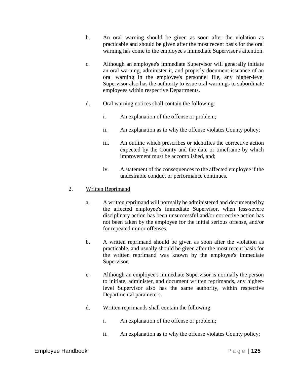- b. An oral warning should be given as soon after the violation as practicable and should be given after the most recent basis for the oral warning has come to the employee's immediate Supervisor's attention.
- c. Although an employee's immediate Supervisor will generally initiate an oral warning, administer it, and properly document issuance of an oral warning in the employee's personnel file, any higher-level Supervisor also has the authority to issue oral warnings to subordinate employees within respective Departments.
- d. Oral warning notices shall contain the following:
	- i. An explanation of the offense or problem;
	- ii. An explanation as to why the offense violates County policy;
	- iii. An outline which prescribes or identifies the corrective action expected by the County and the date or timeframe by which improvement must be accomplished, and;
	- iv. A statement of the consequences to the affected employee if the undesirable conduct or performance continues.

### 2. Written Reprimand

- a. A written reprimand will normally be administered and documented by the affected employee's immediate Supervisor, when less-severe disciplinary action has been unsuccessful and/or corrective action has not been taken by the employee for the initial serious offense, and/or for repeated minor offenses.
- b. A written reprimand should be given as soon after the violation as practicable, and usually should be given after the most recent basis for the written reprimand was known by the employee's immediate Supervisor.
- c. Although an employee's immediate Supervisor is normally the person to initiate, administer, and document written reprimands, any higherlevel Supervisor also has the same authority, within respective Departmental parameters.
- d. Written reprimands shall contain the following:
	- i. An explanation of the offense or problem;
	- ii. An explanation as to why the offense violates County policy;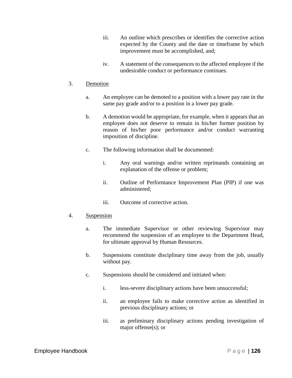- iii. An outline which prescribes or identifies the corrective action expected by the County and the date or timeframe by which improvement must be accomplished, and;
- iv. A statement of the consequences to the affected employee if the undesirable conduct or performance continues.

### 3. Demotion

- a. An employee can be demoted to a position with a lower pay rate in the same pay grade and/or to a position in a lower pay grade.
- b. A demotion would be appropriate, for example, when it appears that an employee does not deserve to remain in his/her former position by reason of his/her poor performance and/or conduct warranting imposition of discipline.
- c. The following information shall be documented:
	- i. Any oral warnings and/or written reprimands containing an explanation of the offense or problem;
	- ii. Outline of Performance Improvement Plan (PIP) if one was administered;
	- iii. Outcome of corrective action.

### 4. Suspension

- a. The immediate Supervisor or other reviewing Supervisor may recommend the suspension of an employee to the Department Head, for ultimate approval by Human Resources.
- b. Suspensions constitute disciplinary time away from the job, usually without pay.
- c. Suspensions should be considered and initiated when:
	- i. less-severe disciplinary actions have been unsuccessful;
	- ii. an employee fails to make corrective action as identified in previous disciplinary actions; or
	- iii. as preliminary disciplinary actions pending investigation of major offense(s); or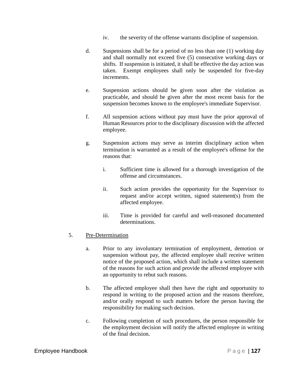- iv. the severity of the offense warrants discipline of suspension.
- d. Suspensions shall be for a period of no less than one (1) working day and shall normally not exceed five (5) consecutive working days or shifts. If suspension is initiated, it shall be effective the day action was taken. Exempt employees shall only be suspended for five-day increments.
- e. Suspension actions should be given soon after the violation as practicable, and should be given after the most recent basis for the suspension becomes known to the employee's immediate Supervisor.
- f. All suspension actions without pay must have the prior approval of Human Resources prior to the disciplinary discussion with the affected employee.
- g. Suspension actions may serve as interim disciplinary action when termination is warranted as a result of the employee's offense for the reasons that:
	- i. Sufficient time is allowed for a thorough investigation of the offense and circumstances.
	- ii. Such action provides the opportunity for the Supervisor to request and/or accept written, signed statement(s) from the affected employee.
	- iii. Time is provided for careful and well-reasoned documented determinations.

## 5. Pre-Determination

- a. Prior to any involuntary termination of employment, demotion or suspension without pay, the affected employee shall receive written notice of the proposed action, which shall include a written statement of the reasons for such action and provide the affected employee with an opportunity to rebut such reasons.
- b. The affected employee shall then have the right and opportunity to respond in writing to the proposed action and the reasons therefore, and/or orally respond to such matters before the person having the responsibility for making such decision.
- c. Following completion of such procedures, the person responsible for the employment decision will notify the affected employee in writing of the final decision.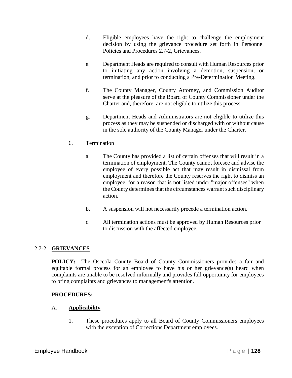- d. Eligible employees have the right to challenge the employment decision by using the grievance procedure set forth in Personnel Policies and Procedures 2.7-2, Grievances.
- e. Department Heads are required to consult with Human Resources prior to initiating any action involving a demotion, suspension, or termination, and prior to conducting a Pre-Determination Meeting.
- f. The County Manager, County Attorney, and Commission Auditor serve at the pleasure of the Board of County Commissioner under the Charter and, therefore, are not eligible to utilize this process.
- g. Department Heads and Administrators are not eligible to utilize this process as they may be suspended or discharged with or without cause in the sole authority of the County Manager under the Charter.

## 6. Termination

- a. The County has provided a list of certain offenses that will result in a termination of employment. The County cannot foresee and advise the employee of every possible act that may result in dismissal from employment and therefore the County reserves the right to dismiss an employee, for a reason that is not listed under "major offenses" when the County determines that the circumstances warrant such disciplinary action.
- b. A suspension will not necessarily precede a termination action.
- c. All termination actions must be approved by Human Resources prior to discussion with the affected employee.

## 2.7-2 **GRIEVANCES**

**POLICY:** The Osceola County Board of County Commissioners provides a fair and equitable formal process for an employee to have his or her grievance(s) heard when complaints are unable to be resolved informally and provides full opportunity for employees to bring complaints and grievances to management's attention.

## **PROCEDURES:**

## A. **Applicability**

1. These procedures apply to all Board of County Commissioners employees with the exception of Corrections Department employees.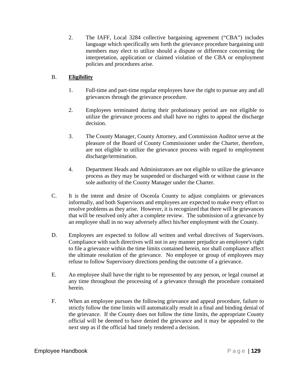2. The IAFF, Local 3284 collective bargaining agreement ("CBA") includes language which specifically sets forth the grievance procedure bargaining unit members may elect to utilize should a dispute or difference concerning the interpretation, application or claimed violation of the CBA or employment policies and procedures arise.

# B. **Eligibility**

- 1. Full-time and part-time regular employees have the right to pursue any and all grievances through the grievance procedure.
- 2. Employees terminated during their probationary period are not eligible to utilize the grievance process and shall have no rights to appeal the discharge decision.
- 3. The County Manager, County Attorney, and Commission Auditor serve at the pleasure of the Board of County Commissioner under the Charter, therefore, are not eligible to utilize the grievance process with regard to employment discharge/termination.
- 4. Department Heads and Administrators are not eligible to utilize the grievance process as they may be suspended or discharged with or without cause in the sole authority of the County Manager under the Charter.
- C. It is the intent and desire of Osceola County to adjust complaints or grievances informally, and both Supervisors and employees are expected to make every effort to resolve problems as they arise. However, it is recognized that there will be grievances that will be resolved only after a complete review. The submission of a grievance by an employee shall in no way adversely affect his/her employment with the County.
- D. Employees are expected to follow all written and verbal directives of Supervisors. Compliance with such directives will not in any manner prejudice an employee's right to file a grievance within the time limits contained herein, nor shall compliance affect the ultimate resolution of the grievance. No employee or group of employees may refuse to follow Supervisory directions pending the outcome of a grievance.
- E. An employee shall have the right to be represented by any person, or legal counsel at any time throughout the processing of a grievance through the procedure contained herein.
- F. When an employee pursues the following grievance and appeal procedure, failure to strictly follow the time limits will automatically result in a final and binding denial of the grievance. If the County does not follow the time limits, the appropriate County official will be deemed to have denied the grievance and it may be appealed to the next step as if the official had timely rendered a decision.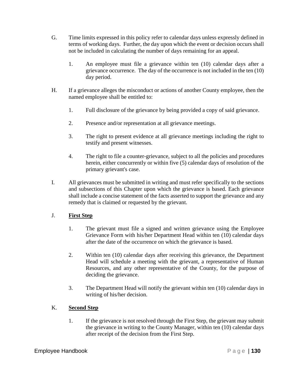- G. Time limits expressed in this policy refer to calendar days unless expressly defined in terms of working days. Further, the day upon which the event or decision occurs shall not be included in calculating the number of days remaining for an appeal.
	- 1. An employee must file a grievance within ten (10) calendar days after a grievance occurrence. The day of the occurrence is not included in the ten (10) day period.
- H. If a grievance alleges the misconduct or actions of another County employee, then the named employee shall be entitled to:
	- 1. Full disclosure of the grievance by being provided a copy of said grievance.
	- 2. Presence and/or representation at all grievance meetings.
	- 3. The right to present evidence at all grievance meetings including the right to testify and present witnesses.
	- 4. The right to file a counter-grievance, subject to all the policies and procedures herein, either concurrently or within five (5) calendar days of resolution of the primary grievant's case.
- I. All grievances must be submitted in writing and must refer specifically to the sections and subsections of this Chapter upon which the grievance is based. Each grievance shall include a concise statement of the facts asserted to support the grievance and any remedy that is claimed or requested by the grievant.

## J. **First Step**

- 1. The grievant must file a signed and written grievance using the Employee Grievance Form with his/her Department Head within ten (10) calendar days after the date of the occurrence on which the grievance is based.
- 2. Within ten (10) calendar days after receiving this grievance, the Department Head will schedule a meeting with the grievant, a representative of Human Resources, and any other representative of the County, for the purpose of deciding the grievance.
- 3. The Department Head will notify the grievant within ten (10) calendar days in writing of his/her decision.

## K. **Second Step**

1. If the grievance is not resolved through the First Step, the grievant may submit the grievance in writing to the County Manager, within ten (10) calendar days after receipt of the decision from the First Step.